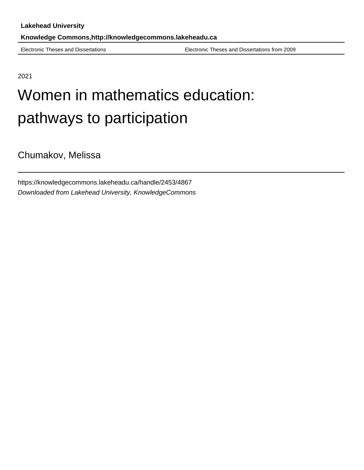Electronic Theses and Dissertations Electronic Theses and Dissertations from 2009

2021

# Women in mathematics education: pathways to participation

Chumakov, Melissa

https://knowledgecommons.lakeheadu.ca/handle/2453/4867 Downloaded from Lakehead University, KnowledgeCommons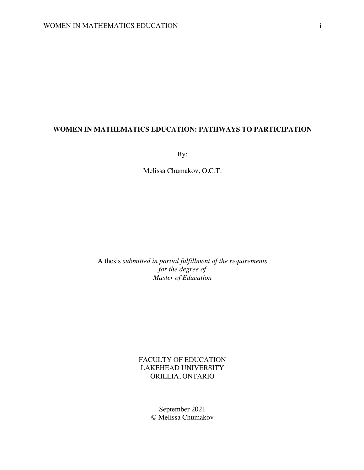# **WOMEN IN MATHEMATICS EDUCATION: PATHWAYS TO PARTICIPATION**

By:

Melissa Chumakov, O.C.T.

A thesis *submitted in partial fulfillment of the requirements for the degree of Master of Education*

> FACULTY OF EDUCATION LAKEHEAD UNIVERSITY ORILLIA, ONTARIO

> > September 2021 © Melissa Chumakov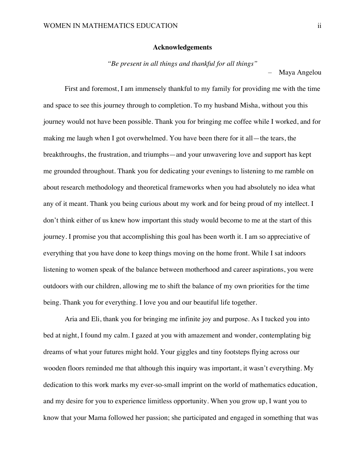### **Acknowledgements**

*"Be present in all things and thankful for all things"*

– Maya Angelou

First and foremost, I am immensely thankful to my family for providing me with the time and space to see this journey through to completion. To my husband Misha, without you this journey would not have been possible. Thank you for bringing me coffee while I worked, and for making me laugh when I got overwhelmed. You have been there for it all—the tears, the breakthroughs, the frustration, and triumphs—and your unwavering love and support has kept me grounded throughout. Thank you for dedicating your evenings to listening to me ramble on about research methodology and theoretical frameworks when you had absolutely no idea what any of it meant. Thank you being curious about my work and for being proud of my intellect. I don't think either of us knew how important this study would become to me at the start of this journey. I promise you that accomplishing this goal has been worth it. I am so appreciative of everything that you have done to keep things moving on the home front. While I sat indoors listening to women speak of the balance between motherhood and career aspirations, you were outdoors with our children, allowing me to shift the balance of my own priorities for the time being. Thank you for everything. I love you and our beautiful life together.

Aria and Eli, thank you for bringing me infinite joy and purpose. As I tucked you into bed at night, I found my calm. I gazed at you with amazement and wonder, contemplating big dreams of what your futures might hold. Your giggles and tiny footsteps flying across our wooden floors reminded me that although this inquiry was important, it wasn't everything. My dedication to this work marks my ever-so-small imprint on the world of mathematics education, and my desire for you to experience limitless opportunity. When you grow up, I want you to know that your Mama followed her passion; she participated and engaged in something that was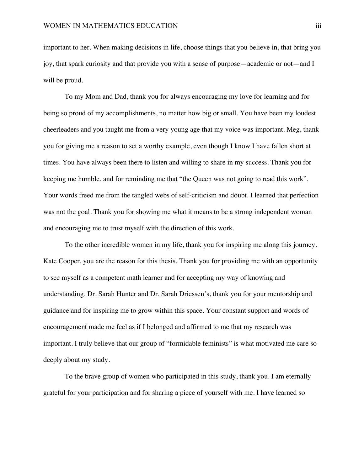important to her. When making decisions in life, choose things that you believe in, that bring you joy, that spark curiosity and that provide you with a sense of purpose—academic or not—and I will be proud.

To my Mom and Dad, thank you for always encouraging my love for learning and for being so proud of my accomplishments, no matter how big or small. You have been my loudest cheerleaders and you taught me from a very young age that my voice was important. Meg, thank you for giving me a reason to set a worthy example, even though I know I have fallen short at times. You have always been there to listen and willing to share in my success. Thank you for keeping me humble, and for reminding me that "the Queen was not going to read this work". Your words freed me from the tangled webs of self-criticism and doubt. I learned that perfection was not the goal. Thank you for showing me what it means to be a strong independent woman and encouraging me to trust myself with the direction of this work.

To the other incredible women in my life, thank you for inspiring me along this journey. Kate Cooper, you are the reason for this thesis. Thank you for providing me with an opportunity to see myself as a competent math learner and for accepting my way of knowing and understanding. Dr. Sarah Hunter and Dr. Sarah Driessen's, thank you for your mentorship and guidance and for inspiring me to grow within this space. Your constant support and words of encouragement made me feel as if I belonged and affirmed to me that my research was important. I truly believe that our group of "formidable feminists" is what motivated me care so deeply about my study.

To the brave group of women who participated in this study, thank you. I am eternally grateful for your participation and for sharing a piece of yourself with me. I have learned so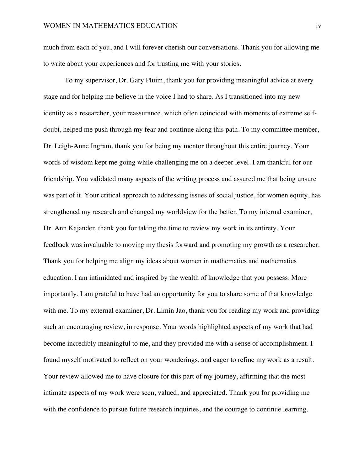much from each of you, and I will forever cherish our conversations. Thank you for allowing me to write about your experiences and for trusting me with your stories.

To my supervisor, Dr. Gary Pluim, thank you for providing meaningful advice at every stage and for helping me believe in the voice I had to share. As I transitioned into my new identity as a researcher, your reassurance, which often coincided with moments of extreme selfdoubt, helped me push through my fear and continue along this path. To my committee member, Dr. Leigh-Anne Ingram, thank you for being my mentor throughout this entire journey. Your words of wisdom kept me going while challenging me on a deeper level. I am thankful for our friendship. You validated many aspects of the writing process and assured me that being unsure was part of it. Your critical approach to addressing issues of social justice, for women equity, has strengthened my research and changed my worldview for the better. To my internal examiner, Dr. Ann Kajander, thank you for taking the time to review my work in its entirety. Your feedback was invaluable to moving my thesis forward and promoting my growth as a researcher. Thank you for helping me align my ideas about women in mathematics and mathematics education. I am intimidated and inspired by the wealth of knowledge that you possess. More importantly, I am grateful to have had an opportunity for you to share some of that knowledge with me. To my external examiner, Dr. Limin Jao, thank you for reading my work and providing such an encouraging review, in response. Your words highlighted aspects of my work that had become incredibly meaningful to me, and they provided me with a sense of accomplishment. I found myself motivated to reflect on your wonderings, and eager to refine my work as a result. Your review allowed me to have closure for this part of my journey, affirming that the most intimate aspects of my work were seen, valued, and appreciated. Thank you for providing me with the confidence to pursue future research inquiries, and the courage to continue learning.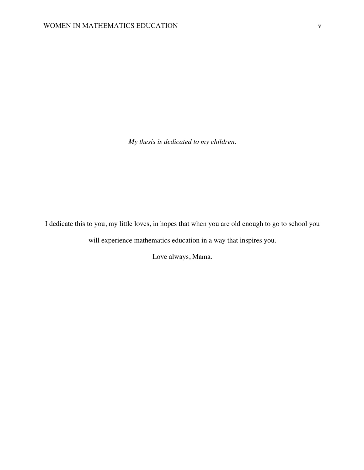*My thesis is dedicated to my children.*

I dedicate this to you, my little loves, in hopes that when you are old enough to go to school you

will experience mathematics education in a way that inspires you.

Love always, Mama.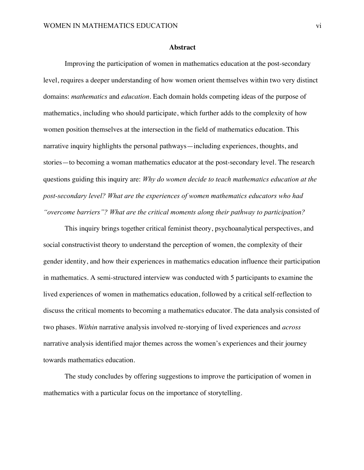#### **Abstract**

Improving the participation of women in mathematics education at the post-secondary level, requires a deeper understanding of how women orient themselves within two very distinct domains: *mathematics* and *education*. Each domain holds competing ideas of the purpose of mathematics, including who should participate, which further adds to the complexity of how women position themselves at the intersection in the field of mathematics education. This narrative inquiry highlights the personal pathways—including experiences, thoughts, and stories—to becoming a woman mathematics educator at the post-secondary level. The research questions guiding this inquiry are: *Why do women decide to teach mathematics education at the post-secondary level? What are the experiences of women mathematics educators who had "overcome barriers"? What are the critical moments along their pathway to participation?* 

This inquiry brings together critical feminist theory, psychoanalytical perspectives, and social constructivist theory to understand the perception of women, the complexity of their gender identity, and how their experiences in mathematics education influence their participation in mathematics. A semi-structured interview was conducted with 5 participants to examine the lived experiences of women in mathematics education, followed by a critical self-reflection to discuss the critical moments to becoming a mathematics educator. The data analysis consisted of two phases. *Within* narrative analysis involved re-storying of lived experiences and *across*  narrative analysis identified major themes across the women's experiences and their journey towards mathematics education.

The study concludes by offering suggestions to improve the participation of women in mathematics with a particular focus on the importance of storytelling.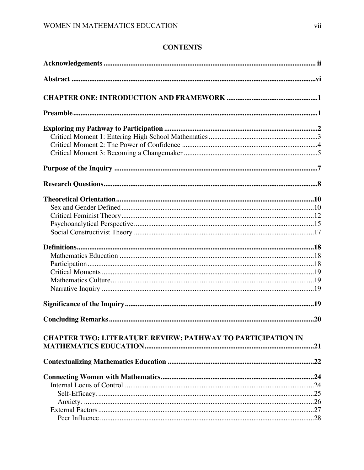# **CONTENTS**

| <b>CHAPTER TWO: LITERATURE REVIEW: PATHWAY TO PARTICIPATION IN</b> |     |
|--------------------------------------------------------------------|-----|
|                                                                    | .21 |
|                                                                    |     |
|                                                                    |     |
|                                                                    |     |
|                                                                    |     |
|                                                                    |     |
|                                                                    |     |
|                                                                    |     |
|                                                                    |     |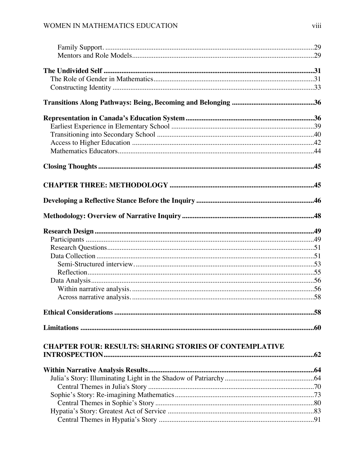| <b>CHAPTER FOUR: RESULTS: SHARING STORIES OF CONTEMPLATIVE</b> |  |
|----------------------------------------------------------------|--|
|                                                                |  |
|                                                                |  |
|                                                                |  |
|                                                                |  |
|                                                                |  |
|                                                                |  |
|                                                                |  |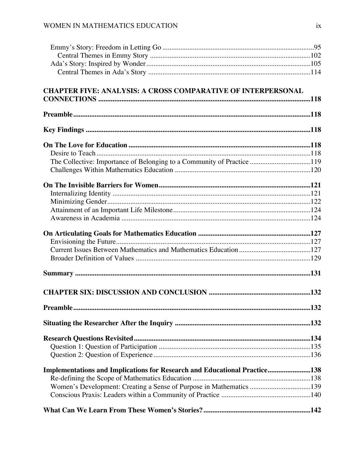| <b>CHAPTER FIVE: ANALYSIS: A CROSS COMPARATIVE OF INTERPERSONAL</b>              |  |
|----------------------------------------------------------------------------------|--|
|                                                                                  |  |
|                                                                                  |  |
|                                                                                  |  |
|                                                                                  |  |
|                                                                                  |  |
|                                                                                  |  |
|                                                                                  |  |
| The Collective: Importance of Belonging to a Community of Practice119            |  |
|                                                                                  |  |
|                                                                                  |  |
|                                                                                  |  |
|                                                                                  |  |
|                                                                                  |  |
|                                                                                  |  |
|                                                                                  |  |
|                                                                                  |  |
|                                                                                  |  |
|                                                                                  |  |
|                                                                                  |  |
|                                                                                  |  |
|                                                                                  |  |
|                                                                                  |  |
|                                                                                  |  |
|                                                                                  |  |
|                                                                                  |  |
|                                                                                  |  |
|                                                                                  |  |
|                                                                                  |  |
|                                                                                  |  |
|                                                                                  |  |
|                                                                                  |  |
| <b>Implementations and Implications for Research and Educational Practice138</b> |  |
| Women's Development: Creating a Sense of Purpose in Mathematics 139              |  |
|                                                                                  |  |
|                                                                                  |  |
|                                                                                  |  |
|                                                                                  |  |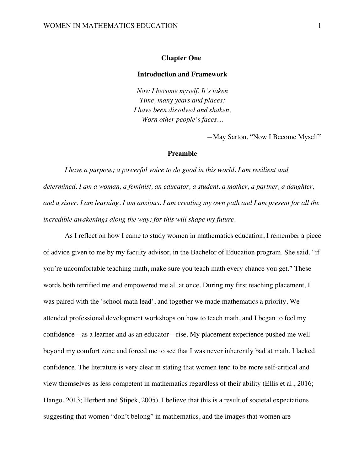### **Chapter One:**

#### **Introduction and Framework**

*Now I become myself. It's taken Time, many years and places; I have been dissolved and shaken, Worn other people's faces…*

*—*May Sarton, "Now I Become Myself"

# **Preamble**

*I have a purpose; a powerful voice to do good in this world. I am resilient and determined. I am a woman, a feminist, an educator, a student, a mother, a partner, a daughter, and a sister. I am learning. I am anxious. I am creating my own path and I am present for all the incredible awakenings along the way; for this will shape my future.*

As I reflect on how I came to study women in mathematics education, I remember a piece of advice given to me by my faculty advisor, in the Bachelor of Education program. She said, "if you're uncomfortable teaching math, make sure you teach math every chance you get." These words both terrified me and empowered me all at once. During my first teaching placement, I was paired with the 'school math lead', and together we made mathematics a priority. We attended professional development workshops on how to teach math, and I began to feel my confidence—as a learner and as an educator—rise. My placement experience pushed me well beyond my comfort zone and forced me to see that I was never inherently bad at math. I lacked confidence. The literature is very clear in stating that women tend to be more self-critical and view themselves as less competent in mathematics regardless of their ability (Ellis et al., 2016; Hango, 2013; Herbert and Stipek, 2005). I believe that this is a result of societal expectations suggesting that women "don't belong" in mathematics, and the images that women are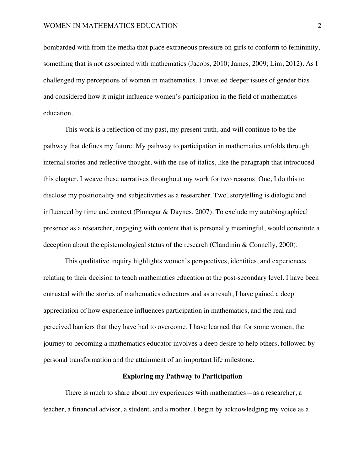bombarded with from the media that place extraneous pressure on girls to conform to femininity, something that is not associated with mathematics (Jacobs, 2010; James, 2009; Lim, 2012). As I challenged my perceptions of women in mathematics, I unveiled deeper issues of gender bias and considered how it might influence women's participation in the field of mathematics education.

This work is a reflection of my past, my present truth, and will continue to be the pathway that defines my future. My pathway to participation in mathematics unfolds through internal stories and reflective thought, with the use of italics, like the paragraph that introduced this chapter. I weave these narratives throughout my work for two reasons. One, I do this to disclose my positionality and subjectivities as a researcher. Two, storytelling is dialogic and influenced by time and context (Pinnegar & Daynes, 2007). To exclude my autobiographical presence as a researcher, engaging with content that is personally meaningful, would constitute a deception about the epistemological status of the research (Clandinin & Connelly, 2000).

This qualitative inquiry highlights women's perspectives, identities, and experiences relating to their decision to teach mathematics education at the post-secondary level. I have been entrusted with the stories of mathematics educators and as a result, I have gained a deep appreciation of how experience influences participation in mathematics, and the real and perceived barriers that they have had to overcome. I have learned that for some women, the journey to becoming a mathematics educator involves a deep desire to help others, followed by personal transformation and the attainment of an important life milestone.

# **Exploring my Pathway to Participation**

There is much to share about my experiences with mathematics—as a researcher, a teacher, a financial advisor, a student, and a mother. I begin by acknowledging my voice as a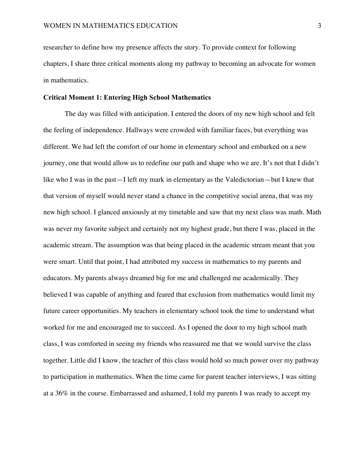researcher to define how my presence affects the story. To provide context for following chapters, I share three critical moments along my pathway to becoming an advocate for women in mathematics.

# **Critical Moment 1: Entering High School Mathematics**

The day was filled with anticipation. I entered the doors of my new high school and felt the feeling of independence. Hallways were crowded with familiar faces, but everything was different. We had left the comfort of our home in elementary school and embarked on a new journey, one that would allow us to redefine our path and shape who we are. It's not that I didn't like who I was in the past—I left my mark in elementary as the Valedictorian—but I knew that that version of myself would never stand a chance in the competitive social arena, that was my new high school. I glanced anxiously at my timetable and saw that my next class was math. Math was never my favorite subject and certainly not my highest grade, but there I was, placed in the academic stream. The assumption was that being placed in the academic stream meant that you were smart. Until that point, I had attributed my success in mathematics to my parents and educators. My parents always dreamed big for me and challenged me academically. They believed I was capable of anything and feared that exclusion from mathematics would limit my future career opportunities. My teachers in elementary school took the time to understand what worked for me and encouraged me to succeed. As I opened the door to my high school math class, I was comforted in seeing my friends who reassured me that we would survive the class together. Little did I know, the teacher of this class would hold so much power over my pathway to participation in mathematics. When the time came for parent teacher interviews, I was sitting at a 36% in the course. Embarrassed and ashamed, I told my parents I was ready to accept my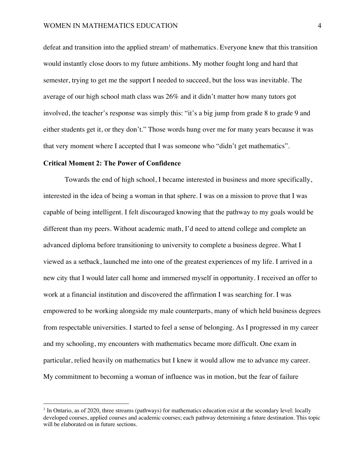defeat and transition into the applied stream<sup>1</sup> of mathematics. Everyone knew that this transition would instantly close doors to my future ambitions. My mother fought long and hard that semester, trying to get me the support I needed to succeed, but the loss was inevitable. The average of our high school math class was 26% and it didn't matter how many tutors got involved, the teacher's response was simply this: "it's a big jump from grade 8 to grade 9 and either students get it, or they don't." Those words hung over me for many years because it was that very moment where I accepted that I was someone who "didn't get mathematics".

# **Critical Moment 2: The Power of Confidence**

Towards the end of high school, I became interested in business and more specifically, interested in the idea of being a woman in that sphere. I was on a mission to prove that I was capable of being intelligent. I felt discouraged knowing that the pathway to my goals would be different than my peers. Without academic math, I'd need to attend college and complete an advanced diploma before transitioning to university to complete a business degree. What I viewed as a setback, launched me into one of the greatest experiences of my life. I arrived in a new city that I would later call home and immersed myself in opportunity. I received an offer to work at a financial institution and discovered the affirmation I was searching for. I was empowered to be working alongside my male counterparts, many of which held business degrees from respectable universities. I started to feel a sense of belonging. As I progressed in my career and my schooling, my encounters with mathematics became more difficult. One exam in particular, relied heavily on mathematics but I knew it would allow me to advance my career. My commitment to becoming a woman of influence was in motion, but the fear of failure

 $<sup>1</sup>$  In Ontario, as of 2020, three streams (pathways) for mathematics education exist at the secondary level: locally</sup> developed courses, applied courses and academic courses; each pathway determining a future destination. This topic will be elaborated on in future sections.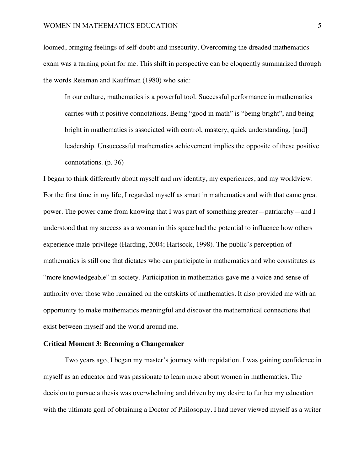loomed, bringing feelings of self-doubt and insecurity. Overcoming the dreaded mathematics exam was a turning point for me. This shift in perspective can be eloquently summarized through the words Reisman and Kauffman (1980) who said:

In our culture, mathematics is a powerful tool. Successful performance in mathematics carries with it positive connotations. Being "good in math" is "being bright", and being bright in mathematics is associated with control, mastery, quick understanding, [and] leadership. Unsuccessful mathematics achievement implies the opposite of these positive connotations. (p. 36)

I began to think differently about myself and my identity, my experiences, and my worldview. For the first time in my life, I regarded myself as smart in mathematics and with that came great power. The power came from knowing that I was part of something greater—patriarchy—and I understood that my success as a woman in this space had the potential to influence how others experience male-privilege (Harding, 2004; Hartsock, 1998). The public's perception of mathematics is still one that dictates who can participate in mathematics and who constitutes as "more knowledgeable" in society. Participation in mathematics gave me a voice and sense of authority over those who remained on the outskirts of mathematics. It also provided me with an opportunity to make mathematics meaningful and discover the mathematical connections that exist between myself and the world around me.

# **Critical Moment 3: Becoming a Changemaker**

Two years ago, I began my master's journey with trepidation. I was gaining confidence in myself as an educator and was passionate to learn more about women in mathematics. The decision to pursue a thesis was overwhelming and driven by my desire to further my education with the ultimate goal of obtaining a Doctor of Philosophy. I had never viewed myself as a writer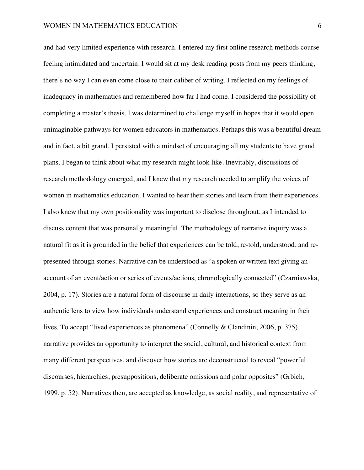and had very limited experience with research. I entered my first online research methods course feeling intimidated and uncertain. I would sit at my desk reading posts from my peers thinking, there's no way I can even come close to their caliber of writing. I reflected on my feelings of inadequacy in mathematics and remembered how far I had come. I considered the possibility of completing a master's thesis. I was determined to challenge myself in hopes that it would open unimaginable pathways for women educators in mathematics. Perhaps this was a beautiful dream and in fact, a bit grand. I persisted with a mindset of encouraging all my students to have grand plans. I began to think about what my research might look like. Inevitably, discussions of research methodology emerged, and I knew that my research needed to amplify the voices of women in mathematics education. I wanted to hear their stories and learn from their experiences. I also knew that my own positionality was important to disclose throughout, as I intended to discuss content that was personally meaningful. The methodology of narrative inquiry was a natural fit as it is grounded in the belief that experiences can be told, re-told, understood, and represented through stories. Narrative can be understood as "a spoken or written text giving an account of an event/action or series of events/actions, chronologically connected" (Czarniawska, 2004, p. 17). Stories are a natural form of discourse in daily interactions, so they serve as an authentic lens to view how individuals understand experiences and construct meaning in their lives. To accept "lived experiences as phenomena" (Connelly & Clandinin, 2006, p. 375), narrative provides an opportunity to interpret the social, cultural, and historical context from many different perspectives, and discover how stories are deconstructed to reveal "powerful discourses, hierarchies, presuppositions, deliberate omissions and polar opposites" (Grbich, 1999, p. 52). Narratives then, are accepted as knowledge, as social reality, and representative of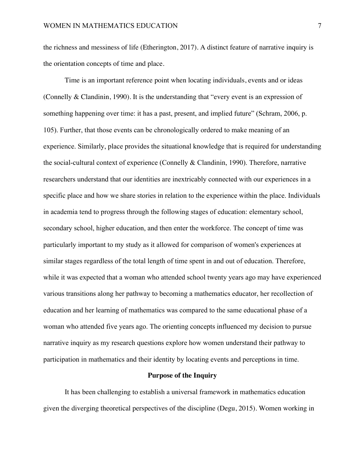the richness and messiness of life (Etherington, 2017). A distinct feature of narrative inquiry is the orientation concepts of time and place.

Time is an important reference point when locating individuals, events and or ideas (Connelly & Clandinin, 1990). It is the understanding that "every event is an expression of something happening over time: it has a past, present, and implied future" (Schram, 2006, p. 105). Further, that those events can be chronologically ordered to make meaning of an experience. Similarly, place provides the situational knowledge that is required for understanding the social-cultural context of experience (Connelly & Clandinin, 1990). Therefore, narrative researchers understand that our identities are inextricably connected with our experiences in a specific place and how we share stories in relation to the experience within the place. Individuals in academia tend to progress through the following stages of education: elementary school, secondary school, higher education, and then enter the workforce. The concept of time was particularly important to my study as it allowed for comparison of women's experiences at similar stages regardless of the total length of time spent in and out of education. Therefore, while it was expected that a woman who attended school twenty years ago may have experienced various transitions along her pathway to becoming a mathematics educator, her recollection of education and her learning of mathematics was compared to the same educational phase of a woman who attended five years ago. The orienting concepts influenced my decision to pursue narrative inquiry as my research questions explore how women understand their pathway to participation in mathematics and their identity by locating events and perceptions in time.

# **Purpose of the Inquiry**

It has been challenging to establish a universal framework in mathematics education given the diverging theoretical perspectives of the discipline (Degu, 2015). Women working in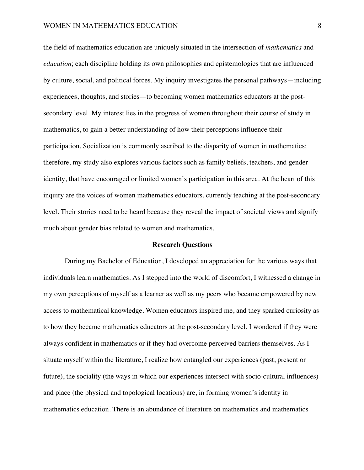the field of mathematics education are uniquely situated in the intersection of *mathematics* and *education*; each discipline holding its own philosophies and epistemologies that are influenced by culture, social, and political forces. My inquiry investigates the personal pathways—including experiences, thoughts, and stories—to becoming women mathematics educators at the postsecondary level. My interest lies in the progress of women throughout their course of study in mathematics, to gain a better understanding of how their perceptions influence their participation. Socialization is commonly ascribed to the disparity of women in mathematics; therefore, my study also explores various factors such as family beliefs, teachers, and gender identity, that have encouraged or limited women's participation in this area. At the heart of this inquiry are the voices of women mathematics educators, currently teaching at the post-secondary level. Their stories need to be heard because they reveal the impact of societal views and signify much about gender bias related to women and mathematics.

## **Research Questions**

During my Bachelor of Education, I developed an appreciation for the various ways that individuals learn mathematics. As I stepped into the world of discomfort, I witnessed a change in my own perceptions of myself as a learner as well as my peers who became empowered by new access to mathematical knowledge. Women educators inspired me, and they sparked curiosity as to how they became mathematics educators at the post-secondary level. I wondered if they were always confident in mathematics or if they had overcome perceived barriers themselves. As I situate myself within the literature, I realize how entangled our experiences (past, present or future), the sociality (the ways in which our experiences intersect with socio-cultural influences) and place (the physical and topological locations) are, in forming women's identity in mathematics education. There is an abundance of literature on mathematics and mathematics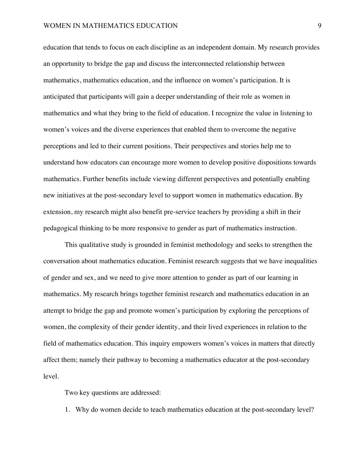education that tends to focus on each discipline as an independent domain. My research provides an opportunity to bridge the gap and discuss the interconnected relationship between mathematics, mathematics education, and the influence on women's participation. It is anticipated that participants will gain a deeper understanding of their role as women in mathematics and what they bring to the field of education. I recognize the value in listening to women's voices and the diverse experiences that enabled them to overcome the negative perceptions and led to their current positions. Their perspectives and stories help me to understand how educators can encourage more women to develop positive dispositions towards mathematics. Further benefits include viewing different perspectives and potentially enabling new initiatives at the post-secondary level to support women in mathematics education. By extension, my research might also benefit pre-service teachers by providing a shift in their pedagogical thinking to be more responsive to gender as part of mathematics instruction.

This qualitative study is grounded in feminist methodology and seeks to strengthen the conversation about mathematics education. Feminist research suggests that we have inequalities of gender and sex, and we need to give more attention to gender as part of our learning in mathematics. My research brings together feminist research and mathematics education in an attempt to bridge the gap and promote women's participation by exploring the perceptions of women, the complexity of their gender identity, and their lived experiences in relation to the field of mathematics education. This inquiry empowers women's voices in matters that directly affect them; namely their pathway to becoming a mathematics educator at the post-secondary level.

Two key questions are addressed:

1. Why do women decide to teach mathematics education at the post-secondary level?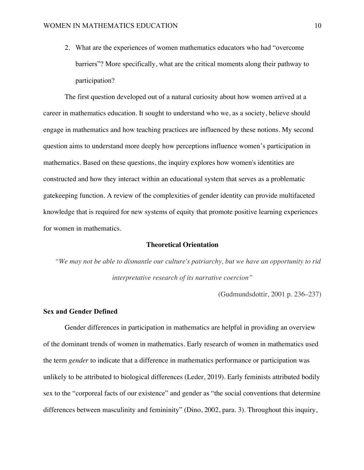2. What are the experiences of women mathematics educators who had "overcome barriers"? More specifically, what are the critical moments along their pathway to participation?

The first question developed out of a natural curiosity about how women arrived at a career in mathematics education. It sought to understand who we, as a society, believe should engage in mathematics and how teaching practices are influenced by these notions. My second question aims to understand more deeply how perceptions influence women's participation in mathematics. Based on these questions, the inquiry explores how women's identities are constructed and how they interact within an educational system that serves as a problematic gatekeeping function. A review of the complexities of gender identity can provide multifaceted knowledge that is required for new systems of equity that promote positive learning experiences for women in mathematics.

# **Theoretical Orientation**

*"We may not be able to dismantle our culture's patriarchy, but we have an opportunity to rid interpretative research of its narrative coercion"*

(Gudmundsdottir, 2001 p. 236–237)

# **Sex and Gender Defined**

Gender differences in participation in mathematics are helpful in providing an overview of the dominant trends of women in mathematics. Early research of women in mathematics used the term *gender* to indicate that a difference in mathematics performance or participation was unlikely to be attributed to biological differences (Leder, 2019). Early feminists attributed bodily sex to the "corporeal facts of our existence" and gender as "the social conventions that determine differences between masculinity and femininity" (Dino, 2002, para. 3). Throughout this inquiry,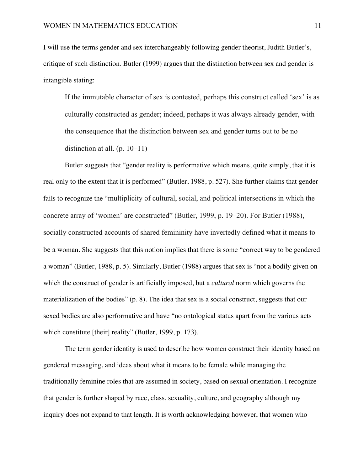I will use the terms gender and sex interchangeably following gender theorist, Judith Butler's, critique of such distinction. Butler (1999) argues that the distinction between sex and gender is intangible stating:

If the immutable character of sex is contested, perhaps this construct called 'sex' is as culturally constructed as gender; indeed, perhaps it was always already gender, with the consequence that the distinction between sex and gender turns out to be no distinction at all.  $(p. 10-11)$ 

Butler suggests that "gender reality is performative which means, quite simply, that it is real only to the extent that it is performed" (Butler, 1988, p. 527). She further claims that gender fails to recognize the "multiplicity of cultural, social, and political intersections in which the concrete array of 'women' are constructed" (Butler, 1999, p. 19–20). For Butler (1988), socially constructed accounts of shared femininity have invertedly defined what it means to be a woman. She suggests that this notion implies that there is some "correct way to be gendered a woman" (Butler, 1988, p. 5). Similarly, Butler (1988) argues that sex is "not a bodily given on which the construct of gender is artificially imposed, but a *cultural* norm which governs the materialization of the bodies" (p. 8). The idea that sex is a social construct, suggests that our sexed bodies are also performative and have "no ontological status apart from the various acts which constitute [their] reality" (Butler, 1999, p. 173).

The term gender identity is used to describe how women construct their identity based on gendered messaging, and ideas about what it means to be female while managing the traditionally feminine roles that are assumed in society, based on sexual orientation. I recognize that gender is further shaped by race, class, sexuality, culture, and geography although my inquiry does not expand to that length. It is worth acknowledging however, that women who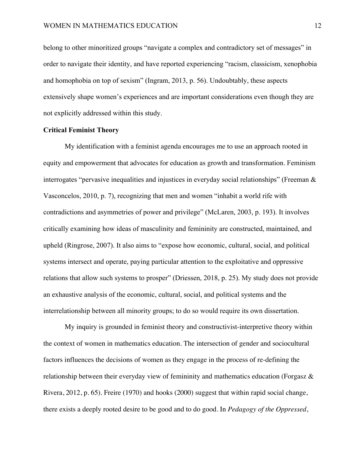belong to other minoritized groups "navigate a complex and contradictory set of messages" in order to navigate their identity, and have reported experiencing "racism, classicism, xenophobia and homophobia on top of sexism" (Ingram, 2013, p. 56). Undoubtably, these aspects extensively shape women's experiences and are important considerations even though they are not explicitly addressed within this study.

# **Critical Feminist Theory**

My identification with a feminist agenda encourages me to use an approach rooted in equity and empowerment that advocates for education as growth and transformation. Feminism interrogates "pervasive inequalities and injustices in everyday social relationships" (Freeman & Vasconcelos, 2010, p. 7), recognizing that men and women "inhabit a world rife with contradictions and asymmetries of power and privilege" (McLaren, 2003, p. 193). It involves critically examining how ideas of masculinity and femininity are constructed, maintained, and upheld (Ringrose, 2007). It also aims to "expose how economic, cultural, social, and political systems intersect and operate, paying particular attention to the exploitative and oppressive relations that allow such systems to prosper" (Driessen, 2018, p. 25). My study does not provide an exhaustive analysis of the economic, cultural, social, and political systems and the interrelationship between all minority groups; to do so would require its own dissertation.

My inquiry is grounded in feminist theory and constructivist-interpretive theory within the context of women in mathematics education. The intersection of gender and sociocultural factors influences the decisions of women as they engage in the process of re-defining the relationship between their everyday view of femininity and mathematics education (Forgasz & Rivera, 2012, p. 65). Freire (1970) and hooks (2000) suggest that within rapid social change, there exists a deeply rooted desire to be good and to do good. In *Pedagogy of the Oppressed*,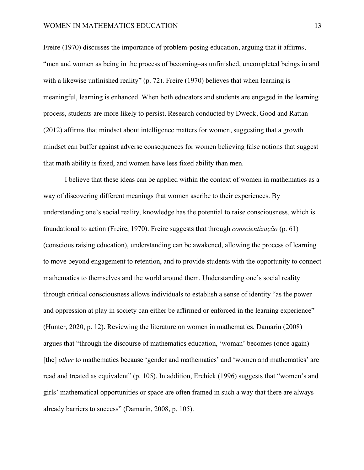Freire (1970) discusses the importance of problem-posing education, arguing that it affirms, "men and women as being in the process of becoming–as unfinished, uncompleted beings in and with a likewise unfinished reality" (p. 72). Freire (1970) believes that when learning is meaningful, learning is enhanced. When both educators and students are engaged in the learning process, students are more likely to persist. Research conducted by Dweck, Good and Rattan (2012) affirms that mindset about intelligence matters for women, suggesting that a growth mindset can buffer against adverse consequences for women believing false notions that suggest that math ability is fixed, and women have less fixed ability than men.

I believe that these ideas can be applied within the context of women in mathematics as a way of discovering different meanings that women ascribe to their experiences. By understanding one's social reality, knowledge has the potential to raise consciousness, which is foundational to action (Freire, 1970). Freire suggests that through *conscientização* (p. 61) (conscious raising education), understanding can be awakened, allowing the process of learning to move beyond engagement to retention, and to provide students with the opportunity to connect mathematics to themselves and the world around them. Understanding one's social reality through critical consciousness allows individuals to establish a sense of identity "as the power and oppression at play in society can either be affirmed or enforced in the learning experience" (Hunter, 2020, p. 12). Reviewing the literature on women in mathematics, Damarin (2008) argues that "through the discourse of mathematics education, 'woman' becomes (once again) [the] *other* to mathematics because 'gender and mathematics' and 'women and mathematics' are read and treated as equivalent" (p. 105). In addition, Erchick (1996) suggests that "women's and girls' mathematical opportunities or space are often framed in such a way that there are always already barriers to success" (Damarin, 2008, p. 105).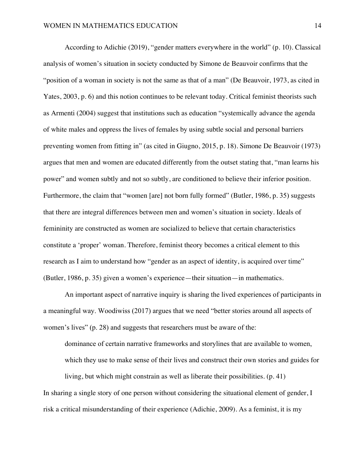According to Adichie (2019), "gender matters everywhere in the world" (p. 10). Classical analysis of women's situation in society conducted by Simone de Beauvoir confirms that the "position of a woman in society is not the same as that of a man" (De Beauvoir, 1973, as cited in Yates, 2003, p. 6) and this notion continues to be relevant today. Critical feminist theorists such as Armenti (2004) suggest that institutions such as education "systemically advance the agenda of white males and oppress the lives of females by using subtle social and personal barriers preventing women from fitting in" (as cited in Giugno, 2015, p. 18). Simone De Beauvoir (1973) argues that men and women are educated differently from the outset stating that, "man learns his power" and women subtly and not so subtly, are conditioned to believe their inferior position. Furthermore, the claim that "women [are] not born fully formed" (Butler, 1986, p. 35) suggests that there are integral differences between men and women's situation in society. Ideals of femininity are constructed as women are socialized to believe that certain characteristics constitute a 'proper' woman. Therefore, feminist theory becomes a critical element to this research as I aim to understand how "gender as an aspect of identity, is acquired over time" (Butler, 1986, p. 35) given a women's experience—their situation—in mathematics.

An important aspect of narrative inquiry is sharing the lived experiences of participants in a meaningful way. Woodiwiss (2017) argues that we need "better stories around all aspects of women's lives" (p. 28) and suggests that researchers must be aware of the:

dominance of certain narrative frameworks and storylines that are available to women, which they use to make sense of their lives and construct their own stories and guides for

living, but which might constrain as well as liberate their possibilities. (p. 41) In sharing a single story of one person without considering the situational element of gender, I risk a critical misunderstanding of their experience (Adichie, 2009). As a feminist, it is my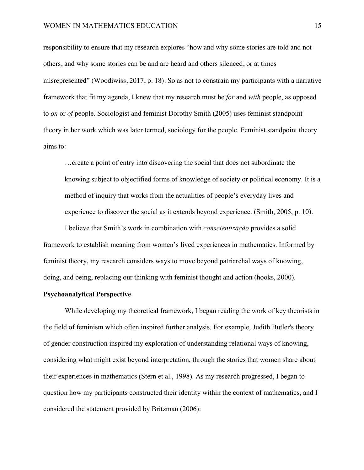responsibility to ensure that my research explores "how and why some stories are told and not others, and why some stories can be and are heard and others silenced, or at times misrepresented" (Woodiwiss, 2017, p. 18). So as not to constrain my participants with a narrative framework that fit my agenda, I knew that my research must be *for* and *with* people, as opposed to *on* or *of* people. Sociologist and feminist Dorothy Smith (2005) uses feminist standpoint theory in her work which was later termed, sociology for the people. Feminist standpoint theory aims to:

…create a point of entry into discovering the social that does not subordinate the knowing subject to objectified forms of knowledge of society or political economy. It is a method of inquiry that works from the actualities of people's everyday lives and experience to discover the social as it extends beyond experience. (Smith, 2005, p. 10).

I believe that Smith's work in combination with *conscientização* provides a solid framework to establish meaning from women's lived experiences in mathematics. Informed by feminist theory, my research considers ways to move beyond patriarchal ways of knowing, doing, and being, replacing our thinking with feminist thought and action (hooks, 2000).

# **Psychoanalytical Perspective**

While developing my theoretical framework, I began reading the work of key theorists in the field of feminism which often inspired further analysis. For example, Judith Butler's theory of gender construction inspired my exploration of understanding relational ways of knowing, considering what might exist beyond interpretation, through the stories that women share about their experiences in mathematics (Stern et al., 1998). As my research progressed, I began to question how my participants constructed their identity within the context of mathematics, and I considered the statement provided by Britzman (2006):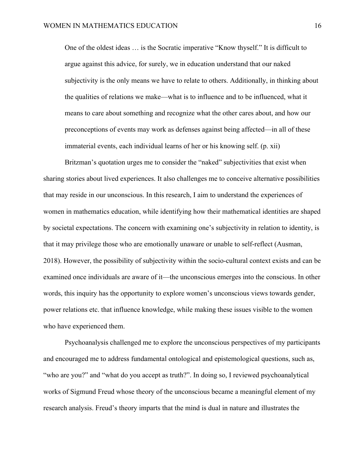One of the oldest ideas … is the Socratic imperative "Know thyself." It is difficult to argue against this advice, for surely, we in education understand that our naked subjectivity is the only means we have to relate to others. Additionally, in thinking about the qualities of relations we make—what is to influence and to be influenced, what it means to care about something and recognize what the other cares about, and how our preconceptions of events may work as defenses against being affected—in all of these immaterial events, each individual learns of her or his knowing self. (p. xii)

Britzman's quotation urges me to consider the "naked" subjectivities that exist when sharing stories about lived experiences. It also challenges me to conceive alternative possibilities that may reside in our unconscious. In this research, I aim to understand the experiences of women in mathematics education, while identifying how their mathematical identities are shaped by societal expectations. The concern with examining one's subjectivity in relation to identity, is that it may privilege those who are emotionally unaware or unable to self-reflect (Ausman, 2018). However, the possibility of subjectivity within the socio-cultural context exists and can be examined once individuals are aware of it—the unconscious emerges into the conscious. In other words, this inquiry has the opportunity to explore women's unconscious views towards gender, power relations etc. that influence knowledge, while making these issues visible to the women who have experienced them.

Psychoanalysis challenged me to explore the unconscious perspectives of my participants and encouraged me to address fundamental ontological and epistemological questions, such as, "who are you?" and "what do you accept as truth?". In doing so, I reviewed psychoanalytical works of Sigmund Freud whose theory of the unconscious became a meaningful element of my research analysis. Freud's theory imparts that the mind is dual in nature and illustrates the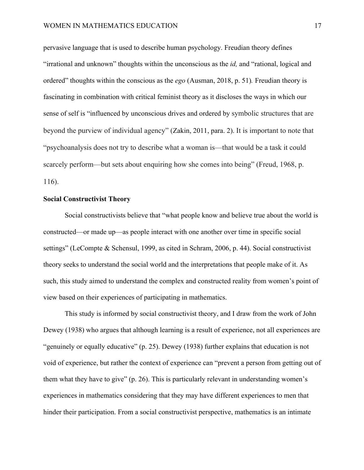pervasive language that is used to describe human psychology. Freudian theory defines "irrational and unknown" thoughts within the unconscious as the *id,* and "rational, logical and ordered" thoughts within the conscious as the *ego* (Ausman, 2018, p. 51)*.* Freudian theory is fascinating in combination with critical feminist theory as it discloses the ways in which our sense of self is "influenced by unconscious drives and ordered by symbolic structures that are beyond the purview of individual agency" (Zakin, 2011, para. 2). It is important to note that "psychoanalysis does not try to describe what a woman is—that would be a task it could scarcely perform—but sets about enquiring how she comes into being" (Freud, 1968, p. 116).

# **Social Constructivist Theory**

Social constructivists believe that "what people know and believe true about the world is constructed—or made up—as people interact with one another over time in specific social settings" (LeCompte & Schensul, 1999, as cited in Schram, 2006, p. 44). Social constructivist theory seeks to understand the social world and the interpretations that people make of it. As such, this study aimed to understand the complex and constructed reality from women's point of view based on their experiences of participating in mathematics.

This study is informed by social constructivist theory, and I draw from the work of John Dewey (1938) who argues that although learning is a result of experience, not all experiences are "genuinely or equally educative" (p. 25). Dewey (1938) further explains that education is not void of experience, but rather the context of experience can "prevent a person from getting out of them what they have to give" (p. 26). This is particularly relevant in understanding women's experiences in mathematics considering that they may have different experiences to men that hinder their participation. From a social constructivist perspective, mathematics is an intimate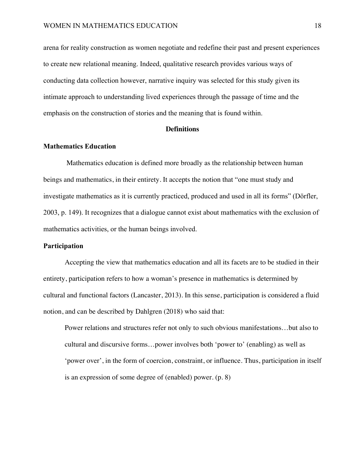arena for reality construction as women negotiate and redefine their past and present experiences to create new relational meaning. Indeed, qualitative research provides various ways of conducting data collection however, narrative inquiry was selected for this study given its intimate approach to understanding lived experiences through the passage of time and the emphasis on the construction of stories and the meaning that is found within.

#### **Definitions**

#### **Mathematics Education**

Mathematics education is defined more broadly as the relationship between human beings and mathematics, in their entirety. It accepts the notion that "one must study and investigate mathematics as it is currently practiced, produced and used in all its forms" (Dörfler, 2003, p. 149). It recognizes that a dialogue cannot exist about mathematics with the exclusion of mathematics activities, or the human beings involved.

# **Participation**

Accepting the view that mathematics education and all its facets are to be studied in their entirety, participation refers to how a woman's presence in mathematics is determined by cultural and functional factors (Lancaster, 2013). In this sense, participation is considered a fluid notion, and can be described by Dahlgren (2018) who said that:

Power relations and structures refer not only to such obvious manifestations…but also to cultural and discursive forms…power involves both 'power to' (enabling) as well as 'power over', in the form of coercion, constraint, or influence. Thus, participation in itself is an expression of some degree of (enabled) power. (p. 8)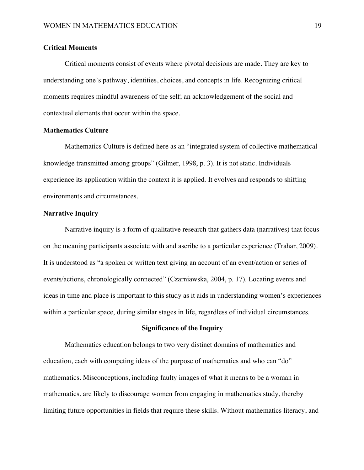# **Critical Moments**

Critical moments consist of events where pivotal decisions are made. They are key to understanding one's pathway, identities, choices, and concepts in life. Recognizing critical moments requires mindful awareness of the self; an acknowledgement of the social and contextual elements that occur within the space.

# **Mathematics Culture**

Mathematics Culture is defined here as an "integrated system of collective mathematical knowledge transmitted among groups" (Gilmer, 1998, p. 3). It is not static. Individuals experience its application within the context it is applied. It evolves and responds to shifting environments and circumstances.

# **Narrative Inquiry**

Narrative inquiry is a form of qualitative research that gathers data (narratives) that focus on the meaning participants associate with and ascribe to a particular experience (Trahar, 2009). It is understood as "a spoken or written text giving an account of an event/action or series of events/actions, chronologically connected" (Czarniawska, 2004, p. 17). Locating events and ideas in time and place is important to this study as it aids in understanding women's experiences within a particular space, during similar stages in life, regardless of individual circumstances.

#### **Significance of the Inquiry**

Mathematics education belongs to two very distinct domains of mathematics and education, each with competing ideas of the purpose of mathematics and who can "do" mathematics. Misconceptions, including faulty images of what it means to be a woman in mathematics, are likely to discourage women from engaging in mathematics study, thereby limiting future opportunities in fields that require these skills. Without mathematics literacy, and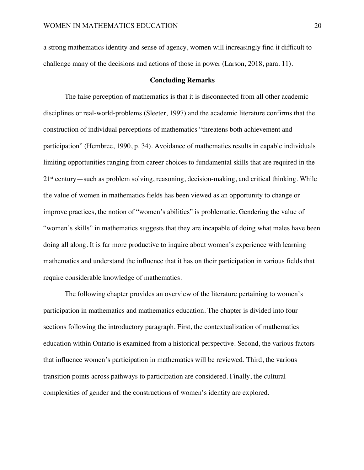a strong mathematics identity and sense of agency, women will increasingly find it difficult to challenge many of the decisions and actions of those in power (Larson, 2018, para. 11).

# **Concluding Remarks**

The false perception of mathematics is that it is disconnected from all other academic disciplines or real-world-problems (Sleeter, 1997) and the academic literature confirms that the construction of individual perceptions of mathematics "threatens both achievement and participation" (Hembree, 1990, p. 34). Avoidance of mathematics results in capable individuals limiting opportunities ranging from career choices to fundamental skills that are required in the  $21<sup>st</sup>$  century—such as problem solving, reasoning, decision-making, and critical thinking. While the value of women in mathematics fields has been viewed as an opportunity to change or improve practices, the notion of "women's abilities" is problematic. Gendering the value of "women's skills" in mathematics suggests that they are incapable of doing what males have been doing all along. It is far more productive to inquire about women's experience with learning mathematics and understand the influence that it has on their participation in various fields that require considerable knowledge of mathematics.

The following chapter provides an overview of the literature pertaining to women's participation in mathematics and mathematics education. The chapter is divided into four sections following the introductory paragraph. First, the contextualization of mathematics education within Ontario is examined from a historical perspective. Second, the various factors that influence women's participation in mathematics will be reviewed. Third, the various transition points across pathways to participation are considered. Finally, the cultural complexities of gender and the constructions of women's identity are explored.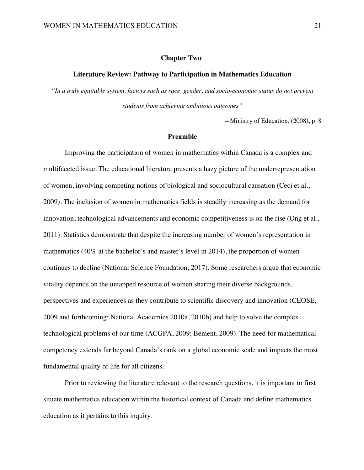#### **Chapter Two:**

#### **Literature Review: Pathway to Participation in Mathematics Education**

*"In a truly equitable system, factors such as race, gender, and socio-economic status do not prevent students from achieving ambitious outcomes"* 

*—*Ministry of Education, (2008), p. 8

# **Preamble**

Improving the participation of women in mathematics within Canada is a complex and multifaceted issue. The educational literature presents a hazy picture of the underrepresentation of women, involving competing notions of biological and sociocultural causation (Ceci et al., 2009). The inclusion of women in mathematics fields is steadily increasing as the demand for innovation, technological advancements and economic competitiveness is on the rise (Ong et al., 2011). Statistics demonstrate that despite the increasing number of women's representation in mathematics (40% at the bachelor's and master's level in 2014), the proportion of women continues to decline (National Science Foundation, 2017). Some researchers argue that economic vitality depends on the untapped resource of women sharing their diverse backgrounds, perspectives and experiences as they contribute to scientific discovery and innovation (CEOSE, 2009 and forthcoming; National Academies 2010a, 2010b) and help to solve the complex technological problems of our time (ACGPA, 2009; Bement, 2009). The need for mathematical competency extends far beyond Canada's rank on a global economic scale and impacts the most fundamental quality of life for all citizens.

Prior to reviewing the literature relevant to the research questions, it is important to first situate mathematics education within the historical context of Canada and define mathematics education as it pertains to this inquiry.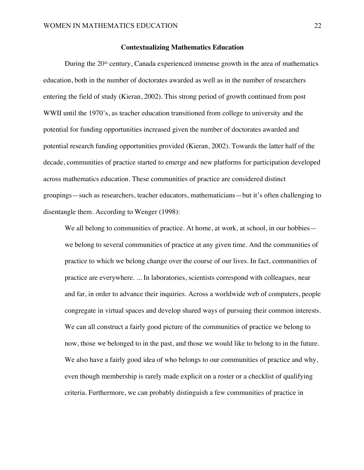# **Contextualizing Mathematics Education**

During the  $20<sup>th</sup>$  century, Canada experienced immense growth in the area of mathematics education, both in the number of doctorates awarded as well as in the number of researchers entering the field of study (Kieran, 2002). This strong period of growth continued from post WWII until the 1970's, as teacher education transitioned from college to university and the potential for funding opportunities increased given the number of doctorates awarded and potential research funding opportunities provided (Kieran, 2002). Towards the latter half of the decade, communities of practice started to emerge and new platforms for participation developed across mathematics education. These communities of practice are considered distinct groupings—such as researchers, teacher educators, mathematicians—but it's often challenging to disentangle them. According to Wenger (1998):

We all belong to communities of practice. At home, at work, at school, in our hobbies we belong to several communities of practice at any given time. And the communities of practice to which we belong change over the course of our lives. In fact, communities of practice are everywhere. ... In laboratories, scientists correspond with colleagues, near and far, in order to advance their inquiries. Across a worldwide web of computers, people congregate in virtual spaces and develop shared ways of pursuing their common interests. We can all construct a fairly good picture of the communities of practice we belong to now, those we belonged to in the past, and those we would like to belong to in the future. We also have a fairly good idea of who belongs to our communities of practice and why, even though membership is rarely made explicit on a roster or a checklist of qualifying criteria. Furthermore, we can probably distinguish a few communities of practice in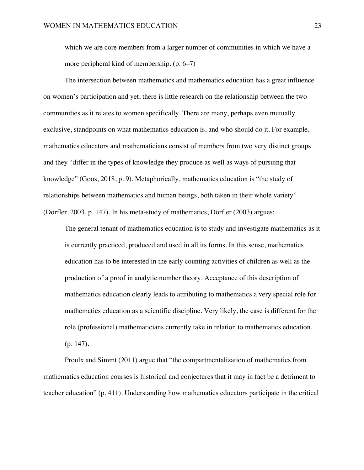which we are core members from a larger number of communities in which we have a more peripheral kind of membership. (p. 6–7)

The intersection between mathematics and mathematics education has a great influence on women's participation and yet, there is little research on the relationship between the two communities as it relates to women specifically. There are many, perhaps even mutually exclusive, standpoints on what mathematics education is, and who should do it. For example, mathematics educators and mathematicians consist of members from two very distinct groups and they "differ in the types of knowledge they produce as well as ways of pursuing that knowledge" (Goos, 2018, p. 9). Metaphorically, mathematics education is "the study of relationships between mathematics and human beings, both taken in their whole variety" (Dörfler, 2003, p. 147). In his meta-study of mathematics, Dörfler (2003) argues:

The general tenant of mathematics education is to study and investigate mathematics as it is currently practiced, produced and used in all its forms. In this sense, mathematics education has to be interested in the early counting activities of children as well as the production of a proof in analytic number theory. Acceptance of this description of mathematics education clearly leads to attributing to mathematics a very special role for mathematics education as a scientific discipline. Very likely, the case is different for the role (professional) mathematicians currently take in relation to mathematics education. (p. 147).

Proulx and Simmt (2011) argue that "the compartmentalization of mathematics from mathematics education courses is historical and conjectures that it may in fact be a detriment to teacher education" (p. 411). Understanding how mathematics educators participate in the critical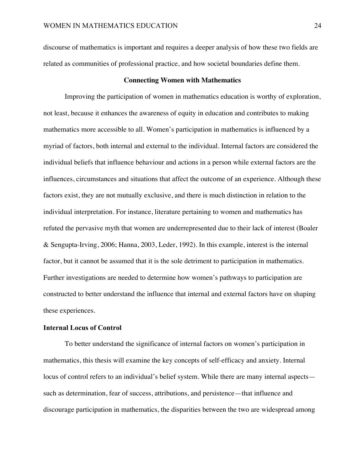discourse of mathematics is important and requires a deeper analysis of how these two fields are related as communities of professional practice, and how societal boundaries define them.

#### **Connecting Women with Mathematics**

Improving the participation of women in mathematics education is worthy of exploration, not least, because it enhances the awareness of equity in education and contributes to making mathematics more accessible to all. Women's participation in mathematics is influenced by a myriad of factors, both internal and external to the individual. Internal factors are considered the individual beliefs that influence behaviour and actions in a person while external factors are the influences, circumstances and situations that affect the outcome of an experience. Although these factors exist, they are not mutually exclusive, and there is much distinction in relation to the individual interpretation. For instance, literature pertaining to women and mathematics has refuted the pervasive myth that women are underrepresented due to their lack of interest (Boaler & Sengupta-Irving, 2006; Hanna, 2003, Leder, 1992). In this example, interest is the internal factor, but it cannot be assumed that it is the sole detriment to participation in mathematics. Further investigations are needed to determine how women's pathways to participation are constructed to better understand the influence that internal and external factors have on shaping these experiences.

# **Internal Locus of Control**

To better understand the significance of internal factors on women's participation in mathematics, this thesis will examine the key concepts of self-efficacy and anxiety. Internal locus of control refers to an individual's belief system. While there are many internal aspects such as determination, fear of success, attributions, and persistence—that influence and discourage participation in mathematics, the disparities between the two are widespread among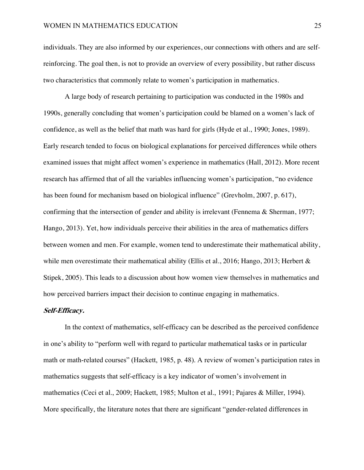individuals. They are also informed by our experiences, our connections with others and are selfreinforcing. The goal then, is not to provide an overview of every possibility, but rather discuss two characteristics that commonly relate to women's participation in mathematics.

A large body of research pertaining to participation was conducted in the 1980s and 1990s, generally concluding that women's participation could be blamed on a women's lack of confidence, as well as the belief that math was hard for girls (Hyde et al., 1990; Jones, 1989). Early research tended to focus on biological explanations for perceived differences while others examined issues that might affect women's experience in mathematics (Hall, 2012). More recent research has affirmed that of all the variables influencing women's participation, "no evidence has been found for mechanism based on biological influence" (Grevholm, 2007, p. 617), confirming that the intersection of gender and ability is irrelevant (Fennema & Sherman, 1977; Hango, 2013). Yet, how individuals perceive their abilities in the area of mathematics differs between women and men. For example, women tend to underestimate their mathematical ability, while men overestimate their mathematical ability (Ellis et al., 2016; Hango, 2013; Herbert & Stipek, 2005). This leads to a discussion about how women view themselves in mathematics and how perceived barriers impact their decision to continue engaging in mathematics.

#### **Self-Efficacy.**

In the context of mathematics, self-efficacy can be described as the perceived confidence in one's ability to "perform well with regard to particular mathematical tasks or in particular math or math-related courses" (Hackett, 1985, p. 48). A review of women's participation rates in mathematics suggests that self-efficacy is a key indicator of women's involvement in mathematics (Ceci et al., 2009; Hackett, 1985; Multon et al., 1991; Pajares & Miller, 1994). More specifically, the literature notes that there are significant "gender-related differences in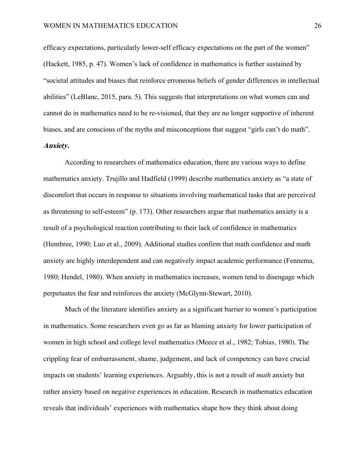efficacy expectations, particularly lower-self efficacy expectations on the part of the women" (Hackett, 1985, p. 47). Women's lack of confidence in mathematics is further sustained by "societal attitudes and biases that reinforce erroneous beliefs of gender differences in intellectual abilities" (LeBlanc, 2015, para. 5). This suggests that interpretations on what women can and cannot do in mathematics need to be re-visioned, that they are no longer supportive of inherent biases, and are conscious of the myths and misconceptions that suggest "girls can't do math". **Anxiety.**

According to researchers of mathematics education, there are various ways to define mathematics anxiety. Trujillo and Hadfield (1999) describe mathematics anxiety as "a state of discomfort that occurs in response to situations involving mathematical tasks that are perceived as threatening to self-esteem" (p. 173). Other researchers argue that mathematics anxiety is a result of a psychological reaction contributing to their lack of confidence in mathematics (Hembree, 1990; Luo et al., 2009). Additional studies confirm that math confidence and math anxiety are highly interdependent and can negatively impact academic performance (Fennema, 1980; Hendel, 1980). When anxiety in mathematics increases, women tend to disengage which perpetuates the fear and reinforces the anxiety (McGlynn-Stewart, 2010).

Much of the literature identifies anxiety as a significant barrier to women's participation in mathematics. Some researchers even go as far as blaming anxiety for lower participation of women in high school and college level mathematics (Meece et al., 1982; Tobias, 1980). The crippling fear of embarrassment, shame, judgement, and lack of competency can have crucial impacts on students' learning experiences. Arguably, this is not a result of *math* anxiety but rather anxiety based on negative experiences in education. Research in mathematics education reveals that individuals' experiences with mathematics shape how they think about doing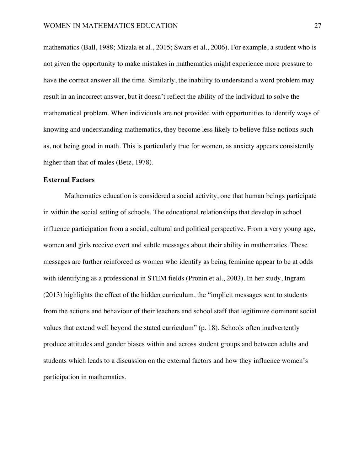mathematics (Ball, 1988; Mizala et al., 2015; Swars et al., 2006). For example, a student who is not given the opportunity to make mistakes in mathematics might experience more pressure to have the correct answer all the time. Similarly, the inability to understand a word problem may result in an incorrect answer, but it doesn't reflect the ability of the individual to solve the mathematical problem. When individuals are not provided with opportunities to identify ways of knowing and understanding mathematics, they become less likely to believe false notions such as, not being good in math. This is particularly true for women, as anxiety appears consistently higher than that of males (Betz, 1978).

# **External Factors**

Mathematics education is considered a social activity, one that human beings participate in within the social setting of schools. The educational relationships that develop in school influence participation from a social, cultural and political perspective. From a very young age, women and girls receive overt and subtle messages about their ability in mathematics. These messages are further reinforced as women who identify as being feminine appear to be at odds with identifying as a professional in STEM fields (Pronin et al., 2003). In her study, Ingram (2013) highlights the effect of the hidden curriculum, the "implicit messages sent to students from the actions and behaviour of their teachers and school staff that legitimize dominant social values that extend well beyond the stated curriculum" (p. 18). Schools often inadvertently produce attitudes and gender biases within and across student groups and between adults and students which leads to a discussion on the external factors and how they influence women's participation in mathematics.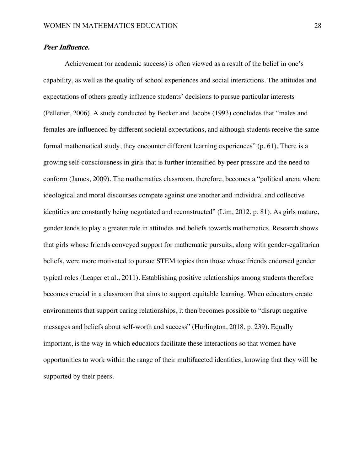### **Peer Influence.**

Achievement (or academic success) is often viewed as a result of the belief in one's capability, as well as the quality of school experiences and social interactions. The attitudes and expectations of others greatly influence students' decisions to pursue particular interests (Pelletier, 2006). A study conducted by Becker and Jacobs (1993) concludes that "males and females are influenced by different societal expectations, and although students receive the same formal mathematical study, they encounter different learning experiences" (p. 61). There is a growing self-consciousness in girls that is further intensified by peer pressure and the need to conform (James, 2009). The mathematics classroom, therefore, becomes a "political arena where ideological and moral discourses compete against one another and individual and collective identities are constantly being negotiated and reconstructed" (Lim, 2012, p. 81). As girls mature, gender tends to play a greater role in attitudes and beliefs towards mathematics. Research shows that girls whose friends conveyed support for mathematic pursuits, along with gender-egalitarian beliefs, were more motivated to pursue STEM topics than those whose friends endorsed gender typical roles (Leaper et al., 2011). Establishing positive relationships among students therefore becomes crucial in a classroom that aims to support equitable learning. When educators create environments that support caring relationships, it then becomes possible to "disrupt negative messages and beliefs about self-worth and success" (Hurlington, 2018, p. 239). Equally important, is the way in which educators facilitate these interactions so that women have opportunities to work within the range of their multifaceted identities, knowing that they will be supported by their peers.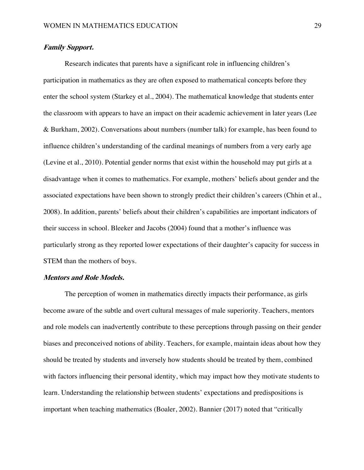### **Family Support.**

Research indicates that parents have a significant role in influencing children's participation in mathematics as they are often exposed to mathematical concepts before they enter the school system (Starkey et al., 2004). The mathematical knowledge that students enter the classroom with appears to have an impact on their academic achievement in later years (Lee & Burkham, 2002). Conversations about numbers (number talk) for example, has been found to influence children's understanding of the cardinal meanings of numbers from a very early age (Levine et al., 2010). Potential gender norms that exist within the household may put girls at a disadvantage when it comes to mathematics. For example, mothers' beliefs about gender and the associated expectations have been shown to strongly predict their children's careers (Chhin et al., 2008). In addition, parents' beliefs about their children's capabilities are important indicators of their success in school. Bleeker and Jacobs (2004) found that a mother's influence was particularly strong as they reported lower expectations of their daughter's capacity for success in STEM than the mothers of boys.

### **Mentors and Role Models.**

The perception of women in mathematics directly impacts their performance, as girls become aware of the subtle and overt cultural messages of male superiority. Teachers, mentors and role models can inadvertently contribute to these perceptions through passing on their gender biases and preconceived notions of ability. Teachers, for example, maintain ideas about how they should be treated by students and inversely how students should be treated by them, combined with factors influencing their personal identity, which may impact how they motivate students to learn. Understanding the relationship between students' expectations and predispositions is important when teaching mathematics (Boaler, 2002). Bannier (2017) noted that "critically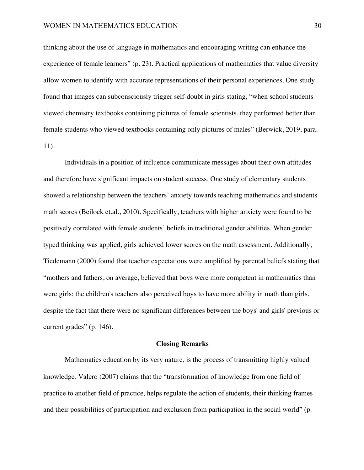thinking about the use of language in mathematics and encouraging writing can enhance the experience of female learners" (p. 23). Practical applications of mathematics that value diversity allow women to identify with accurate representations of their personal experiences. One study found that images can subconsciously trigger self-doubt in girls stating, "when school students viewed chemistry textbooks containing pictures of female scientists, they performed better than female students who viewed textbooks containing only pictures of males" (Berwick, 2019, para. 11).

Individuals in a position of influence communicate messages about their own attitudes and therefore have significant impacts on student success. One study of elementary students showed a relationship between the teachers' anxiety towards teaching mathematics and students math scores (Beilock et.al., 2010). Specifically, teachers with higher anxiety were found to be positively correlated with female students' beliefs in traditional gender abilities. When gender typed thinking was applied, girls achieved lower scores on the math assessment. Additionally, Tiedemann (2000) found that teacher expectations were amplified by parental beliefs stating that "mothers and fathers, on average, believed that boys were more competent in mathematics than were girls; the children's teachers also perceived boys to have more ability in math than girls, despite the fact that there were no significant differences between the boys' and girls' previous or current grades" (p. 146).

#### **Closing Remarks**

Mathematics education by its very nature, is the process of transmitting highly valued knowledge. Valero (2007) claims that the "transformation of knowledge from one field of practice to another field of practice, helps regulate the action of students, their thinking frames and their possibilities of participation and exclusion from participation in the social world" (p.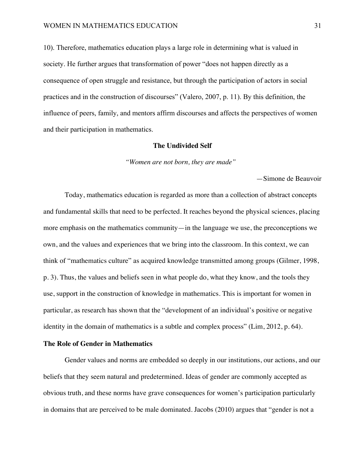10). Therefore, mathematics education plays a large role in determining what is valued in society. He further argues that transformation of power "does not happen directly as a consequence of open struggle and resistance, but through the participation of actors in social practices and in the construction of discourses" (Valero, 2007, p. 11). By this definition, the influence of peers, family, and mentors affirm discourses and affects the perspectives of women and their participation in mathematics.

#### **The Undivided Self**

*"Women are not born, they are made"* 

—Simone de Beauvoir

Today, mathematics education is regarded as more than a collection of abstract concepts and fundamental skills that need to be perfected. It reaches beyond the physical sciences, placing more emphasis on the mathematics community—in the language we use, the preconceptions we own, and the values and experiences that we bring into the classroom. In this context, we can think of "mathematics culture" as acquired knowledge transmitted among groups (Gilmer, 1998, p. 3). Thus, the values and beliefs seen in what people do, what they know, and the tools they use, support in the construction of knowledge in mathematics. This is important for women in particular, as research has shown that the "development of an individual's positive or negative identity in the domain of mathematics is a subtle and complex process" (Lim, 2012, p. 64).

# **The Role of Gender in Mathematics**

Gender values and norms are embedded so deeply in our institutions, our actions, and our beliefs that they seem natural and predetermined. Ideas of gender are commonly accepted as obvious truth, and these norms have grave consequences for women's participation particularly in domains that are perceived to be male dominated. Jacobs (2010) argues that "gender is not a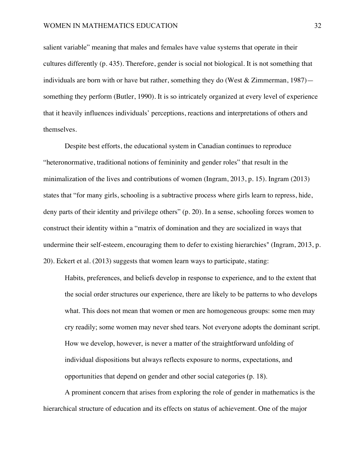salient variable" meaning that males and females have value systems that operate in their cultures differently (p. 435). Therefore, gender is social not biological. It is not something that individuals are born with or have but rather, something they do (West  $\&$  Zimmerman, 1987) something they perform (Butler, 1990). It is so intricately organized at every level of experience that it heavily influences individuals' perceptions, reactions and interpretations of others and themselves.

Despite best efforts, the educational system in Canadian continues to reproduce "heteronormative, traditional notions of femininity and gender roles" that result in the minimalization of the lives and contributions of women (Ingram, 2013, p. 15). Ingram (2013) states that "for many girls, schooling is a subtractive process where girls learn to repress, hide, deny parts of their identity and privilege others" (p. 20). In a sense, schooling forces women to construct their identity within a "matrix of domination and they are socialized in ways that undermine their self-esteem, encouraging them to defer to existing hierarchies" (Ingram, 2013, p. 20). Eckert et al. (2013) suggests that women learn ways to participate, stating:

Habits, preferences, and beliefs develop in response to experience, and to the extent that the social order structures our experience, there are likely to be patterns to who develops what. This does not mean that women or men are homogeneous groups: some men may cry readily; some women may never shed tears. Not everyone adopts the dominant script. How we develop, however, is never a matter of the straightforward unfolding of individual dispositions but always reflects exposure to norms, expectations, and opportunities that depend on gender and other social categories (p. 18).

A prominent concern that arises from exploring the role of gender in mathematics is the hierarchical structure of education and its effects on status of achievement. One of the major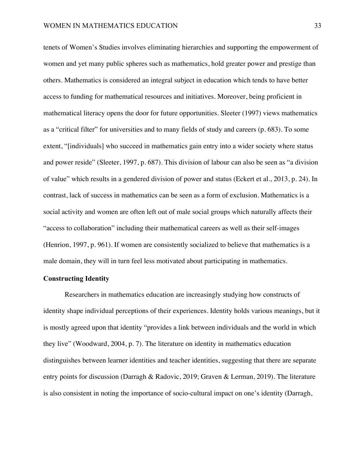tenets of Women's Studies involves eliminating hierarchies and supporting the empowerment of women and yet many public spheres such as mathematics, hold greater power and prestige than others. Mathematics is considered an integral subject in education which tends to have better access to funding for mathematical resources and initiatives. Moreover, being proficient in mathematical literacy opens the door for future opportunities. Sleeter (1997) views mathematics as a "critical filter" for universities and to many fields of study and careers (p. 683). To some extent, "[individuals] who succeed in mathematics gain entry into a wider society where status and power reside" (Sleeter, 1997, p. 687). This division of labour can also be seen as "a division of value" which results in a gendered division of power and status (Eckert et al., 2013, p. 24). In contrast, lack of success in mathematics can be seen as a form of exclusion. Mathematics is a social activity and women are often left out of male social groups which naturally affects their "access to collaboration" including their mathematical careers as well as their self-images (Henrion, 1997, p. 961). If women are consistently socialized to believe that mathematics is a male domain, they will in turn feel less motivated about participating in mathematics.

# **Constructing Identity**

Researchers in mathematics education are increasingly studying how constructs of identity shape individual perceptions of their experiences. Identity holds various meanings, but it is mostly agreed upon that identity "provides a link between individuals and the world in which they live" (Woodward, 2004, p. 7). The literature on identity in mathematics education distinguishes between learner identities and teacher identities, suggesting that there are separate entry points for discussion (Darragh & Radovic, 2019; Graven & Lerman, 2019). The literature is also consistent in noting the importance of socio-cultural impact on one's identity (Darragh,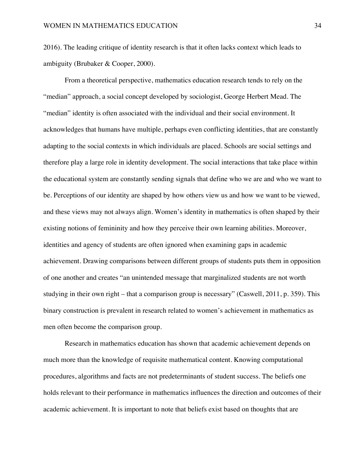2016). The leading critique of identity research is that it often lacks context which leads to ambiguity (Brubaker & Cooper, 2000).

From a theoretical perspective, mathematics education research tends to rely on the "median" approach, a social concept developed by sociologist, George Herbert Mead. The "median" identity is often associated with the individual and their social environment. It acknowledges that humans have multiple, perhaps even conflicting identities, that are constantly adapting to the social contexts in which individuals are placed. Schools are social settings and therefore play a large role in identity development. The social interactions that take place within the educational system are constantly sending signals that define who we are and who we want to be. Perceptions of our identity are shaped by how others view us and how we want to be viewed, and these views may not always align. Women's identity in mathematics is often shaped by their existing notions of femininity and how they perceive their own learning abilities. Moreover, identities and agency of students are often ignored when examining gaps in academic achievement. Drawing comparisons between different groups of students puts them in opposition of one another and creates "an unintended message that marginalized students are not worth studying in their own right – that a comparison group is necessary" (Caswell, 2011, p. 359). This binary construction is prevalent in research related to women's achievement in mathematics as men often become the comparison group.

Research in mathematics education has shown that academic achievement depends on much more than the knowledge of requisite mathematical content. Knowing computational procedures, algorithms and facts are not predeterminants of student success. The beliefs one holds relevant to their performance in mathematics influences the direction and outcomes of their academic achievement. It is important to note that beliefs exist based on thoughts that are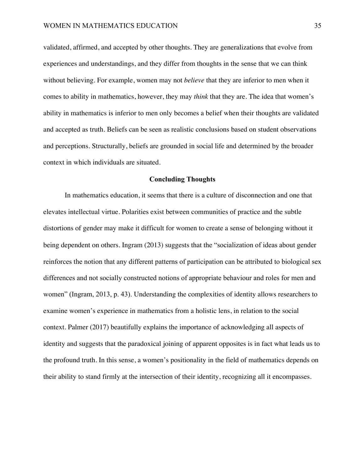validated, affirmed, and accepted by other thoughts. They are generalizations that evolve from experiences and understandings, and they differ from thoughts in the sense that we can think without believing. For example, women may not *believe* that they are inferior to men when it comes to ability in mathematics, however, they may *think* that they are. The idea that women's ability in mathematics is inferior to men only becomes a belief when their thoughts are validated and accepted as truth. Beliefs can be seen as realistic conclusions based on student observations and perceptions. Structurally, beliefs are grounded in social life and determined by the broader context in which individuals are situated.

#### **Concluding Thoughts**

In mathematics education, it seems that there is a culture of disconnection and one that elevates intellectual virtue. Polarities exist between communities of practice and the subtle distortions of gender may make it difficult for women to create a sense of belonging without it being dependent on others. Ingram (2013) suggests that the "socialization of ideas about gender reinforces the notion that any different patterns of participation can be attributed to biological sex differences and not socially constructed notions of appropriate behaviour and roles for men and women" (Ingram, 2013, p. 43). Understanding the complexities of identity allows researchers to examine women's experience in mathematics from a holistic lens, in relation to the social context. Palmer (2017) beautifully explains the importance of acknowledging all aspects of identity and suggests that the paradoxical joining of apparent opposites is in fact what leads us to the profound truth. In this sense, a women's positionality in the field of mathematics depends on their ability to stand firmly at the intersection of their identity, recognizing all it encompasses.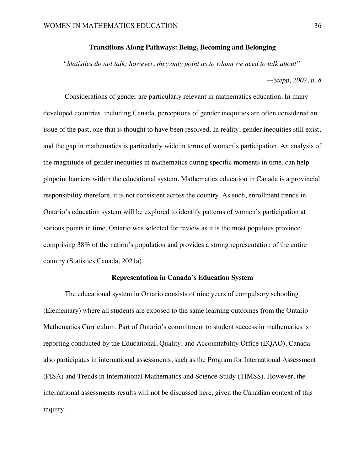### **Transitions Along Pathways: Being, Becoming and Belonging**

*"Statistics do not talk; however, they only point us to whom we need to talk about"*

#### **—***Stepp, 2007, p. 8*

Considerations of gender are particularly relevant in mathematics education. In many developed countries, including Canada, perceptions of gender inequities are often considered an issue of the past, one that is thought to have been resolved. In reality, gender inequities still exist, and the gap in mathematics is particularly wide in terms of women's participation. An analysis of the magnitude of gender inequities in mathematics during specific moments in time, can help pinpoint barriers within the educational system. Mathematics education in Canada is a provincial responsibility therefore, it is not consistent across the country. As such, enrollment trends in Ontario's education system will be explored to identify patterns of women's participation at various points in time. Ontario was selected for review as it is the most populous province, comprising 38% of the nation's population and provides a strong representation of the entire country (Statistics Canada, 2021a).

#### **Representation in Canada's Education System**

The educational system in Ontario consists of nine years of compulsory schooling (Elementary) where all students are exposed to the same learning outcomes from the Ontario Mathematics Curriculum. Part of Ontario's commitment to student success in mathematics is reporting conducted by the Educational, Quality, and Accountability Office (EQAO). Canada also participates in international assessments, such as the Program for International Assessment (PISA) and Trends in International Mathematics and Science Study (TIMSS). However, the international assessments results will not be discussed here, given the Canadian context of this inquiry.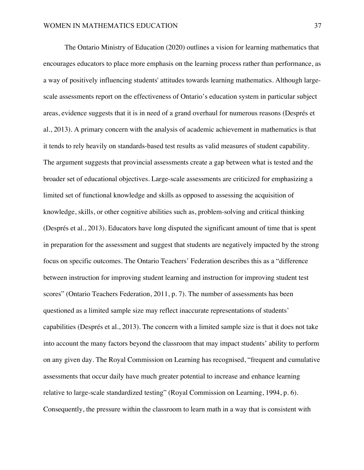The Ontario Ministry of Education (2020) outlines a vision for learning mathematics that encourages educators to place more emphasis on the learning process rather than performance, as a way of positively influencing students' attitudes towards learning mathematics. Although largescale assessments report on the effectiveness of Ontario's education system in particular subject areas, evidence suggests that it is in need of a grand overhaul for numerous reasons (Després et al., 2013). A primary concern with the analysis of academic achievement in mathematics is that it tends to rely heavily on standards-based test results as valid measures of student capability. The argument suggests that provincial assessments create a gap between what is tested and the broader set of educational objectives. Large-scale assessments are criticized for emphasizing a limited set of functional knowledge and skills as opposed to assessing the acquisition of knowledge, skills, or other cognitive abilities such as, problem-solving and critical thinking (Després et al., 2013). Educators have long disputed the significant amount of time that is spent in preparation for the assessment and suggest that students are negatively impacted by the strong focus on specific outcomes. The Ontario Teachers' Federation describes this as a "difference between instruction for improving student learning and instruction for improving student test scores" (Ontario Teachers Federation, 2011, p. 7). The number of assessments has been questioned as a limited sample size may reflect inaccurate representations of students' capabilities (Després et al., 2013). The concern with a limited sample size is that it does not take into account the many factors beyond the classroom that may impact students' ability to perform on any given day. The Royal Commission on Learning has recognised, "frequent and cumulative assessments that occur daily have much greater potential to increase and enhance learning relative to large-scale standardized testing" (Royal Commission on Learning, 1994, p. 6). Consequently, the pressure within the classroom to learn math in a way that is consistent with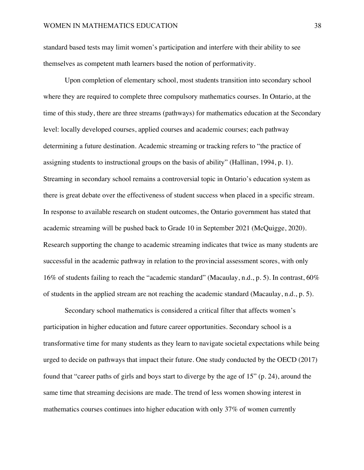standard based tests may limit women's participation and interfere with their ability to see themselves as competent math learners based the notion of performativity.

Upon completion of elementary school, most students transition into secondary school where they are required to complete three compulsory mathematics courses. In Ontario, at the time of this study, there are three streams (pathways) for mathematics education at the Secondary level: locally developed courses, applied courses and academic courses; each pathway determining a future destination. Academic streaming or tracking refers to "the practice of assigning students to instructional groups on the basis of ability" (Hallinan, 1994, p. 1). Streaming in secondary school remains a controversial topic in Ontario's education system as there is great debate over the effectiveness of student success when placed in a specific stream. In response to available research on student outcomes, the Ontario government has stated that academic streaming will be pushed back to Grade 10 in September 2021 (McQuigge, 2020). Research supporting the change to academic streaming indicates that twice as many students are successful in the academic pathway in relation to the provincial assessment scores, with only 16% of students failing to reach the "academic standard" (Macaulay, n.d., p. 5). In contrast, 60% of students in the applied stream are not reaching the academic standard (Macaulay, n.d., p. 5).

Secondary school mathematics is considered a critical filter that affects women's participation in higher education and future career opportunities. Secondary school is a transformative time for many students as they learn to navigate societal expectations while being urged to decide on pathways that impact their future. One study conducted by the OECD (2017) found that "career paths of girls and boys start to diverge by the age of 15" (p. 24), around the same time that streaming decisions are made. The trend of less women showing interest in mathematics courses continues into higher education with only 37% of women currently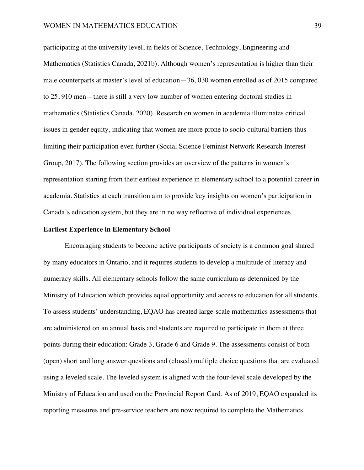participating at the university level, in fields of Science, Technology, Engineering and Mathematics (Statistics Canada, 2021b). Although women's representation is higher than their male counterparts at master's level of education—36, 030 women enrolled as of 2015 compared to 25, 910 men—there is still a very low number of women entering doctoral studies in mathematics (Statistics Canada, 2020). Research on women in academia illuminates critical issues in gender equity, indicating that women are more prone to socio-cultural barriers thus limiting their participation even further (Social Science Feminist Network Research Interest Group, 2017). The following section provides an overview of the patterns in women's representation starting from their earliest experience in elementary school to a potential career in academia. Statistics at each transition aim to provide key insights on women's participation in Canada's education system, but they are in no way reflective of individual experiences.

### **Earliest Experience in Elementary School**

Encouraging students to become active participants of society is a common goal shared by many educators in Ontario, and it requires students to develop a multitude of literacy and numeracy skills. All elementary schools follow the same curriculum as determined by the Ministry of Education which provides equal opportunity and access to education for all students. To assess students' understanding, EQAO has created large-scale mathematics assessments that are administered on an annual basis and students are required to participate in them at three points during their education: Grade 3, Grade 6 and Grade 9. The assessments consist of both (open) short and long answer questions and (closed) multiple choice questions that are evaluated using a leveled scale. The leveled system is aligned with the four-level scale developed by the Ministry of Education and used on the Provincial Report Card. As of 2019, EQAO expanded its reporting measures and pre-service teachers are now required to complete the Mathematics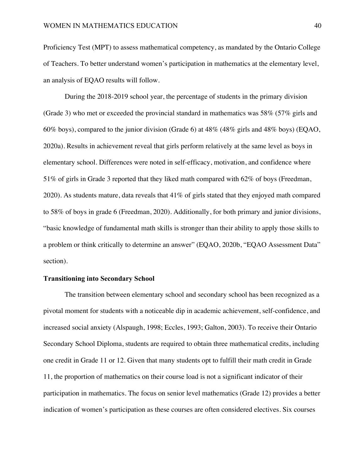Proficiency Test (MPT) to assess mathematical competency, as mandated by the Ontario College of Teachers. To better understand women's participation in mathematics at the elementary level, an analysis of EQAO results will follow.

During the 2018-2019 school year, the percentage of students in the primary division (Grade 3) who met or exceeded the provincial standard in mathematics was 58% (57% girls and 60% boys), compared to the junior division (Grade 6) at 48% (48% girls and 48% boys) (EQAO, 2020a). Results in achievement reveal that girls perform relatively at the same level as boys in elementary school. Differences were noted in self-efficacy, motivation, and confidence where 51% of girls in Grade 3 reported that they liked math compared with 62% of boys (Freedman, 2020). As students mature, data reveals that 41% of girls stated that they enjoyed math compared to 58% of boys in grade 6 (Freedman, 2020). Additionally, for both primary and junior divisions, "basic knowledge of fundamental math skills is stronger than their ability to apply those skills to a problem or think critically to determine an answer" (EQAO, 2020b, "EQAO Assessment Data" section).

### **Transitioning into Secondary School**

The transition between elementary school and secondary school has been recognized as a pivotal moment for students with a noticeable dip in academic achievement, self-confidence, and increased social anxiety (Alspaugh, 1998; Eccles, 1993; Galton, 2003). To receive their Ontario Secondary School Diploma, students are required to obtain three mathematical credits, including one credit in Grade 11 or 12. Given that many students opt to fulfill their math credit in Grade 11, the proportion of mathematics on their course load is not a significant indicator of their participation in mathematics. The focus on senior level mathematics (Grade 12) provides a better indication of women's participation as these courses are often considered electives. Six courses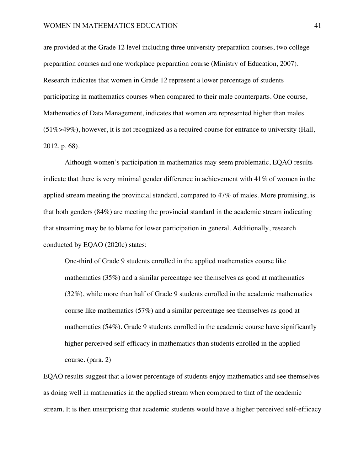are provided at the Grade 12 level including three university preparation courses, two college preparation courses and one workplace preparation course (Ministry of Education, 2007). Research indicates that women in Grade 12 represent a lower percentage of students participating in mathematics courses when compared to their male counterparts. One course, Mathematics of Data Management, indicates that women are represented higher than males (51%>49%), however, it is not recognized as a required course for entrance to university (Hall, 2012, p. 68).

Although women's participation in mathematics may seem problematic, EQAO results indicate that there is very minimal gender difference in achievement with 41% of women in the applied stream meeting the provincial standard, compared to 47% of males. More promising, is that both genders (84%) are meeting the provincial standard in the academic stream indicating that streaming may be to blame for lower participation in general. Additionally, research conducted by EQAO (2020c) states:

One-third of Grade 9 students enrolled in the applied mathematics course like mathematics (35%) and a similar percentage see themselves as good at mathematics (32%), while more than half of Grade 9 students enrolled in the academic mathematics course like mathematics (57%) and a similar percentage see themselves as good at mathematics (54%). Grade 9 students enrolled in the academic course have significantly higher perceived self-efficacy in mathematics than students enrolled in the applied course. (para. 2)

EQAO results suggest that a lower percentage of students enjoy mathematics and see themselves as doing well in mathematics in the applied stream when compared to that of the academic stream. It is then unsurprising that academic students would have a higher perceived self-efficacy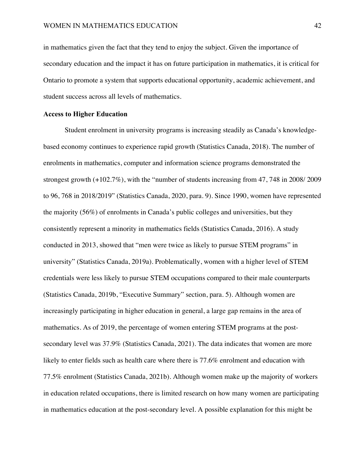in mathematics given the fact that they tend to enjoy the subject. Given the importance of secondary education and the impact it has on future participation in mathematics, it is critical for Ontario to promote a system that supports educational opportunity, academic achievement, and student success across all levels of mathematics.

### **Access to Higher Education**

Student enrolment in university programs is increasing steadily as Canada's knowledgebased economy continues to experience rapid growth (Statistics Canada, 2018). The number of enrolments in mathematics, computer and information science programs demonstrated the strongest growth (+102.7%), with the "number of students increasing from 47, 748 in 2008/ 2009 to 96, 768 in 2018/2019" (Statistics Canada, 2020, para. 9). Since 1990, women have represented the majority (56%) of enrolments in Canada's public colleges and universities, but they consistently represent a minority in mathematics fields (Statistics Canada, 2016). A study conducted in 2013, showed that "men were twice as likely to pursue STEM programs" in university" (Statistics Canada, 2019a). Problematically, women with a higher level of STEM credentials were less likely to pursue STEM occupations compared to their male counterparts (Statistics Canada, 2019b, "Executive Summary" section, para. 5). Although women are increasingly participating in higher education in general, a large gap remains in the area of mathematics. As of 2019, the percentage of women entering STEM programs at the postsecondary level was 37.9% (Statistics Canada, 2021). The data indicates that women are more likely to enter fields such as health care where there is 77.6% enrolment and education with 77.5% enrolment (Statistics Canada, 2021b). Although women make up the majority of workers in education related occupations, there is limited research on how many women are participating in mathematics education at the post-secondary level. A possible explanation for this might be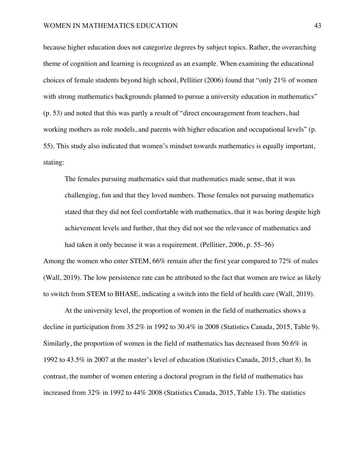because higher education does not categorize degrees by subject topics. Rather, the overarching theme of cognition and learning is recognized as an example. When examining the educational choices of female students beyond high school, Pellitier (2006) found that "only 21% of women with strong mathematics backgrounds planned to pursue a university education in mathematics" (p. 53) and noted that this was partly a result of "direct encouragement from teachers, had working mothers as role models, and parents with higher education and occupational levels" (p. 55). This study also indicated that women's mindset towards mathematics is equally important, stating:

The females pursuing mathematics said that mathematics made sense, that it was challenging, fun and that they loved numbers. Those females not pursuing mathematics stated that they did not feel comfortable with mathematics, that it was boring despite high achievement levels and further, that they did not see the relevance of mathematics and had taken it only because it was a requirement. (Pellitier, 2006, p. 55–56)

Among the women who enter STEM, 66% remain after the first year compared to 72% of males (Wall, 2019). The low persistence rate can be attributed to the fact that women are twice as likely to switch from STEM to BHASE, indicating a switch into the field of health care (Wall, 2019).

At the university level, the proportion of women in the field of mathematics shows a decline in participation from 35.2% in 1992 to 30.4% in 2008 (Statistics Canada, 2015, Table 9). Similarly, the proportion of women in the field of mathematics has decreased from 50.6% in 1992 to 43.5% in 2007 at the master's level of education (Statistics Canada, 2015, chart 8). In contrast, the number of women entering a doctoral program in the field of mathematics has increased from 32% in 1992 to 44% 2008 (Statistics Canada, 2015, Table 13). The statistics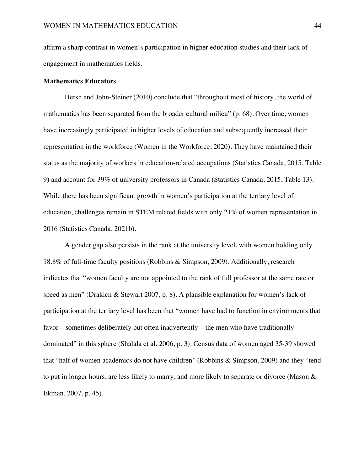affirm a sharp contrast in women's participation in higher education studies and their lack of engagement in mathematics fields.

### **Mathematics Educators**

Hersh and John-Steiner (2010) conclude that "throughout most of history, the world of mathematics has been separated from the broader cultural milieu" (p. 68). Over time, women have increasingly participated in higher levels of education and subsequently increased their representation in the workforce (Women in the Workforce, 2020). They have maintained their status as the majority of workers in education-related occupations (Statistics Canada, 2015, Table 9) and account for 39% of university professors in Canada (Statistics Canada, 2015, Table 13). While there has been significant growth in women's participation at the tertiary level of education, challenges remain in STEM related fields with only 21% of women representation in 2016 (Statistics Canada, 2021b).

A gender gap also persists in the rank at the university level, with women holding only 18.8% of full-time faculty positions (Robbins & Simpson, 2009). Additionally, research indicates that "women faculty are not appointed to the rank of full professor at the same rate or speed as men" (Drakich & Stewart 2007, p. 8). A plausible explanation for women's lack of participation at the tertiary level has been that "women have had to function in environments that favor—sometimes deliberately but often inadvertently—the men who have traditionally dominated" in this sphere (Shalala et al. 2006, p. 3). Census data of women aged 35-39 showed that "half of women academics do not have children" (Robbins & Simpson, 2009) and they "tend to put in longer hours, are less likely to marry, and more likely to separate or divorce (Mason & Ekman, 2007, p. 45).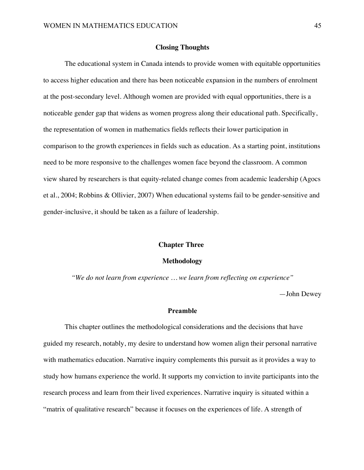#### **Closing Thoughts**

The educational system in Canada intends to provide women with equitable opportunities to access higher education and there has been noticeable expansion in the numbers of enrolment at the post-secondary level. Although women are provided with equal opportunities, there is a noticeable gender gap that widens as women progress along their educational path. Specifically, the representation of women in mathematics fields reflects their lower participation in comparison to the growth experiences in fields such as education. As a starting point, institutions need to be more responsive to the challenges women face beyond the classroom. A common view shared by researchers is that equity-related change comes from academic leadership (Agocs et al., 2004; Robbins & Ollivier, 2007) When educational systems fail to be gender-sensitive and gender-inclusive, it should be taken as a failure of leadership.

#### **Chapter Three:**

#### **Methodology**

*"We do not learn from experience … we learn from reflecting on experience"*

—John Dewey

### **Preamble**

This chapter outlines the methodological considerations and the decisions that have guided my research, notably, my desire to understand how women align their personal narrative with mathematics education. Narrative inquiry complements this pursuit as it provides a way to study how humans experience the world. It supports my conviction to invite participants into the research process and learn from their lived experiences. Narrative inquiry is situated within a "matrix of qualitative research" because it focuses on the experiences of life. A strength of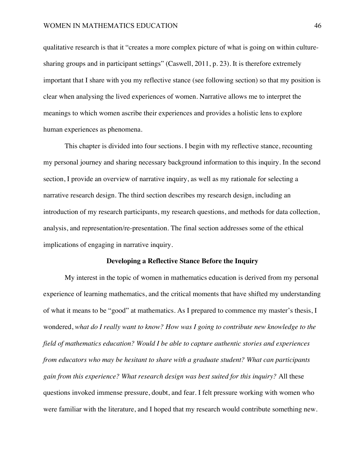qualitative research is that it "creates a more complex picture of what is going on within culturesharing groups and in participant settings" (Caswell, 2011, p. 23). It is therefore extremely important that I share with you my reflective stance (see following section) so that my position is clear when analysing the lived experiences of women. Narrative allows me to interpret the meanings to which women ascribe their experiences and provides a holistic lens to explore human experiences as phenomena.

This chapter is divided into four sections. I begin with my reflective stance, recounting my personal journey and sharing necessary background information to this inquiry. In the second section, I provide an overview of narrative inquiry, as well as my rationale for selecting a narrative research design. The third section describes my research design, including an introduction of my research participants, my research questions, and methods for data collection, analysis, and representation/re-presentation. The final section addresses some of the ethical implications of engaging in narrative inquiry.

### **Developing a Reflective Stance Before the Inquiry**

My interest in the topic of women in mathematics education is derived from my personal experience of learning mathematics, and the critical moments that have shifted my understanding of what it means to be "good" at mathematics. As I prepared to commence my master's thesis, I wondered, *what do I really want to know? How was I going to contribute new knowledge to the field of mathematics education? Would I be able to capture authentic stories and experiences from educators who may be hesitant to share with a graduate student? What can participants gain from this experience? What research design was best suited for this inquiry?* All these questions invoked immense pressure, doubt, and fear. I felt pressure working with women who were familiar with the literature, and I hoped that my research would contribute something new.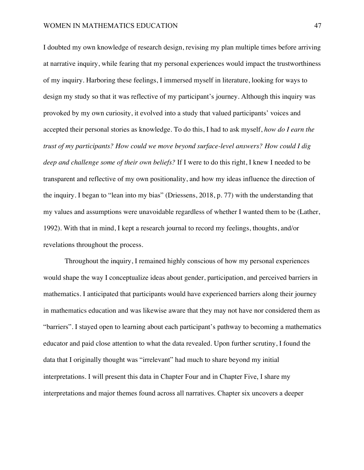I doubted my own knowledge of research design, revising my plan multiple times before arriving at narrative inquiry, while fearing that my personal experiences would impact the trustworthiness of my inquiry. Harboring these feelings, I immersed myself in literature, looking for ways to design my study so that it was reflective of my participant's journey. Although this inquiry was provoked by my own curiosity, it evolved into a study that valued participants' voices and accepted their personal stories as knowledge. To do this, I had to ask myself, *how do I earn the trust of my participants? How could we move beyond surface-level answers? How could I dig deep and challenge some of their own beliefs?* If I were to do this right, I knew I needed to be transparent and reflective of my own positionality, and how my ideas influence the direction of the inquiry. I began to "lean into my bias" (Driessens, 2018, p. 77) with the understanding that my values and assumptions were unavoidable regardless of whether I wanted them to be (Lather, 1992). With that in mind, I kept a research journal to record my feelings, thoughts, and/or revelations throughout the process.

Throughout the inquiry, I remained highly conscious of how my personal experiences would shape the way I conceptualize ideas about gender, participation, and perceived barriers in mathematics. I anticipated that participants would have experienced barriers along their journey in mathematics education and was likewise aware that they may not have nor considered them as "barriers". I stayed open to learning about each participant's pathway to becoming a mathematics educator and paid close attention to what the data revealed. Upon further scrutiny, I found the data that I originally thought was "irrelevant" had much to share beyond my initial interpretations. I will present this data in Chapter Four and in Chapter Five, I share my interpretations and major themes found across all narratives. Chapter six uncovers a deeper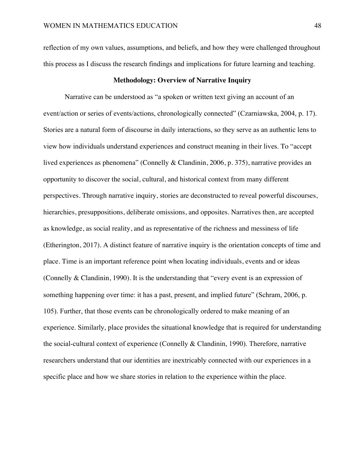reflection of my own values, assumptions, and beliefs, and how they were challenged throughout this process as I discuss the research findings and implications for future learning and teaching.

#### **Methodology: Overview of Narrative Inquiry**

Narrative can be understood as "a spoken or written text giving an account of an event/action or series of events/actions, chronologically connected" (Czarniawska, 2004, p. 17). Stories are a natural form of discourse in daily interactions, so they serve as an authentic lens to view how individuals understand experiences and construct meaning in their lives. To "accept lived experiences as phenomena" (Connelly & Clandinin, 2006, p. 375), narrative provides an opportunity to discover the social, cultural, and historical context from many different perspectives. Through narrative inquiry, stories are deconstructed to reveal powerful discourses, hierarchies, presuppositions, deliberate omissions, and opposites. Narratives then, are accepted as knowledge, as social reality, and as representative of the richness and messiness of life (Etherington, 2017). A distinct feature of narrative inquiry is the orientation concepts of time and place. Time is an important reference point when locating individuals, events and or ideas (Connelly & Clandinin, 1990). It is the understanding that "every event is an expression of something happening over time: it has a past, present, and implied future" (Schram, 2006, p. 105). Further, that those events can be chronologically ordered to make meaning of an experience. Similarly, place provides the situational knowledge that is required for understanding the social-cultural context of experience (Connelly & Clandinin, 1990). Therefore, narrative researchers understand that our identities are inextricably connected with our experiences in a specific place and how we share stories in relation to the experience within the place.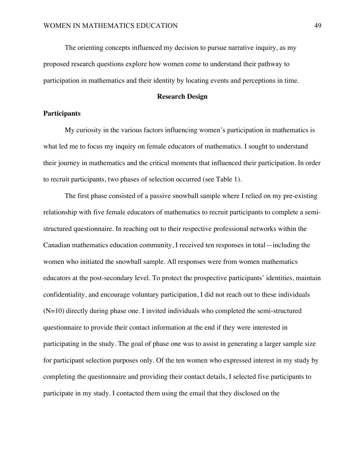The orienting concepts influenced my decision to pursue narrative inquiry, as my proposed research questions explore how women come to understand their pathway to participation in mathematics and their identity by locating events and perceptions in time.

### **Research Design**

#### **Participants**

My curiosity in the various factors influencing women's participation in mathematics is what led me to focus my inquiry on female educators of mathematics. I sought to understand their journey in mathematics and the critical moments that influenced their participation. In order to recruit participants, two phases of selection occurred (see Table 1).

The first phase consisted of a passive snowball sample where I relied on my pre-existing relationship with five female educators of mathematics to recruit participants to complete a semistructured questionnaire. In reaching out to their respective professional networks within the Canadian mathematics education community, I received ten responses in total—including the women who initiated the snowball sample. All responses were from women mathematics educators at the post-secondary level. To protect the prospective participants' identities, maintain confidentiality, and encourage voluntary participation, I did not reach out to these individuals (N=10) directly during phase one. I invited individuals who completed the semi-structured questionnaire to provide their contact information at the end if they were interested in participating in the study. The goal of phase one was to assist in generating a larger sample size for participant selection purposes only. Of the ten women who expressed interest in my study by completing the questionnaire and providing their contact details, I selected five participants to participate in my study. I contacted them using the email that they disclosed on the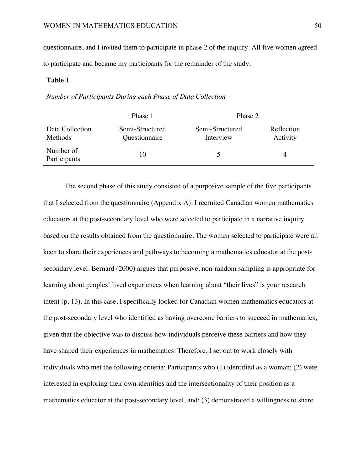questionnaire, and I invited them to participate in phase 2 of the inquiry. All five women agreed to participate and became my participants for the remainder of the study.

### **Table 1**

*Number of Participants During each Phase of Data Collection* 

|                            | Phase 1                          | Phase 2                      |                        |
|----------------------------|----------------------------------|------------------------------|------------------------|
| Data Collection<br>Methods | Semi-Structured<br>Questionnaire | Semi-Structured<br>Interview | Reflection<br>Activity |
| Number of<br>Participants  | 10                               |                              |                        |

The second phase of this study consisted of a purposive sample of the five participants that I selected from the questionnaire (Appendix A). I recruited Canadian women mathematics educators at the post-secondary level who were selected to participate in a narrative inquiry based on the results obtained from the questionnaire. The women selected to participate were all keen to share their experiences and pathways to becoming a mathematics educator at the postsecondary level. Bernard (2000) argues that purposive, non-random sampling is appropriate for learning about peoples' lived experiences when learning about "their lives" is your research intent (p. 13). In this case, I specifically looked for Canadian women mathematics educators at the post-secondary level who identified as having overcome barriers to succeed in mathematics, given that the objective was to discuss how individuals perceive these barriers and how they have shaped their experiences in mathematics. Therefore, I set out to work closely with individuals who met the following criteria: Participants who (1) identified as a woman; (2) were interested in exploring their own identities and the intersectionality of their position as a mathematics educator at the post-secondary level, and; (3) demonstrated a willingness to share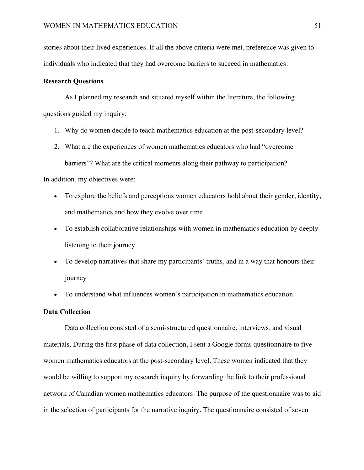stories about their lived experiences. If all the above criteria were met, preference was given to individuals who indicated that they had overcome barriers to succeed in mathematics.

### **Research Questions**

As I planned my research and situated myself within the literature, the following questions guided my inquiry:

- 1. Why do women decide to teach mathematics education at the post-secondary level?
- 2. What are the experiences of women mathematics educators who had "overcome barriers"? What are the critical moments along their pathway to participation?

In addition, my objectives were:

- To explore the beliefs and perceptions women educators hold about their gender, identity, and mathematics and how they evolve over time.
- To establish collaborative relationships with women in mathematics education by deeply listening to their journey
- To develop narratives that share my participants' truths, and in a way that honours their journey
- To understand what influences women's participation in mathematics education

### **Data Collection**

Data collection consisted of a semi-structured questionnaire, interviews, and visual materials. During the first phase of data collection, I sent a Google forms questionnaire to five women mathematics educators at the post-secondary level. These women indicated that they would be willing to support my research inquiry by forwarding the link to their professional network of Canadian women mathematics educators. The purpose of the questionnaire was to aid in the selection of participants for the narrative inquiry. The questionnaire consisted of seven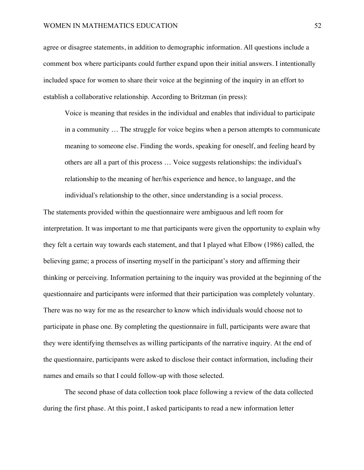agree or disagree statements, in addition to demographic information. All questions include a comment box where participants could further expand upon their initial answers. I intentionally included space for women to share their voice at the beginning of the inquiry in an effort to establish a collaborative relationship. According to Britzman (in press):

Voice is meaning that resides in the individual and enables that individual to participate in a community … The struggle for voice begins when a person attempts to communicate meaning to someone else. Finding the words, speaking for oneself, and feeling heard by others are all a part of this process … Voice suggests relationships: the individual's relationship to the meaning of her/his experience and hence, to language, and the individual's relationship to the other, since understanding is a social process.

The statements provided within the questionnaire were ambiguous and left room for interpretation. It was important to me that participants were given the opportunity to explain why they felt a certain way towards each statement, and that I played what Elbow (1986) called, the believing game; a process of inserting myself in the participant's story and affirming their thinking or perceiving. Information pertaining to the inquiry was provided at the beginning of the questionnaire and participants were informed that their participation was completely voluntary. There was no way for me as the researcher to know which individuals would choose not to participate in phase one. By completing the questionnaire in full, participants were aware that they were identifying themselves as willing participants of the narrative inquiry. At the end of the questionnaire, participants were asked to disclose their contact information, including their names and emails so that I could follow-up with those selected.

The second phase of data collection took place following a review of the data collected during the first phase. At this point, I asked participants to read a new information letter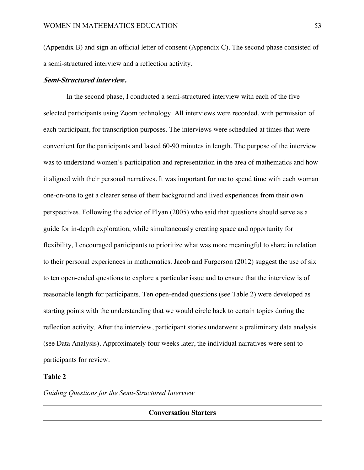(Appendix B) and sign an official letter of consent (Appendix C). The second phase consisted of a semi-structured interview and a reflection activity.

#### **Semi-Structured interview.**

In the second phase, I conducted a semi-structured interview with each of the five selected participants using Zoom technology. All interviews were recorded, with permission of each participant, for transcription purposes. The interviews were scheduled at times that were convenient for the participants and lasted 60-90 minutes in length. The purpose of the interview was to understand women's participation and representation in the area of mathematics and how it aligned with their personal narratives. It was important for me to spend time with each woman one-on-one to get a clearer sense of their background and lived experiences from their own perspectives. Following the advice of Flyan (2005) who said that questions should serve as a guide for in-depth exploration, while simultaneously creating space and opportunity for flexibility, I encouraged participants to prioritize what was more meaningful to share in relation to their personal experiences in mathematics. Jacob and Furgerson (2012) suggest the use of six to ten open-ended questions to explore a particular issue and to ensure that the interview is of reasonable length for participants. Ten open-ended questions (see Table 2) were developed as starting points with the understanding that we would circle back to certain topics during the reflection activity. After the interview, participant stories underwent a preliminary data analysis (see Data Analysis). Approximately four weeks later, the individual narratives were sent to participants for review.

# **Table 2**

*Guiding Questions for the Semi-Structured Interview*

**Conversation Starters**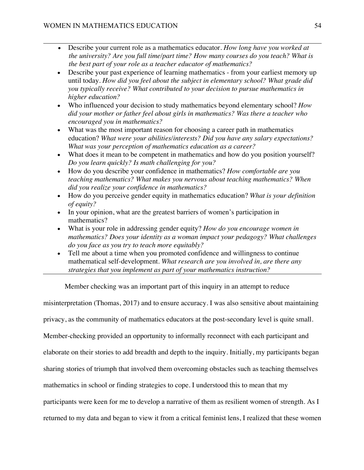- Describe your current role as a mathematics educator. *How long have you worked at the university? Are you full time/part time? How many courses do you teach? What is the best part of your role as a teacher educator of mathematics?*
- Describe your past experience of learning mathematics from your earliest memory up until today. *How did you feel about the subject in elementary school? What grade did you typically receive? What contributed to your decision to pursue mathematics in higher education?*
- Who influenced your decision to study mathematics beyond elementary school? *How did your mother or father feel about girls in mathematics? Was there a teacher who encouraged you in mathematics?*
- What was the most important reason for choosing a career path in mathematics education? *What were your abilities/interests? Did you have any salary expectations? What was your perception of mathematics education as a career?*
- What does it mean to be competent in mathematics and how do you position yourself? *Do you learn quickly? Is math challenging for you?*
- How do you describe your confidence in mathematics? *How comfortable are you teaching mathematics? What makes you nervous about teaching mathematics? When did you realize your confidence in mathematics?*
- How do you perceive gender equity in mathematics education? *What is your definition of equity?*
- In your opinion, what are the greatest barriers of women's participation in mathematics?
- What is your role in addressing gender equity? *How do you encourage women in mathematics? Does your identity as a woman impact your pedagogy? What challenges do you face as you try to teach more equitably?*
- Tell me about a time when you promoted confidence and willingness to continue mathematical self-development. *What research are you involved in, are there any strategies that you implement as part of your mathematics instruction?*

Member checking was an important part of this inquiry in an attempt to reduce

misinterpretation (Thomas, 2017) and to ensure accuracy. I was also sensitive about maintaining

privacy, as the community of mathematics educators at the post-secondary level is quite small.

Member-checking provided an opportunity to informally reconnect with each participant and

elaborate on their stories to add breadth and depth to the inquiry. Initially, my participants began

sharing stories of triumph that involved them overcoming obstacles such as teaching themselves

mathematics in school or finding strategies to cope. I understood this to mean that my

participants were keen for me to develop a narrative of them as resilient women of strength. As I

returned to my data and began to view it from a critical feminist lens, I realized that these women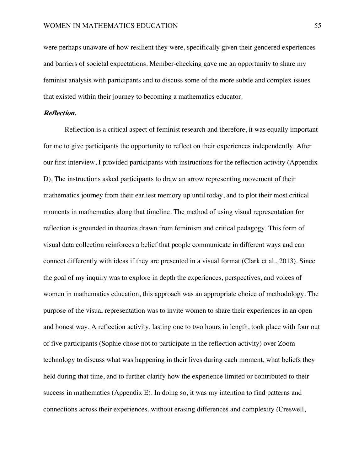were perhaps unaware of how resilient they were, specifically given their gendered experiences and barriers of societal expectations. Member-checking gave me an opportunity to share my feminist analysis with participants and to discuss some of the more subtle and complex issues that existed within their journey to becoming a mathematics educator.

### **Reflection.**

Reflection is a critical aspect of feminist research and therefore, it was equally important for me to give participants the opportunity to reflect on their experiences independently. After our first interview, I provided participants with instructions for the reflection activity (Appendix D). The instructions asked participants to draw an arrow representing movement of their mathematics journey from their earliest memory up until today, and to plot their most critical moments in mathematics along that timeline. The method of using visual representation for reflection is grounded in theories drawn from feminism and critical pedagogy. This form of visual data collection reinforces a belief that people communicate in different ways and can connect differently with ideas if they are presented in a visual format (Clark et al., 2013). Since the goal of my inquiry was to explore in depth the experiences, perspectives, and voices of women in mathematics education, this approach was an appropriate choice of methodology. The purpose of the visual representation was to invite women to share their experiences in an open and honest way. A reflection activity, lasting one to two hours in length, took place with four out of five participants (Sophie chose not to participate in the reflection activity) over Zoom technology to discuss what was happening in their lives during each moment, what beliefs they held during that time, and to further clarify how the experience limited or contributed to their success in mathematics (Appendix E). In doing so, it was my intention to find patterns and connections across their experiences, without erasing differences and complexity (Creswell,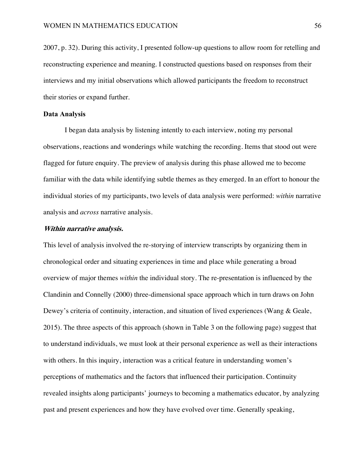2007, p. 32). During this activity, I presented follow-up questions to allow room for retelling and reconstructing experience and meaning. I constructed questions based on responses from their interviews and my initial observations which allowed participants the freedom to reconstruct their stories or expand further.

#### **Data Analysis**

I began data analysis by listening intently to each interview, noting my personal observations, reactions and wonderings while watching the recording. Items that stood out were flagged for future enquiry. The preview of analysis during this phase allowed me to become familiar with the data while identifying subtle themes as they emerged. In an effort to honour the individual stories of my participants, two levels of data analysis were performed: *within* narrative analysis and *across* narrative analysis.

### **Within narrative analysis.**

This level of analysis involved the re-storying of interview transcripts by organizing them in chronological order and situating experiences in time and place while generating a broad overview of major themes *within* the individual story. The re-presentation is influenced by the Clandinin and Connelly (2000) three-dimensional space approach which in turn draws on John Dewey's criteria of continuity, interaction, and situation of lived experiences (Wang & Geale, 2015). The three aspects of this approach (shown in Table 3 on the following page) suggest that to understand individuals, we must look at their personal experience as well as their interactions with others. In this inquiry, interaction was a critical feature in understanding women's perceptions of mathematics and the factors that influenced their participation. Continuity revealed insights along participants' journeys to becoming a mathematics educator, by analyzing past and present experiences and how they have evolved over time. Generally speaking,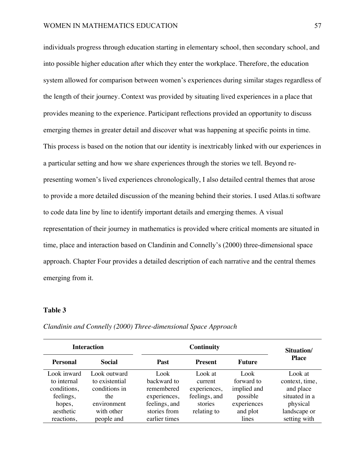individuals progress through education starting in elementary school, then secondary school, and into possible higher education after which they enter the workplace. Therefore, the education system allowed for comparison between women's experiences during similar stages regardless of the length of their journey. Context was provided by situating lived experiences in a place that provides meaning to the experience. Participant reflections provided an opportunity to discuss emerging themes in greater detail and discover what was happening at specific points in time. This process is based on the notion that our identity is inextricably linked with our experiences in a particular setting and how we share experiences through the stories we tell. Beyond representing women's lived experiences chronologically, I also detailed central themes that arose to provide a more detailed discussion of the meaning behind their stories. I used Atlas.ti software to code data line by line to identify important details and emerging themes. A visual representation of their journey in mathematics is provided where critical moments are situated in time, place and interaction based on Clandinin and Connelly's (2000) three-dimensional space approach. Chapter Four provides a detailed description of each narrative and the central themes emerging from it.

### **Table 3**

| <b>Interaction</b> |                | <b>Continuity</b> |                |             | Situation/     |
|--------------------|----------------|-------------------|----------------|-------------|----------------|
| <b>Personal</b>    | <b>Social</b>  | <b>Past</b>       | <b>Present</b> | Future      | <b>Place</b>   |
| Look inward        | Look outward   | Look              | Look at        | Look        | Look at        |
| to internal        | to existential | backward to       | current        | forward to  | context, time, |
| conditions,        | conditions in  | remembered        | experiences,   | implied and | and place      |
| feelings,          | the            | experiences,      | feelings, and  | possible    | situated in a  |
| hopes,             | environment    | feelings, and     | stories        | experiences | physical       |
| aesthetic          | with other     | stories from      | relating to    | and plot    | landscape or   |
| reactions,         | people and     | earlier times     |                | lines       | setting with   |

*Clandinin and Connelly (2000) Three-dimensional Space Approach*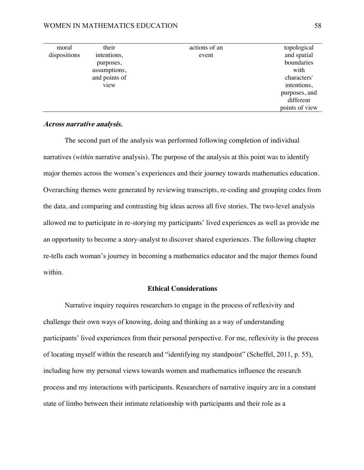#### WOMEN IN MATHEMATICS EDUCATION 58

| moral        | their         | actions of an | topological    |
|--------------|---------------|---------------|----------------|
| dispositions | intentions,   | event         | and spatial    |
|              | purposes,     |               | boundaries     |
|              | assumptions,  |               | with           |
|              | and points of |               | characters'    |
|              | view          |               | intentions,    |
|              |               |               | purposes, and  |
|              |               |               | different      |
|              |               |               | points of view |

### **Across narrative analysis.**

The second part of the analysis was performed following completion of individual narratives (*within* narrative analysis). The purpose of the analysis at this point was to identify major themes across the women's experiences and their journey towards mathematics education. Overarching themes were generated by reviewing transcripts, re-coding and grouping codes from the data, and comparing and contrasting big ideas across all five stories. The two-level analysis allowed me to participate in re-storying my participants' lived experiences as well as provide me an opportunity to become a story-analyst to discover shared experiences. The following chapter re-tells each woman's journey in becoming a mathematics educator and the major themes found within.

### **Ethical Considerations**

Narrative inquiry requires researchers to engage in the process of reflexivity and challenge their own ways of knowing, doing and thinking as a way of understanding participants' lived experiences from their personal perspective. For me, reflexivity is the process of locating myself within the research and "identifying my standpoint" (Scheffel, 2011, p. 55), including how my personal views towards women and mathematics influence the research process and my interactions with participants. Researchers of narrative inquiry are in a constant state of limbo between their intimate relationship with participants and their role as a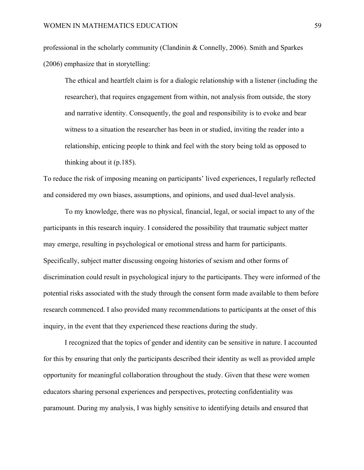professional in the scholarly community (Clandinin & Connelly, 2006). Smith and Sparkes (2006) emphasize that in storytelling:

The ethical and heartfelt claim is for a dialogic relationship with a listener (including the researcher), that requires engagement from within, not analysis from outside, the story and narrative identity. Consequently, the goal and responsibility is to evoke and bear witness to a situation the researcher has been in or studied, inviting the reader into a relationship, enticing people to think and feel with the story being told as opposed to thinking about it (p.185).

To reduce the risk of imposing meaning on participants' lived experiences, I regularly reflected and considered my own biases, assumptions, and opinions, and used dual-level analysis.

To my knowledge, there was no physical, financial, legal, or social impact to any of the participants in this research inquiry. I considered the possibility that traumatic subject matter may emerge, resulting in psychological or emotional stress and harm for participants. Specifically, subject matter discussing ongoing histories of sexism and other forms of discrimination could result in psychological injury to the participants. They were informed of the potential risks associated with the study through the consent form made available to them before research commenced. I also provided many recommendations to participants at the onset of this inquiry, in the event that they experienced these reactions during the study.

I recognized that the topics of gender and identity can be sensitive in nature. I accounted for this by ensuring that only the participants described their identity as well as provided ample opportunity for meaningful collaboration throughout the study. Given that these were women educators sharing personal experiences and perspectives, protecting confidentiality was paramount. During my analysis, I was highly sensitive to identifying details and ensured that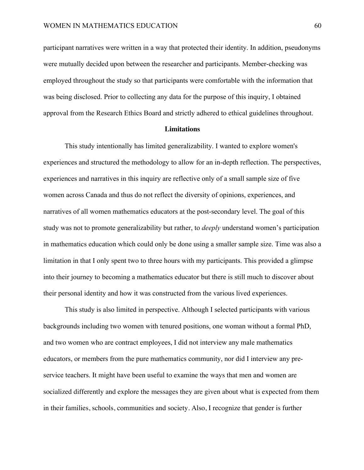participant narratives were written in a way that protected their identity. In addition, pseudonyms were mutually decided upon between the researcher and participants. Member-checking was employed throughout the study so that participants were comfortable with the information that was being disclosed. Prior to collecting any data for the purpose of this inquiry, I obtained approval from the Research Ethics Board and strictly adhered to ethical guidelines throughout.

#### **Limitations**

This study intentionally has limited generalizability. I wanted to explore women's experiences and structured the methodology to allow for an in-depth reflection. The perspectives, experiences and narratives in this inquiry are reflective only of a small sample size of five women across Canada and thus do not reflect the diversity of opinions, experiences, and narratives of all women mathematics educators at the post-secondary level. The goal of this study was not to promote generalizability but rather, to *deeply* understand women's participation in mathematics education which could only be done using a smaller sample size. Time was also a limitation in that I only spent two to three hours with my participants. This provided a glimpse into their journey to becoming a mathematics educator but there is still much to discover about their personal identity and how it was constructed from the various lived experiences.

This study is also limited in perspective. Although I selected participants with various backgrounds including two women with tenured positions, one woman without a formal PhD, and two women who are contract employees, I did not interview any male mathematics educators, or members from the pure mathematics community, nor did I interview any preservice teachers. It might have been useful to examine the ways that men and women are socialized differently and explore the messages they are given about what is expected from them in their families, schools, communities and society. Also, I recognize that gender is further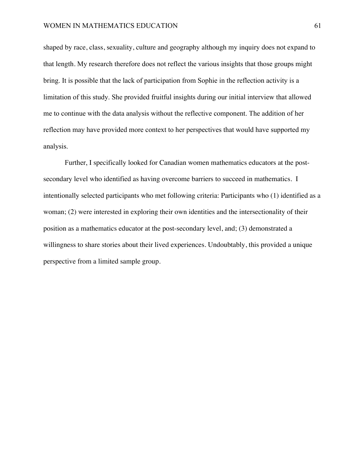shaped by race, class, sexuality, culture and geography although my inquiry does not expand to that length. My research therefore does not reflect the various insights that those groups might bring. It is possible that the lack of participation from Sophie in the reflection activity is a limitation of this study. She provided fruitful insights during our initial interview that allowed me to continue with the data analysis without the reflective component. The addition of her reflection may have provided more context to her perspectives that would have supported my analysis.

Further, I specifically looked for Canadian women mathematics educators at the postsecondary level who identified as having overcome barriers to succeed in mathematics. I intentionally selected participants who met following criteria: Participants who (1) identified as a woman; (2) were interested in exploring their own identities and the intersectionality of their position as a mathematics educator at the post-secondary level, and; (3) demonstrated a willingness to share stories about their lived experiences. Undoubtably, this provided a unique perspective from a limited sample group.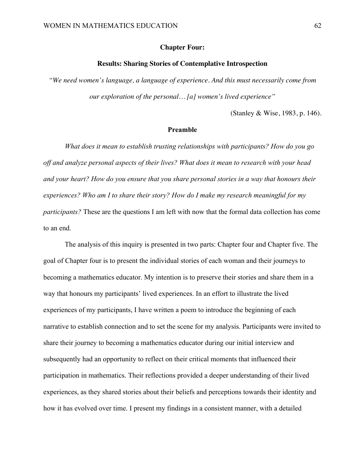### **Chapter Four:**

### **Results: Sharing Stories of Contemplative Introspection**

*"We need women's language, a language of experience. And this must necessarily come from our exploration of the personal… [a] women's lived experience"* 

(Stanley & Wise, 1983, p. 146).

### **Preamble**

*What does it mean to establish trusting relationships with participants? How do you go off and analyze personal aspects of their lives? What does it mean to research with your head and your heart? How do you ensure that you share personal stories in a way that honours their experiences? Who am I to share their story? How do I make my research meaningful for my participants?* These are the questions I am left with now that the formal data collection has come to an end.

The analysis of this inquiry is presented in two parts: Chapter four and Chapter five. The goal of Chapter four is to present the individual stories of each woman and their journeys to becoming a mathematics educator. My intention is to preserve their stories and share them in a way that honours my participants' lived experiences. In an effort to illustrate the lived experiences of my participants, I have written a poem to introduce the beginning of each narrative to establish connection and to set the scene for my analysis. Participants were invited to share their journey to becoming a mathematics educator during our initial interview and subsequently had an opportunity to reflect on their critical moments that influenced their participation in mathematics. Their reflections provided a deeper understanding of their lived experiences, as they shared stories about their beliefs and perceptions towards their identity and how it has evolved over time. I present my findings in a consistent manner, with a detailed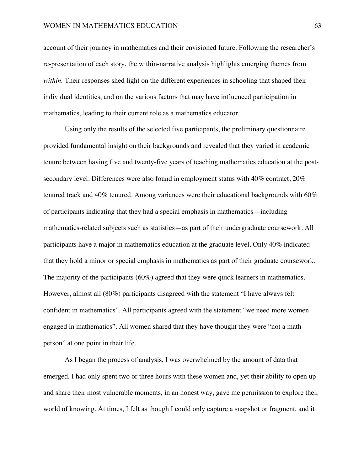### WOMEN IN MATHEMATICS EDUCATION 63

account of their journey in mathematics and their envisioned future. Following the researcher's re-presentation of each story, the within-narrative analysis highlights emerging themes from *within.* Their responses shed light on the different experiences in schooling that shaped their individual identities, and on the various factors that may have influenced participation in mathematics, leading to their current role as a mathematics educator.

Using only the results of the selected five participants, the preliminary questionnaire provided fundamental insight on their backgrounds and revealed that they varied in academic tenure between having five and twenty-five years of teaching mathematics education at the postsecondary level. Differences were also found in employment status with 40% contract, 20% tenured track and 40% tenured. Among variances were their educational backgrounds with 60% of participants indicating that they had a special emphasis in mathematics—including mathematics-related subjects such as statistics—as part of their undergraduate coursework. All participants have a major in mathematics education at the graduate level. Only 40% indicated that they hold a minor or special emphasis in mathematics as part of their graduate coursework. The majority of the participants (60%) agreed that they were quick learners in mathematics. However, almost all (80%) participants disagreed with the statement "I have always felt confident in mathematics". All participants agreed with the statement "we need more women engaged in mathematics". All women shared that they have thought they were "not a math person" at one point in their life.

As I began the process of analysis, I was overwhelmed by the amount of data that emerged. I had only spent two or three hours with these women and, yet their ability to open up and share their most vulnerable moments, in an honest way, gave me permission to explore their world of knowing. At times, I felt as though I could only capture a snapshot or fragment, and it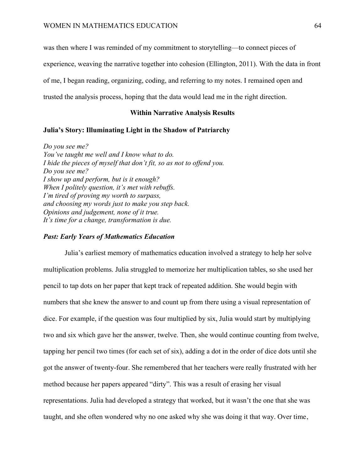was then where I was reminded of my commitment to storytelling—to connect pieces of

experience, weaving the narrative together into cohesion (Ellington, 2011). With the data in front

of me, I began reading, organizing, coding, and referring to my notes. I remained open and

trusted the analysis process, hoping that the data would lead me in the right direction.

#### **Within Narrative Analysis Results**

## **Julia's Story: Illuminating Light in the Shadow of Patriarchy**

*Do you see me? You've taught me well and I know what to do. I hide the pieces of myself that don't fit, so as not to offend you. Do you see me? I show up and perform, but is it enough? When I politely question, it's met with rebuffs. I'm tired of proving my worth to surpass, and choosing my words just to make you step back. Opinions and judgement, none of it true. It's time for a change, transformation is due.*

## *Past: Early Years of Mathematics Education*

Julia's earliest memory of mathematics education involved a strategy to help her solve multiplication problems. Julia struggled to memorize her multiplication tables, so she used her pencil to tap dots on her paper that kept track of repeated addition. She would begin with numbers that she knew the answer to and count up from there using a visual representation of dice. For example, if the question was four multiplied by six, Julia would start by multiplying two and six which gave her the answer, twelve. Then, she would continue counting from twelve, tapping her pencil two times (for each set of six), adding a dot in the order of dice dots until she got the answer of twenty-four. She remembered that her teachers were really frustrated with her method because her papers appeared "dirty". This was a result of erasing her visual representations. Julia had developed a strategy that worked, but it wasn't the one that she was taught, and she often wondered why no one asked why she was doing it that way. Over time,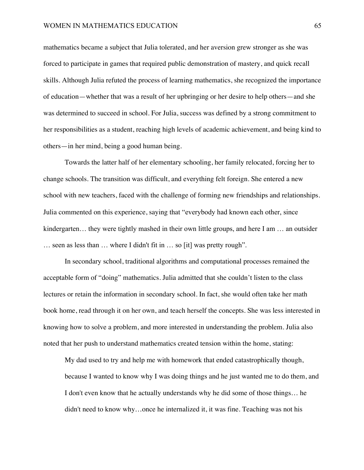mathematics became a subject that Julia tolerated, and her aversion grew stronger as she was forced to participate in games that required public demonstration of mastery, and quick recall skills. Although Julia refuted the process of learning mathematics, she recognized the importance of education—whether that was a result of her upbringing or her desire to help others—and she was determined to succeed in school. For Julia, success was defined by a strong commitment to her responsibilities as a student, reaching high levels of academic achievement, and being kind to others—in her mind, being a good human being.

Towards the latter half of her elementary schooling, her family relocated, forcing her to change schools. The transition was difficult, and everything felt foreign. She entered a new school with new teachers, faced with the challenge of forming new friendships and relationships. Julia commented on this experience, saying that "everybody had known each other, since kindergarten... they were tightly mashed in their own little groups, and here I am ... an outsider … seen as less than … where I didn't fit in … so [it] was pretty rough".

In secondary school, traditional algorithms and computational processes remained the acceptable form of "doing" mathematics. Julia admitted that she couldn't listen to the class lectures or retain the information in secondary school. In fact, she would often take her math book home, read through it on her own, and teach herself the concepts. She was less interested in knowing how to solve a problem, and more interested in understanding the problem. Julia also noted that her push to understand mathematics created tension within the home, stating:

My dad used to try and help me with homework that ended catastrophically though, because I wanted to know why I was doing things and he just wanted me to do them, and I don't even know that he actually understands why he did some of those things… he didn't need to know why…once he internalized it, it was fine. Teaching was not his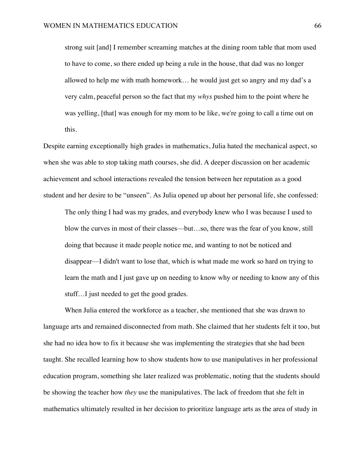strong suit [and] I remember screaming matches at the dining room table that mom used to have to come, so there ended up being a rule in the house, that dad was no longer allowed to help me with math homework… he would just get so angry and my dad's a very calm, peaceful person so the fact that my *whys* pushed him to the point where he was yelling, [that] was enough for my mom to be like, we're going to call a time out on this.

Despite earning exceptionally high grades in mathematics, Julia hated the mechanical aspect, so when she was able to stop taking math courses, she did. A deeper discussion on her academic achievement and school interactions revealed the tension between her reputation as a good student and her desire to be "unseen". As Julia opened up about her personal life, she confessed:

The only thing I had was my grades, and everybody knew who I was because I used to blow the curves in most of their classes—but…so, there was the fear of you know, still doing that because it made people notice me, and wanting to not be noticed and disappear—I didn't want to lose that, which is what made me work so hard on trying to learn the math and I just gave up on needing to know why or needing to know any of this stuff…I just needed to get the good grades.

When Julia entered the workforce as a teacher, she mentioned that she was drawn to language arts and remained disconnected from math. She claimed that her students felt it too, but she had no idea how to fix it because she was implementing the strategies that she had been taught. She recalled learning how to show students how to use manipulatives in her professional education program, something she later realized was problematic, noting that the students should be showing the teacher how *they* use the manipulatives. The lack of freedom that she felt in mathematics ultimately resulted in her decision to prioritize language arts as the area of study in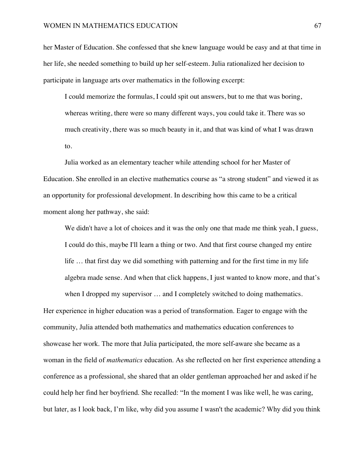her Master of Education. She confessed that she knew language would be easy and at that time in her life, she needed something to build up her self-esteem. Julia rationalized her decision to participate in language arts over mathematics in the following excerpt:

I could memorize the formulas, I could spit out answers, but to me that was boring, whereas writing, there were so many different ways, you could take it. There was so much creativity, there was so much beauty in it, and that was kind of what I was drawn to.

Julia worked as an elementary teacher while attending school for her Master of Education. She enrolled in an elective mathematics course as "a strong student" and viewed it as an opportunity for professional development. In describing how this came to be a critical moment along her pathway, she said:

We didn't have a lot of choices and it was the only one that made me think yeah, I guess, I could do this, maybe I'll learn a thing or two. And that first course changed my entire life … that first day we did something with patterning and for the first time in my life algebra made sense. And when that click happens, I just wanted to know more, and that's when I dropped my supervisor  $\ldots$  and I completely switched to doing mathematics.

Her experience in higher education was a period of transformation. Eager to engage with the community, Julia attended both mathematics and mathematics education conferences to showcase her work. The more that Julia participated, the more self-aware she became as a woman in the field of *mathematics* education. As she reflected on her first experience attending a conference as a professional, she shared that an older gentleman approached her and asked if he could help her find her boyfriend. She recalled: "In the moment I was like well, he was caring, but later, as I look back, I'm like, why did you assume I wasn't the academic? Why did you think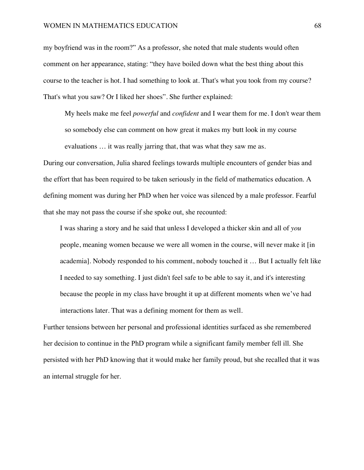my boyfriend was in the room?" As a professor, she noted that male students would often comment on her appearance, stating: "they have boiled down what the best thing about this course to the teacher is hot. I had something to look at. That's what you took from my course? That's what you saw? Or I liked her shoes". She further explained:

My heels make me feel *powerful* and *confident* and I wear them for me. I don't wear them so somebody else can comment on how great it makes my butt look in my course evaluations … it was really jarring that, that was what they saw me as.

During our conversation, Julia shared feelings towards multiple encounters of gender bias and the effort that has been required to be taken seriously in the field of mathematics education. A defining moment was during her PhD when her voice was silenced by a male professor. Fearful that she may not pass the course if she spoke out, she recounted:

I was sharing a story and he said that unless I developed a thicker skin and all of *you* people, meaning women because we were all women in the course, will never make it [in academia]. Nobody responded to his comment, nobody touched it … But I actually felt like I needed to say something. I just didn't feel safe to be able to say it, and it's interesting because the people in my class have brought it up at different moments when we've had interactions later. That was a defining moment for them as well.

Further tensions between her personal and professional identities surfaced as she remembered her decision to continue in the PhD program while a significant family member fell ill. She persisted with her PhD knowing that it would make her family proud, but she recalled that it was an internal struggle for her.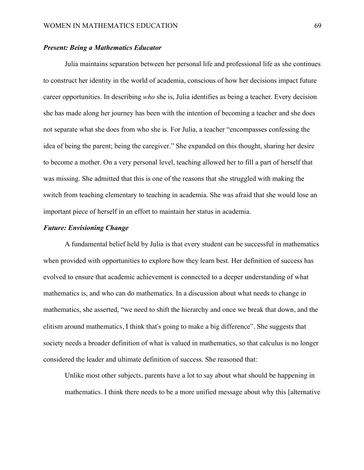## *Present: Being a Mathematics Educator*

Julia maintains separation between her personal life and professional life as she continues to construct her identity in the world of academia, conscious of how her decisions impact future career opportunities. In describing *who* she is, Julia identifies as being a teacher. Every decision she has made along her journey has been with the intention of becoming a teacher and she does not separate what she does from who she is. For Julia, a teacher "encompasses confessing the idea of being the parent; being the caregiver." She expanded on this thought, sharing her desire to become a mother. On a very personal level, teaching allowed her to fill a part of herself that was missing. She admitted that this is one of the reasons that she struggled with making the switch from teaching elementary to teaching in academia. She was afraid that she would lose an important piece of herself in an effort to maintain her status in academia.

# *Future: Envisioning Change*

A fundamental belief held by Julia is that every student can be successful in mathematics when provided with opportunities to explore how they learn best. Her definition of success has evolved to ensure that academic achievement is connected to a deeper understanding of what mathematics is, and who can do mathematics. In a discussion about what needs to change in mathematics, she asserted, "we need to shift the hierarchy and once we break that down, and the elitism around mathematics, I think that's going to make a big difference". She suggests that society needs a broader definition of what is valued in mathematics, so that calculus is no longer considered the leader and ultimate definition of success. She reasoned that:

Unlike most other subjects, parents have a lot to say about what should be happening in mathematics. I think there needs to be a more unified message about why this [alternative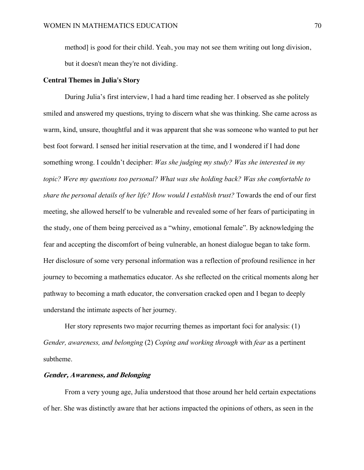method] is good for their child. Yeah, you may not see them writing out long division, but it doesn't mean they're not dividing.

### **Central Themes in Julia's Story**

During Julia's first interview, I had a hard time reading her. I observed as she politely smiled and answered my questions, trying to discern what she was thinking. She came across as warm, kind, unsure, thoughtful and it was apparent that she was someone who wanted to put her best foot forward. I sensed her initial reservation at the time, and I wondered if I had done something wrong. I couldn't decipher: *Was she judging my study? Was she interested in my topic? Were my questions too personal? What was she holding back? Was she comfortable to share the personal details of her life? How would I establish trust?* Towards the end of our first meeting, she allowed herself to be vulnerable and revealed some of her fears of participating in the study, one of them being perceived as a "whiny, emotional female". By acknowledging the fear and accepting the discomfort of being vulnerable, an honest dialogue began to take form. Her disclosure of some very personal information was a reflection of profound resilience in her journey to becoming a mathematics educator. As she reflected on the critical moments along her pathway to becoming a math educator, the conversation cracked open and I began to deeply understand the intimate aspects of her journey.

Her story represents two major recurring themes as important foci for analysis: (1) *Gender, awareness, and belonging* (2) *Coping and working through* with *fear* as a pertinent subtheme.

## **Gender, Awareness, and Belonging**

From a very young age, Julia understood that those around her held certain expectations of her. She was distinctly aware that her actions impacted the opinions of others, as seen in the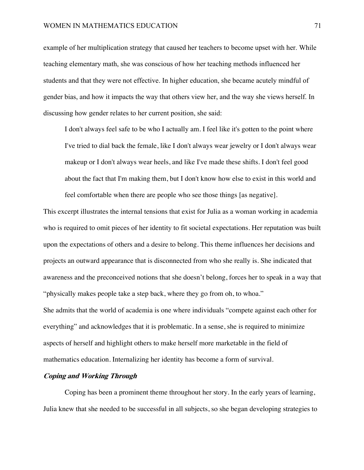### WOMEN IN MATHEMATICS EDUCATION 71

example of her multiplication strategy that caused her teachers to become upset with her. While teaching elementary math, she was conscious of how her teaching methods influenced her students and that they were not effective. In higher education, she became acutely mindful of gender bias, and how it impacts the way that others view her, and the way she views herself. In discussing how gender relates to her current position, she said:

I don't always feel safe to be who I actually am. I feel like it's gotten to the point where I've tried to dial back the female, like I don't always wear jewelry or I don't always wear makeup or I don't always wear heels, and like I've made these shifts. I don't feel good about the fact that I'm making them, but I don't know how else to exist in this world and feel comfortable when there are people who see those things [as negative].

This excerpt illustrates the internal tensions that exist for Julia as a woman working in academia who is required to omit pieces of her identity to fit societal expectations. Her reputation was built upon the expectations of others and a desire to belong. This theme influences her decisions and projects an outward appearance that is disconnected from who she really is. She indicated that awareness and the preconceived notions that she doesn't belong, forces her to speak in a way that "physically makes people take a step back, where they go from oh, to whoa." She admits that the world of academia is one where individuals "compete against each other for everything" and acknowledges that it is problematic. In a sense, she is required to minimize aspects of herself and highlight others to make herself more marketable in the field of mathematics education. Internalizing her identity has become a form of survival.

# **Coping and Working Through**

Coping has been a prominent theme throughout her story. In the early years of learning, Julia knew that she needed to be successful in all subjects, so she began developing strategies to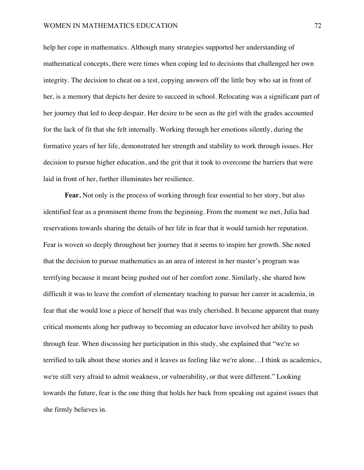help her cope in mathematics. Although many strategies supported her understanding of mathematical concepts, there were times when coping led to decisions that challenged her own integrity. The decision to cheat on a test, copying answers off the little boy who sat in front of her, is a memory that depicts her desire to succeed in school. Relocating was a significant part of her journey that led to deep despair. Her desire to be seen as the girl with the grades accounted for the lack of fit that she felt internally. Working through her emotions silently, during the formative years of her life, demonstrated her strength and stability to work through issues. Her decision to pursue higher education, and the grit that it took to overcome the barriers that were laid in front of her, further illuminates her resilience.

**Fear.** Not only is the process of working through fear essential to her story, but also identified fear as a prominent theme from the beginning. From the moment we met, Julia had reservations towards sharing the details of her life in fear that it would tarnish her reputation. Fear is woven so deeply throughout her journey that it seems to inspire her growth. She noted that the decision to pursue mathematics as an area of interest in her master's program was terrifying because it meant being pushed out of her comfort zone. Similarly, she shared how difficult it was to leave the comfort of elementary teaching to pursue her career in academia, in fear that she would lose a piece of herself that was truly cherished. It became apparent that many critical moments along her pathway to becoming an educator have involved her ability to push through fear. When discussing her participation in this study, she explained that "we're so terrified to talk about these stories and it leaves us feeling like we're alone…I think as academics, we're still very afraid to admit weakness, or vulnerability, or that were different." Looking towards the future, fear is the one thing that holds her back from speaking out against issues that she firmly believes in.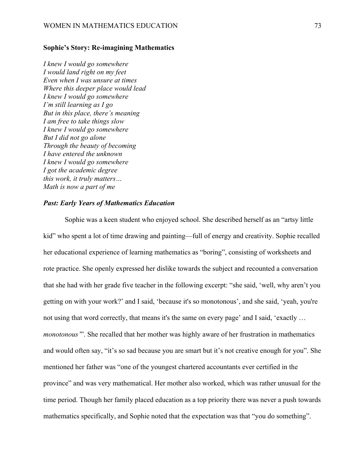### **Sophie's Story: Re-imagining Mathematics**

*I knew I would go somewhere I would land right on my feet Even when I was unsure at times Where this deeper place would lead I knew I would go somewhere I'm still learning as I go But in this place, there's meaning I am free to take things slow I knew I would go somewhere But I did not go alone Through the beauty of becoming I have entered the unknown I knew I would go somewhere I got the academic degree this work, it truly matters… Math is now a part of me*

# *Past: Early Years of Mathematics Education*

Sophie was a keen student who enjoyed school. She described herself as an "artsy little kid" who spent a lot of time drawing and painting—full of energy and creativity. Sophie recalled her educational experience of learning mathematics as "boring", consisting of worksheets and rote practice. She openly expressed her dislike towards the subject and recounted a conversation that she had with her grade five teacher in the following excerpt: "she said, 'well, why aren't you getting on with your work?' and I said, 'because it's so monotonous', and she said, 'yeah, you're not using that word correctly, that means it's the same on every page' and I said, 'exactly … *monotonous'*". She recalled that her mother was highly aware of her frustration in mathematics and would often say, "it's so sad because you are smart but it's not creative enough for you". She mentioned her father was "one of the youngest chartered accountants ever certified in the province" and was very mathematical. Her mother also worked, which was rather unusual for the time period. Though her family placed education as a top priority there was never a push towards mathematics specifically, and Sophie noted that the expectation was that "you do something".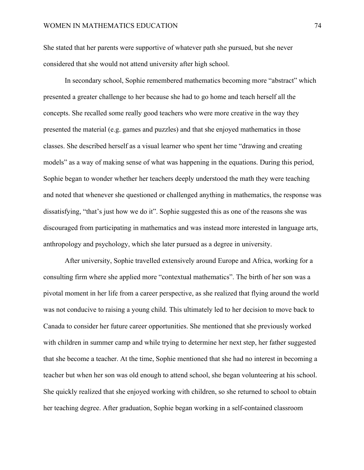She stated that her parents were supportive of whatever path she pursued, but she never considered that she would not attend university after high school.

In secondary school, Sophie remembered mathematics becoming more "abstract" which presented a greater challenge to her because she had to go home and teach herself all the concepts. She recalled some really good teachers who were more creative in the way they presented the material (e.g. games and puzzles) and that she enjoyed mathematics in those classes. She described herself as a visual learner who spent her time "drawing and creating models" as a way of making sense of what was happening in the equations. During this period, Sophie began to wonder whether her teachers deeply understood the math they were teaching and noted that whenever she questioned or challenged anything in mathematics, the response was dissatisfying, "that's just how we do it". Sophie suggested this as one of the reasons she was discouraged from participating in mathematics and was instead more interested in language arts, anthropology and psychology, which she later pursued as a degree in university.

After university, Sophie travelled extensively around Europe and Africa, working for a consulting firm where she applied more "contextual mathematics". The birth of her son was a pivotal moment in her life from a career perspective, as she realized that flying around the world was not conducive to raising a young child. This ultimately led to her decision to move back to Canada to consider her future career opportunities. She mentioned that she previously worked with children in summer camp and while trying to determine her next step, her father suggested that she become a teacher. At the time, Sophie mentioned that she had no interest in becoming a teacher but when her son was old enough to attend school, she began volunteering at his school. She quickly realized that she enjoyed working with children, so she returned to school to obtain her teaching degree. After graduation, Sophie began working in a self-contained classroom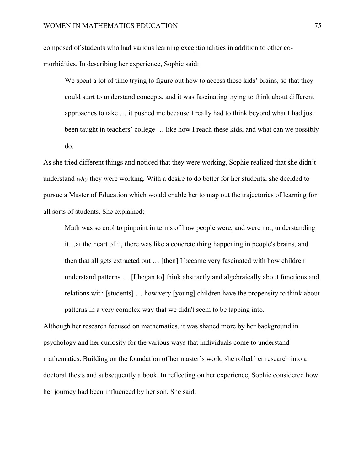composed of students who had various learning exceptionalities in addition to other comorbidities. In describing her experience, Sophie said:

We spent a lot of time trying to figure out how to access these kids' brains, so that they could start to understand concepts, and it was fascinating trying to think about different approaches to take … it pushed me because I really had to think beyond what I had just been taught in teachers' college … like how I reach these kids, and what can we possibly do.

As she tried different things and noticed that they were working, Sophie realized that she didn't understand *why* they were working*.* With a desire to do better for her students, she decided to pursue a Master of Education which would enable her to map out the trajectories of learning for all sorts of students. She explained:

Math was so cool to pinpoint in terms of how people were, and were not, understanding it…at the heart of it, there was like a concrete thing happening in people's brains, and then that all gets extracted out … [then] I became very fascinated with how children understand patterns … [I began to] think abstractly and algebraically about functions and relations with [students] … how very [young] children have the propensity to think about patterns in a very complex way that we didn't seem to be tapping into.

Although her research focused on mathematics, it was shaped more by her background in psychology and her curiosity for the various ways that individuals come to understand mathematics. Building on the foundation of her master's work, she rolled her research into a doctoral thesis and subsequently a book. In reflecting on her experience, Sophie considered how her journey had been influenced by her son. She said: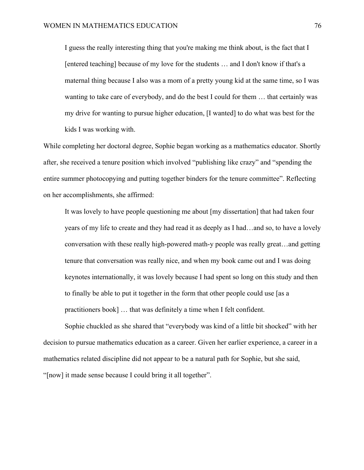I guess the really interesting thing that you're making me think about, is the fact that I [entered teaching] because of my love for the students … and I don't know if that's a maternal thing because I also was a mom of a pretty young kid at the same time, so I was wanting to take care of everybody, and do the best I could for them … that certainly was my drive for wanting to pursue higher education, [I wanted] to do what was best for the kids I was working with.

While completing her doctoral degree, Sophie began working as a mathematics educator. Shortly after, she received a tenure position which involved "publishing like crazy" and "spending the entire summer photocopying and putting together binders for the tenure committee". Reflecting on her accomplishments, she affirmed:

It was lovely to have people questioning me about [my dissertation] that had taken four years of my life to create and they had read it as deeply as I had…and so, to have a lovely conversation with these really high-powered math-y people was really great…and getting tenure that conversation was really nice, and when my book came out and I was doing keynotes internationally, it was lovely because I had spent so long on this study and then to finally be able to put it together in the form that other people could use [as a practitioners book] … that was definitely a time when I felt confident.

Sophie chuckled as she shared that "everybody was kind of a little bit shocked" with her decision to pursue mathematics education as a career. Given her earlier experience, a career in a mathematics related discipline did not appear to be a natural path for Sophie, but she said, "[now] it made sense because I could bring it all together".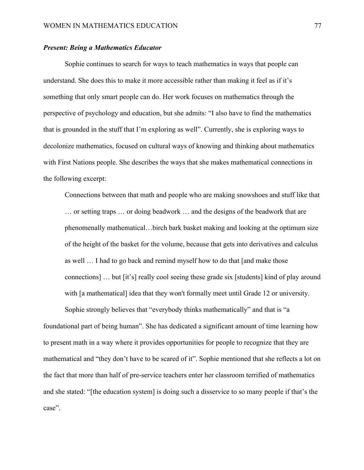## *Present: Being a Mathematics Educator*

Sophie continues to search for ways to teach mathematics in ways that people can understand. She does this to make it more accessible rather than making it feel as if it's something that only smart people can do. Her work focuses on mathematics through the perspective of psychology and education, but she admits: "I also have to find the mathematics that is grounded in the stuff that I'm exploring as well". Currently, she is exploring ways to decolonize mathematics, focused on cultural ways of knowing and thinking about mathematics with First Nations people. She describes the ways that she makes mathematical connections in the following excerpt:

Connections between that math and people who are making snowshoes and stuff like that … or setting traps … or doing beadwork … and the designs of the beadwork that are phenomenally mathematical…birch bark basket making and looking at the optimum size of the height of the basket for the volume, because that gets into derivatives and calculus as well … I had to go back and remind myself how to do that [and make those connections] … but [it's] really cool seeing these grade six [students] kind of play around with [a mathematical] idea that they won't formally meet until Grade 12 or university.

Sophie strongly believes that "everybody thinks mathematically" and that is "a foundational part of being human". She has dedicated a significant amount of time learning how to present math in a way where it provides opportunities for people to recognize that they are mathematical and "they don't have to be scared of it". Sophie mentioned that she reflects a lot on the fact that more than half of pre-service teachers enter her classroom terrified of mathematics and she stated: "[the education system] is doing such a disservice to so many people if that's the case".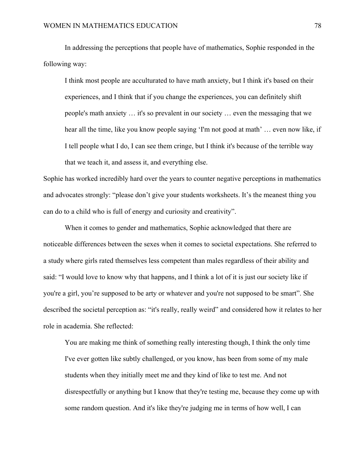In addressing the perceptions that people have of mathematics, Sophie responded in the following way:

I think most people are acculturated to have math anxiety, but I think it's based on their experiences, and I think that if you change the experiences, you can definitely shift people's math anxiety … it's so prevalent in our society … even the messaging that we hear all the time, like you know people saying 'I'm not good at math' ... even now like, if I tell people what I do, I can see them cringe, but I think it's because of the terrible way that we teach it, and assess it, and everything else.

Sophie has worked incredibly hard over the years to counter negative perceptions in mathematics and advocates strongly: "please don't give your students worksheets. It's the meanest thing you can do to a child who is full of energy and curiosity and creativity".

When it comes to gender and mathematics, Sophie acknowledged that there are noticeable differences between the sexes when it comes to societal expectations. She referred to a study where girls rated themselves less competent than males regardless of their ability and said: "I would love to know why that happens, and I think a lot of it is just our society like if you're a girl, you're supposed to be arty or whatever and you're not supposed to be smart". She described the societal perception as: "it's really, really weird" and considered how it relates to her role in academia. She reflected:

You are making me think of something really interesting though, I think the only time I've ever gotten like subtly challenged, or you know, has been from some of my male students when they initially meet me and they kind of like to test me. And not disrespectfully or anything but I know that they're testing me, because they come up with some random question. And it's like they're judging me in terms of how well, I can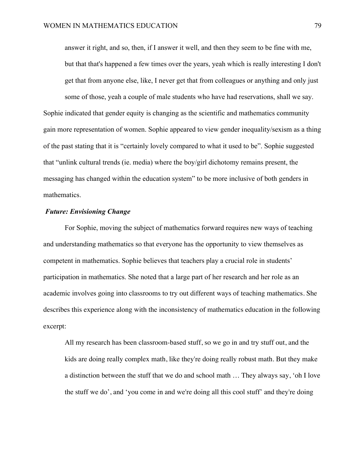answer it right, and so, then, if I answer it well, and then they seem to be fine with me, but that that's happened a few times over the years, yeah which is really interesting I don't get that from anyone else, like, I never get that from colleagues or anything and only just

some of those, yeah a couple of male students who have had reservations, shall we say. Sophie indicated that gender equity is changing as the scientific and mathematics community gain more representation of women. Sophie appeared to view gender inequality/sexism as a thing of the past stating that it is "certainly lovely compared to what it used to be". Sophie suggested that "unlink cultural trends (ie. media) where the boy/girl dichotomy remains present, the messaging has changed within the education system" to be more inclusive of both genders in mathematics.

### *Future: Envisioning Change*

For Sophie, moving the subject of mathematics forward requires new ways of teaching and understanding mathematics so that everyone has the opportunity to view themselves as competent in mathematics. Sophie believes that teachers play a crucial role in students' participation in mathematics. She noted that a large part of her research and her role as an academic involves going into classrooms to try out different ways of teaching mathematics. She describes this experience along with the inconsistency of mathematics education in the following excerpt:

All my research has been classroom-based stuff, so we go in and try stuff out, and the kids are doing really complex math, like they're doing really robust math. But they make a distinction between the stuff that we do and school math … They always say, 'oh I love the stuff we do', and 'you come in and we're doing all this cool stuff' and they're doing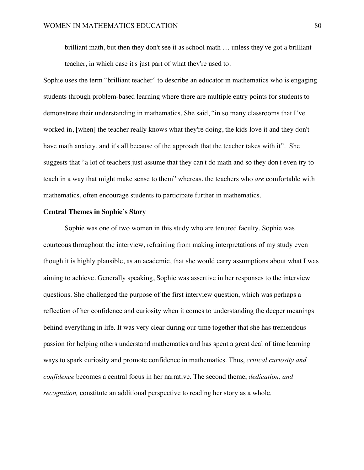brilliant math, but then they don't see it as school math … unless they've got a brilliant teacher, in which case it's just part of what they're used to.

Sophie uses the term "brilliant teacher" to describe an educator in mathematics who is engaging students through problem-based learning where there are multiple entry points for students to demonstrate their understanding in mathematics. She said, "in so many classrooms that I've worked in, [when] the teacher really knows what they're doing, the kids love it and they don't have math anxiety, and it's all because of the approach that the teacher takes with it". She suggests that "a lot of teachers just assume that they can't do math and so they don't even try to teach in a way that might make sense to them" whereas, the teachers who *are* comfortable with mathematics, often encourage students to participate further in mathematics.

### **Central Themes in Sophie's Story**

Sophie was one of two women in this study who are tenured faculty. Sophie was courteous throughout the interview, refraining from making interpretations of my study even though it is highly plausible, as an academic, that she would carry assumptions about what I was aiming to achieve. Generally speaking, Sophie was assertive in her responses to the interview questions. She challenged the purpose of the first interview question, which was perhaps a reflection of her confidence and curiosity when it comes to understanding the deeper meanings behind everything in life. It was very clear during our time together that she has tremendous passion for helping others understand mathematics and has spent a great deal of time learning ways to spark curiosity and promote confidence in mathematics. Thus, *critical curiosity and confidence* becomes a central focus in her narrative. The second theme, *dedication, and recognition,* constitute an additional perspective to reading her story as a whole.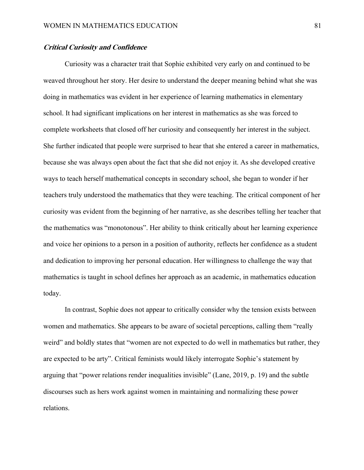## **Critical Curiosity and Confidence**

Curiosity was a character trait that Sophie exhibited very early on and continued to be weaved throughout her story. Her desire to understand the deeper meaning behind what she was doing in mathematics was evident in her experience of learning mathematics in elementary school. It had significant implications on her interest in mathematics as she was forced to complete worksheets that closed off her curiosity and consequently her interest in the subject. She further indicated that people were surprised to hear that she entered a career in mathematics, because she was always open about the fact that she did not enjoy it. As she developed creative ways to teach herself mathematical concepts in secondary school, she began to wonder if her teachers truly understood the mathematics that they were teaching. The critical component of her curiosity was evident from the beginning of her narrative, as she describes telling her teacher that the mathematics was "monotonous". Her ability to think critically about her learning experience and voice her opinions to a person in a position of authority, reflects her confidence as a student and dedication to improving her personal education. Her willingness to challenge the way that mathematics is taught in school defines her approach as an academic, in mathematics education today.

In contrast, Sophie does not appear to critically consider why the tension exists between women and mathematics. She appears to be aware of societal perceptions, calling them "really weird" and boldly states that "women are not expected to do well in mathematics but rather, they are expected to be arty". Critical feminists would likely interrogate Sophie's statement by arguing that "power relations render inequalities invisible" (Lane, 2019, p. 19) and the subtle discourses such as hers work against women in maintaining and normalizing these power relations.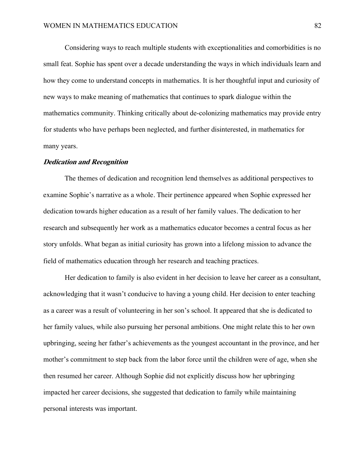Considering ways to reach multiple students with exceptionalities and comorbidities is no small feat. Sophie has spent over a decade understanding the ways in which individuals learn and how they come to understand concepts in mathematics. It is her thoughtful input and curiosity of new ways to make meaning of mathematics that continues to spark dialogue within the mathematics community. Thinking critically about de-colonizing mathematics may provide entry for students who have perhaps been neglected, and further disinterested, in mathematics for many years.

### **Dedication and Recognition**

The themes of dedication and recognition lend themselves as additional perspectives to examine Sophie's narrative as a whole. Their pertinence appeared when Sophie expressed her dedication towards higher education as a result of her family values. The dedication to her research and subsequently her work as a mathematics educator becomes a central focus as her story unfolds. What began as initial curiosity has grown into a lifelong mission to advance the field of mathematics education through her research and teaching practices.

Her dedication to family is also evident in her decision to leave her career as a consultant, acknowledging that it wasn't conducive to having a young child. Her decision to enter teaching as a career was a result of volunteering in her son's school. It appeared that she is dedicated to her family values, while also pursuing her personal ambitions. One might relate this to her own upbringing, seeing her father's achievements as the youngest accountant in the province, and her mother's commitment to step back from the labor force until the children were of age, when she then resumed her career. Although Sophie did not explicitly discuss how her upbringing impacted her career decisions, she suggested that dedication to family while maintaining personal interests was important.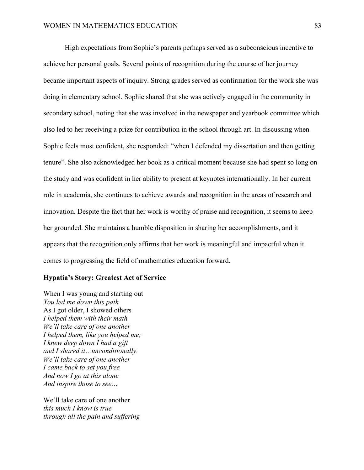High expectations from Sophie's parents perhaps served as a subconscious incentive to achieve her personal goals. Several points of recognition during the course of her journey became important aspects of inquiry. Strong grades served as confirmation for the work she was doing in elementary school. Sophie shared that she was actively engaged in the community in secondary school, noting that she was involved in the newspaper and yearbook committee which also led to her receiving a prize for contribution in the school through art. In discussing when Sophie feels most confident, she responded: "when I defended my dissertation and then getting tenure". She also acknowledged her book as a critical moment because she had spent so long on the study and was confident in her ability to present at keynotes internationally. In her current role in academia, she continues to achieve awards and recognition in the areas of research and innovation. Despite the fact that her work is worthy of praise and recognition, it seems to keep her grounded. She maintains a humble disposition in sharing her accomplishments, and it appears that the recognition only affirms that her work is meaningful and impactful when it comes to progressing the field of mathematics education forward.

### **Hypatia's Story: Greatest Act of Service**

When I was young and starting out *You led me down this path* As I got older, I showed others *I helped them with their math We'll take care of one another I helped them, like you helped me; I knew deep down I had a gift and I shared it…unconditionally. We'll take care of one another I came back to set you free And now I go at this alone And inspire those to see…*

We'll take care of one another *this much I know is true through all the pain and suffering*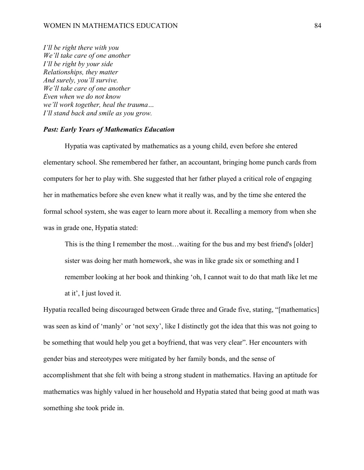*I'll be right there with you We'll take care of one another I'll be right by your side Relationships, they matter And surely, you'll survive. We'll take care of one another Even when we do not know we'll work together, heal the trauma… I'll stand back and smile as you grow.*

#### *Past: Early Years of Mathematics Education*

Hypatia was captivated by mathematics as a young child, even before she entered elementary school. She remembered her father, an accountant, bringing home punch cards from computers for her to play with. She suggested that her father played a critical role of engaging her in mathematics before she even knew what it really was, and by the time she entered the formal school system, she was eager to learn more about it. Recalling a memory from when she was in grade one, Hypatia stated:

This is the thing I remember the most…waiting for the bus and my best friend's [older] sister was doing her math homework, she was in like grade six or something and I remember looking at her book and thinking 'oh, I cannot wait to do that math like let me at it', I just loved it.

Hypatia recalled being discouraged between Grade three and Grade five, stating, "[mathematics] was seen as kind of 'manly' or 'not sexy', like I distinctly got the idea that this was not going to be something that would help you get a boyfriend, that was very clear". Her encounters with gender bias and stereotypes were mitigated by her family bonds, and the sense of accomplishment that she felt with being a strong student in mathematics. Having an aptitude for mathematics was highly valued in her household and Hypatia stated that being good at math was something she took pride in.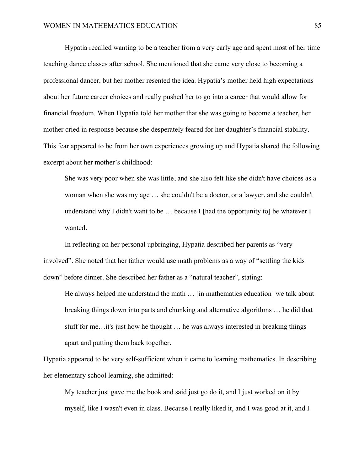Hypatia recalled wanting to be a teacher from a very early age and spent most of her time teaching dance classes after school. She mentioned that she came very close to becoming a professional dancer, but her mother resented the idea. Hypatia's mother held high expectations about her future career choices and really pushed her to go into a career that would allow for financial freedom. When Hypatia told her mother that she was going to become a teacher, her mother cried in response because she desperately feared for her daughter's financial stability. This fear appeared to be from her own experiences growing up and Hypatia shared the following excerpt about her mother's childhood:

She was very poor when she was little, and she also felt like she didn't have choices as a woman when she was my age … she couldn't be a doctor, or a lawyer, and she couldn't understand why I didn't want to be  $\ldots$  because I [had the opportunity to] be whatever I wanted.

In reflecting on her personal upbringing, Hypatia described her parents as "very involved". She noted that her father would use math problems as a way of "settling the kids down" before dinner. She described her father as a "natural teacher", stating:

He always helped me understand the math … [in mathematics education] we talk about breaking things down into parts and chunking and alternative algorithms … he did that stuff for me…it's just how he thought … he was always interested in breaking things apart and putting them back together.

Hypatia appeared to be very self-sufficient when it came to learning mathematics. In describing her elementary school learning, she admitted:

My teacher just gave me the book and said just go do it, and I just worked on it by myself, like I wasn't even in class. Because I really liked it, and I was good at it, and I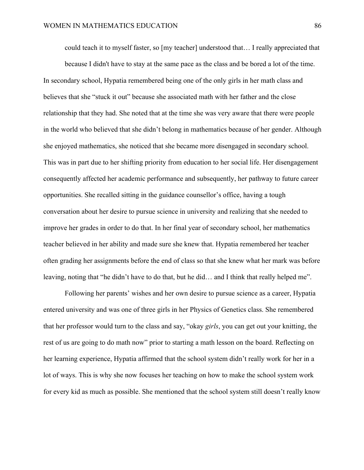could teach it to myself faster, so [my teacher] understood that… I really appreciated that

because I didn't have to stay at the same pace as the class and be bored a lot of the time. In secondary school, Hypatia remembered being one of the only girls in her math class and believes that she "stuck it out" because she associated math with her father and the close relationship that they had. She noted that at the time she was very aware that there were people in the world who believed that she didn't belong in mathematics because of her gender. Although she enjoyed mathematics, she noticed that she became more disengaged in secondary school. This was in part due to her shifting priority from education to her social life. Her disengagement consequently affected her academic performance and subsequently, her pathway to future career opportunities. She recalled sitting in the guidance counsellor's office, having a tough conversation about her desire to pursue science in university and realizing that she needed to improve her grades in order to do that. In her final year of secondary school, her mathematics teacher believed in her ability and made sure she knew that. Hypatia remembered her teacher often grading her assignments before the end of class so that she knew what her mark was before leaving, noting that "he didn't have to do that, but he did… and I think that really helped me".

Following her parents' wishes and her own desire to pursue science as a career, Hypatia entered university and was one of three girls in her Physics of Genetics class. She remembered that her professor would turn to the class and say, "okay *girls*, you can get out your knitting, the rest of us are going to do math now" prior to starting a math lesson on the board. Reflecting on her learning experience, Hypatia affirmed that the school system didn't really work for her in a lot of ways. This is why she now focuses her teaching on how to make the school system work for every kid as much as possible. She mentioned that the school system still doesn't really know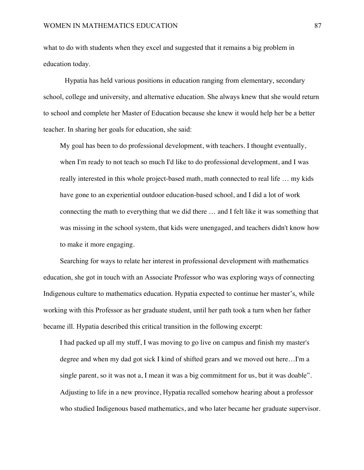what to do with students when they excel and suggested that it remains a big problem in education today.

Hypatia has held various positions in education ranging from elementary, secondary school, college and university, and alternative education. She always knew that she would return to school and complete her Master of Education because she knew it would help her be a better teacher. In sharing her goals for education, she said:

My goal has been to do professional development, with teachers. I thought eventually, when I'm ready to not teach so much I'd like to do professional development, and I was really interested in this whole project-based math, math connected to real life … my kids have gone to an experiential outdoor education-based school, and I did a lot of work connecting the math to everything that we did there … and I felt like it was something that was missing in the school system, that kids were unengaged, and teachers didn't know how to make it more engaging.

Searching for ways to relate her interest in professional development with mathematics education, she got in touch with an Associate Professor who was exploring ways of connecting Indigenous culture to mathematics education. Hypatia expected to continue her master's, while working with this Professor as her graduate student, until her path took a turn when her father became ill. Hypatia described this critical transition in the following excerpt:

I had packed up all my stuff, I was moving to go live on campus and finish my master's degree and when my dad got sick I kind of shifted gears and we moved out here…I'm a single parent, so it was not a, I mean it was a big commitment for us, but it was doable". Adjusting to life in a new province, Hypatia recalled somehow hearing about a professor who studied Indigenous based mathematics, and who later became her graduate supervisor.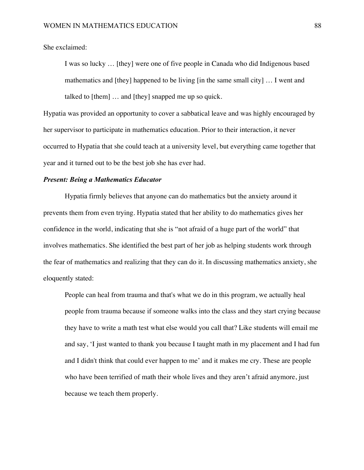### She exclaimed:

I was so lucky … [they] were one of five people in Canada who did Indigenous based mathematics and [they] happened to be living [in the same small city] … I went and talked to [them] … and [they] snapped me up so quick.

Hypatia was provided an opportunity to cover a sabbatical leave and was highly encouraged by her supervisor to participate in mathematics education. Prior to their interaction, it never occurred to Hypatia that she could teach at a university level, but everything came together that year and it turned out to be the best job she has ever had.

# *Present: Being a Mathematics Educator*

Hypatia firmly believes that anyone can do mathematics but the anxiety around it prevents them from even trying. Hypatia stated that her ability to do mathematics gives her confidence in the world, indicating that she is "not afraid of a huge part of the world" that involves mathematics. She identified the best part of her job as helping students work through the fear of mathematics and realizing that they can do it. In discussing mathematics anxiety, she eloquently stated:

People can heal from trauma and that's what we do in this program, we actually heal people from trauma because if someone walks into the class and they start crying because they have to write a math test what else would you call that? Like students will email me and say, 'I just wanted to thank you because I taught math in my placement and I had fun and I didn't think that could ever happen to me' and it makes me cry. These are people who have been terrified of math their whole lives and they aren't afraid anymore, just because we teach them properly.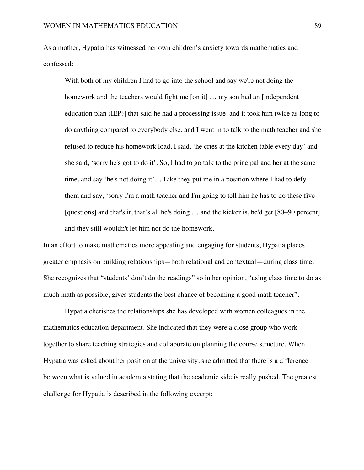As a mother, Hypatia has witnessed her own children's anxiety towards mathematics and confessed:

With both of my children I had to go into the school and say we're not doing the homework and the teachers would fight me [on it] ... my son had an [independent] education plan (IEP)] that said he had a processing issue, and it took him twice as long to do anything compared to everybody else, and I went in to talk to the math teacher and she refused to reduce his homework load. I said, 'he cries at the kitchen table every day' and she said, 'sorry he's got to do it'. So, I had to go talk to the principal and her at the same time, and say 'he's not doing it'… Like they put me in a position where I had to defy them and say, 'sorry I'm a math teacher and I'm going to tell him he has to do these five [questions] and that's it, that's all he's doing … and the kicker is, he'd get [80–90 percent] and they still wouldn't let him not do the homework.

In an effort to make mathematics more appealing and engaging for students, Hypatia places greater emphasis on building relationships—both relational and contextual—during class time. She recognizes that "students' don't do the readings" so in her opinion, "using class time to do as much math as possible, gives students the best chance of becoming a good math teacher".

Hypatia cherishes the relationships she has developed with women colleagues in the mathematics education department. She indicated that they were a close group who work together to share teaching strategies and collaborate on planning the course structure. When Hypatia was asked about her position at the university, she admitted that there is a difference between what is valued in academia stating that the academic side is really pushed. The greatest challenge for Hypatia is described in the following excerpt: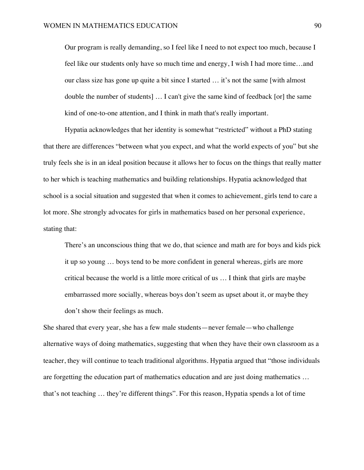Our program is really demanding, so I feel like I need to not expect too much, because I feel like our students only have so much time and energy, I wish I had more time…and our class size has gone up quite a bit since I started … it's not the same [with almost double the number of students] … I can't give the same kind of feedback [or] the same kind of one-to-one attention, and I think in math that's really important.

Hypatia acknowledges that her identity is somewhat "restricted" without a PhD stating that there are differences "between what you expect, and what the world expects of you" but she truly feels she is in an ideal position because it allows her to focus on the things that really matter to her which is teaching mathematics and building relationships. Hypatia acknowledged that school is a social situation and suggested that when it comes to achievement, girls tend to care a lot more. She strongly advocates for girls in mathematics based on her personal experience, stating that:

There's an unconscious thing that we do, that science and math are for boys and kids pick it up so young … boys tend to be more confident in general whereas, girls are more critical because the world is a little more critical of us … I think that girls are maybe embarrassed more socially, whereas boys don't seem as upset about it, or maybe they don't show their feelings as much.

She shared that every year, she has a few male students—never female—who challenge alternative ways of doing mathematics, suggesting that when they have their own classroom as a teacher, they will continue to teach traditional algorithms. Hypatia argued that "those individuals are forgetting the education part of mathematics education and are just doing mathematics … that's not teaching … they're different things". For this reason, Hypatia spends a lot of time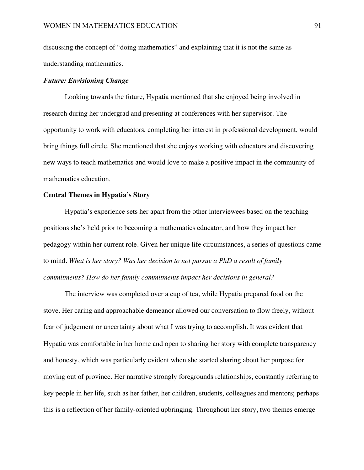discussing the concept of "doing mathematics" and explaining that it is not the same as understanding mathematics.

## *Future: Envisioning Change*

Looking towards the future, Hypatia mentioned that she enjoyed being involved in research during her undergrad and presenting at conferences with her supervisor. The opportunity to work with educators, completing her interest in professional development, would bring things full circle. She mentioned that she enjoys working with educators and discovering new ways to teach mathematics and would love to make a positive impact in the community of mathematics education.

## **Central Themes in Hypatia's Story**

Hypatia's experience sets her apart from the other interviewees based on the teaching positions she's held prior to becoming a mathematics educator, and how they impact her pedagogy within her current role. Given her unique life circumstances, a series of questions came to mind. *What is her story? Was her decision to not pursue a PhD a result of family commitments? How do her family commitments impact her decisions in general?*

The interview was completed over a cup of tea, while Hypatia prepared food on the stove. Her caring and approachable demeanor allowed our conversation to flow freely, without fear of judgement or uncertainty about what I was trying to accomplish. It was evident that Hypatia was comfortable in her home and open to sharing her story with complete transparency and honesty, which was particularly evident when she started sharing about her purpose for moving out of province. Her narrative strongly foregrounds relationships, constantly referring to key people in her life, such as her father, her children, students, colleagues and mentors; perhaps this is a reflection of her family-oriented upbringing. Throughout her story, two themes emerge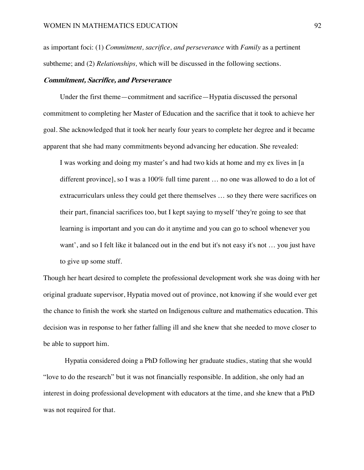as important foci: (1) *Commitment, sacrifice, and perseverance* with *Family* as a pertinent subtheme; and (2) *Relationships,* which will be discussed in the following sections.

### **Commitment, Sacrifice, and Perseverance**

Under the first theme—commitment and sacrifice—Hypatia discussed the personal commitment to completing her Master of Education and the sacrifice that it took to achieve her goal. She acknowledged that it took her nearly four years to complete her degree and it became apparent that she had many commitments beyond advancing her education. She revealed:

I was working and doing my master's and had two kids at home and my ex lives in [a different province], so I was a 100% full time parent … no one was allowed to do a lot of extracurriculars unless they could get there themselves … so they there were sacrifices on their part, financial sacrifices too, but I kept saying to myself 'they're going to see that learning is important and you can do it anytime and you can go to school whenever you want', and so I felt like it balanced out in the end but it's not easy it's not … you just have to give up some stuff.

Though her heart desired to complete the professional development work she was doing with her original graduate supervisor, Hypatia moved out of province, not knowing if she would ever get the chance to finish the work she started on Indigenous culture and mathematics education. This decision was in response to her father falling ill and she knew that she needed to move closer to be able to support him.

Hypatia considered doing a PhD following her graduate studies, stating that she would "love to do the research" but it was not financially responsible. In addition, she only had an interest in doing professional development with educators at the time, and she knew that a PhD was not required for that.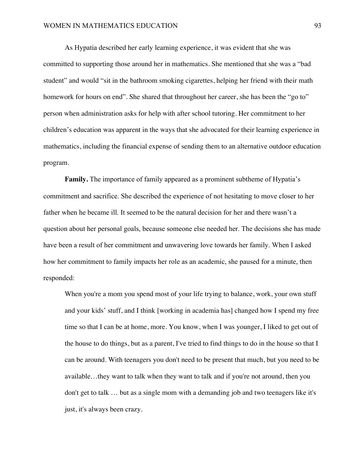As Hypatia described her early learning experience, it was evident that she was committed to supporting those around her in mathematics. She mentioned that she was a "bad student" and would "sit in the bathroom smoking cigarettes, helping her friend with their math homework for hours on end". She shared that throughout her career, she has been the "go to" person when administration asks for help with after school tutoring. Her commitment to her children's education was apparent in the ways that she advocated for their learning experience in mathematics, including the financial expense of sending them to an alternative outdoor education program.

**Family.** The importance of family appeared as a prominent subtheme of Hypatia's commitment and sacrifice. She described the experience of not hesitating to move closer to her father when he became ill. It seemed to be the natural decision for her and there wasn't a question about her personal goals, because someone else needed her. The decisions she has made have been a result of her commitment and unwavering love towards her family. When I asked how her commitment to family impacts her role as an academic, she paused for a minute, then responded:

When you're a mom you spend most of your life trying to balance, work, your own stuff and your kids' stuff, and I think [working in academia has] changed how I spend my free time so that I can be at home, more. You know, when I was younger, I liked to get out of the house to do things, but as a parent, I've tried to find things to do in the house so that I can be around. With teenagers you don't need to be present that much, but you need to be available…they want to talk when they want to talk and if you're not around, then you don't get to talk … but as a single mom with a demanding job and two teenagers like it's just, it's always been crazy.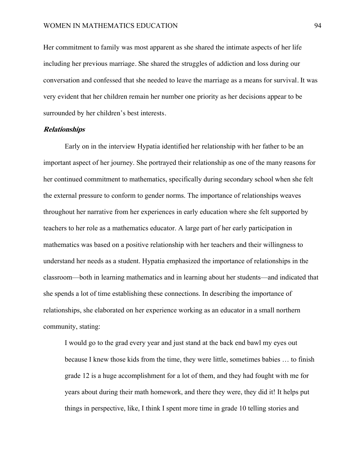Her commitment to family was most apparent as she shared the intimate aspects of her life including her previous marriage. She shared the struggles of addiction and loss during our conversation and confessed that she needed to leave the marriage as a means for survival. It was very evident that her children remain her number one priority as her decisions appear to be surrounded by her children's best interests.

#### **Relationships**

Early on in the interview Hypatia identified her relationship with her father to be an important aspect of her journey. She portrayed their relationship as one of the many reasons for her continued commitment to mathematics, specifically during secondary school when she felt the external pressure to conform to gender norms. The importance of relationships weaves throughout her narrative from her experiences in early education where she felt supported by teachers to her role as a mathematics educator. A large part of her early participation in mathematics was based on a positive relationship with her teachers and their willingness to understand her needs as a student. Hypatia emphasized the importance of relationships in the classroom—both in learning mathematics and in learning about her students—and indicated that she spends a lot of time establishing these connections. In describing the importance of relationships, she elaborated on her experience working as an educator in a small northern community, stating:

I would go to the grad every year and just stand at the back end bawl my eyes out because I knew those kids from the time, they were little, sometimes babies … to finish grade 12 is a huge accomplishment for a lot of them, and they had fought with me for years about during their math homework, and there they were, they did it! It helps put things in perspective, like, I think I spent more time in grade 10 telling stories and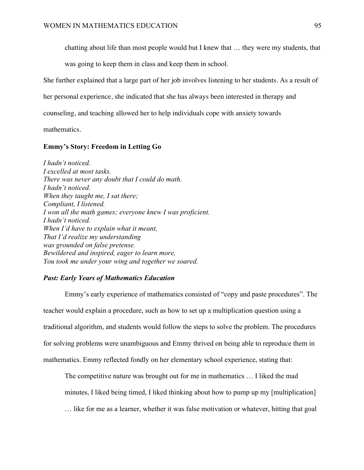chatting about life than most people would but I knew that … they were my students, that

was going to keep them in class and keep them in school.

She further explained that a large part of her job involves listening to her students. As a result of

her personal experience, she indicated that she has always been interested in therapy and

counseling, and teaching allowed her to help individuals cope with anxiety towards

mathematics.

# **Emmy's Story: Freedom in Letting Go**

*I hadn't noticed. I excelled at most tasks. There was never any doubt that I could do math. I hadn't noticed. When they taught me, I sat there; Compliant, I listened. I won all the math games; everyone knew I was proficient. I hadn't noticed. When I'd have to explain what it meant, That I'd realize my understanding was grounded on false pretense. Bewildered and inspired, eager to learn more, You took me under your wing and together we soared.*

## *Past: Early Years of Mathematics Education*

Emmy's early experience of mathematics consisted of "copy and paste procedures". The teacher would explain a procedure, such as how to set up a multiplication question using a traditional algorithm, and students would follow the steps to solve the problem. The procedures for solving problems were unambiguous and Emmy thrived on being able to reproduce them in mathematics. Emmy reflected fondly on her elementary school experience, stating that:

The competitive nature was brought out for me in mathematics … I liked the mad minutes, I liked being timed, I liked thinking about how to pump up my [multiplication] … like for me as a learner, whether it was false motivation or whatever, hitting that goal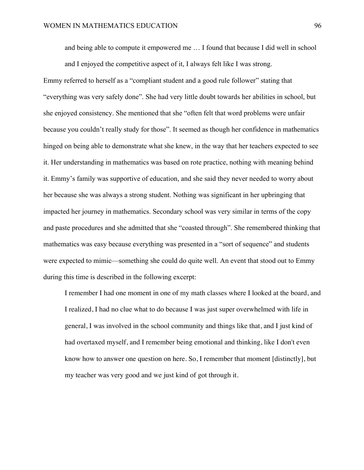and being able to compute it empowered me … I found that because I did well in school and I enjoyed the competitive aspect of it, I always felt like I was strong.

Emmy referred to herself as a "compliant student and a good rule follower" stating that "everything was very safely done". She had very little doubt towards her abilities in school, but she enjoyed consistency. She mentioned that she "often felt that word problems were unfair because you couldn't really study for those". It seemed as though her confidence in mathematics hinged on being able to demonstrate what she knew, in the way that her teachers expected to see it. Her understanding in mathematics was based on rote practice, nothing with meaning behind it. Emmy's family was supportive of education, and she said they never needed to worry about her because she was always a strong student. Nothing was significant in her upbringing that impacted her journey in mathematics. Secondary school was very similar in terms of the copy and paste procedures and she admitted that she "coasted through". She remembered thinking that mathematics was easy because everything was presented in a "sort of sequence" and students were expected to mimic—something she could do quite well. An event that stood out to Emmy during this time is described in the following excerpt:

I remember I had one moment in one of my math classes where I looked at the board, and I realized, I had no clue what to do because I was just super overwhelmed with life in general, I was involved in the school community and things like that, and I just kind of had overtaxed myself, and I remember being emotional and thinking, like I don't even know how to answer one question on here. So, I remember that moment [distinctly], but my teacher was very good and we just kind of got through it.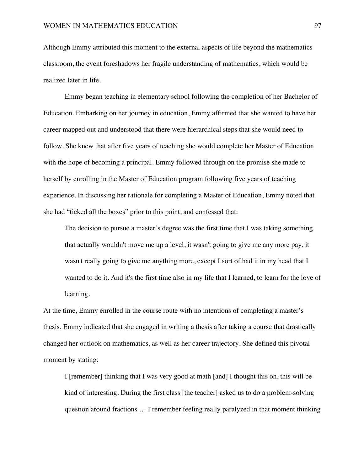Although Emmy attributed this moment to the external aspects of life beyond the mathematics classroom, the event foreshadows her fragile understanding of mathematics, which would be realized later in life.

Emmy began teaching in elementary school following the completion of her Bachelor of Education. Embarking on her journey in education, Emmy affirmed that she wanted to have her career mapped out and understood that there were hierarchical steps that she would need to follow. She knew that after five years of teaching she would complete her Master of Education with the hope of becoming a principal. Emmy followed through on the promise she made to herself by enrolling in the Master of Education program following five years of teaching experience. In discussing her rationale for completing a Master of Education, Emmy noted that she had "ticked all the boxes" prior to this point, and confessed that:

The decision to pursue a master's degree was the first time that I was taking something that actually wouldn't move me up a level, it wasn't going to give me any more pay, it wasn't really going to give me anything more, except I sort of had it in my head that I wanted to do it. And it's the first time also in my life that I learned, to learn for the love of learning.

At the time, Emmy enrolled in the course route with no intentions of completing a master's thesis. Emmy indicated that she engaged in writing a thesis after taking a course that drastically changed her outlook on mathematics, as well as her career trajectory. She defined this pivotal moment by stating:

I [remember] thinking that I was very good at math [and] I thought this oh, this will be kind of interesting. During the first class [the teacher] asked us to do a problem-solving question around fractions … I remember feeling really paralyzed in that moment thinking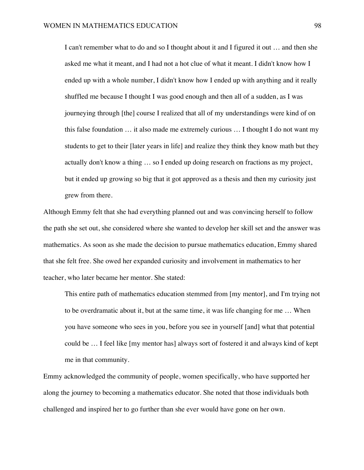I can't remember what to do and so I thought about it and I figured it out … and then she asked me what it meant, and I had not a hot clue of what it meant. I didn't know how I ended up with a whole number, I didn't know how I ended up with anything and it really shuffled me because I thought I was good enough and then all of a sudden, as I was journeying through [the] course I realized that all of my understandings were kind of on this false foundation … it also made me extremely curious … I thought I do not want my students to get to their [later years in life] and realize they think they know math but they actually don't know a thing … so I ended up doing research on fractions as my project, but it ended up growing so big that it got approved as a thesis and then my curiosity just grew from there.

Although Emmy felt that she had everything planned out and was convincing herself to follow the path she set out, she considered where she wanted to develop her skill set and the answer was mathematics. As soon as she made the decision to pursue mathematics education, Emmy shared that she felt free. She owed her expanded curiosity and involvement in mathematics to her teacher, who later became her mentor. She stated:

This entire path of mathematics education stemmed from [my mentor], and I'm trying not to be overdramatic about it, but at the same time, it was life changing for me … When you have someone who sees in you, before you see in yourself [and] what that potential could be … I feel like [my mentor has] always sort of fostered it and always kind of kept me in that community.

Emmy acknowledged the community of people, women specifically, who have supported her along the journey to becoming a mathematics educator. She noted that those individuals both challenged and inspired her to go further than she ever would have gone on her own.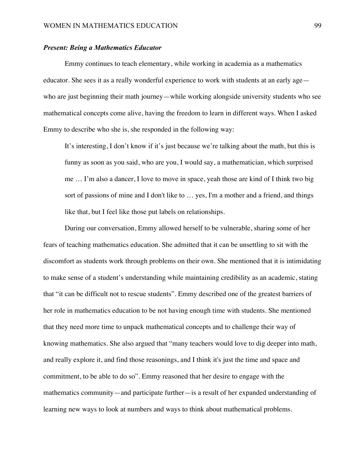### *Present: Being a Mathematics Educator*

Emmy continues to teach elementary, while working in academia as a mathematics educator. She sees it as a really wonderful experience to work with students at an early age who are just beginning their math journey—while working alongside university students who see mathematical concepts come alive, having the freedom to learn in different ways. When I asked Emmy to describe who she is, she responded in the following way:

It's interesting, I don't know if it's just because we're talking about the math, but this is funny as soon as you said, who are you, I would say, a mathematician, which surprised me … I'm also a dancer, I love to move in space, yeah those are kind of I think two big sort of passions of mine and I don't like to … yes, I'm a mother and a friend, and things like that, but I feel like those put labels on relationships.

During our conversation, Emmy allowed herself to be vulnerable, sharing some of her fears of teaching mathematics education. She admitted that it can be unsettling to sit with the discomfort as students work through problems on their own. She mentioned that it is intimidating to make sense of a student's understanding while maintaining credibility as an academic, stating that "it can be difficult not to rescue students". Emmy described one of the greatest barriers of her role in mathematics education to be not having enough time with students. She mentioned that they need more time to unpack mathematical concepts and to challenge their way of knowing mathematics. She also argued that "many teachers would love to dig deeper into math, and really explore it, and find those reasonings, and I think it's just the time and space and commitment, to be able to do so". Emmy reasoned that her desire to engage with the mathematics community—and participate further—is a result of her expanded understanding of learning new ways to look at numbers and ways to think about mathematical problems.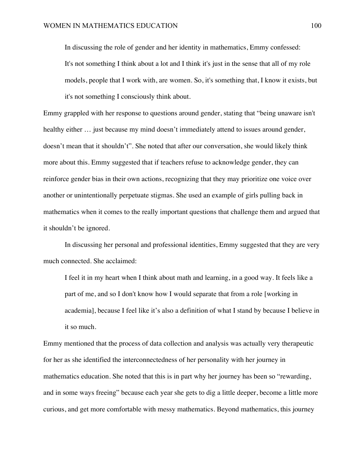In discussing the role of gender and her identity in mathematics, Emmy confessed: It's not something I think about a lot and I think it's just in the sense that all of my role models, people that I work with, are women. So, it's something that, I know it exists, but it's not something I consciously think about.

Emmy grappled with her response to questions around gender, stating that "being unaware isn't healthy either ... just because my mind doesn't immediately attend to issues around gender, doesn't mean that it shouldn't". She noted that after our conversation, she would likely think more about this. Emmy suggested that if teachers refuse to acknowledge gender, they can reinforce gender bias in their own actions, recognizing that they may prioritize one voice over another or unintentionally perpetuate stigmas. She used an example of girls pulling back in mathematics when it comes to the really important questions that challenge them and argued that it shouldn't be ignored.

In discussing her personal and professional identities, Emmy suggested that they are very much connected. She acclaimed:

I feel it in my heart when I think about math and learning, in a good way. It feels like a part of me, and so I don't know how I would separate that from a role [working in academia], because I feel like it's also a definition of what I stand by because I believe in it so much.

Emmy mentioned that the process of data collection and analysis was actually very therapeutic for her as she identified the interconnectedness of her personality with her journey in mathematics education. She noted that this is in part why her journey has been so "rewarding, and in some ways freeing" because each year she gets to dig a little deeper, become a little more curious, and get more comfortable with messy mathematics. Beyond mathematics, this journey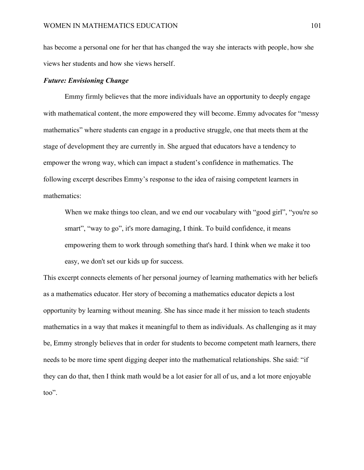has become a personal one for her that has changed the way she interacts with people, how she views her students and how she views herself.

### *Future: Envisioning Change*

Emmy firmly believes that the more individuals have an opportunity to deeply engage with mathematical content, the more empowered they will become. Emmy advocates for "messy" mathematics" where students can engage in a productive struggle, one that meets them at the stage of development they are currently in. She argued that educators have a tendency to empower the wrong way, which can impact a student's confidence in mathematics. The following excerpt describes Emmy's response to the idea of raising competent learners in mathematics:

When we make things too clean, and we end our vocabulary with "good girl", "you're so smart", "way to go", it's more damaging, I think. To build confidence, it means empowering them to work through something that's hard. I think when we make it too easy, we don't set our kids up for success.

This excerpt connects elements of her personal journey of learning mathematics with her beliefs as a mathematics educator. Her story of becoming a mathematics educator depicts a lost opportunity by learning without meaning. She has since made it her mission to teach students mathematics in a way that makes it meaningful to them as individuals. As challenging as it may be, Emmy strongly believes that in order for students to become competent math learners, there needs to be more time spent digging deeper into the mathematical relationships. She said: "if they can do that, then I think math would be a lot easier for all of us, and a lot more enjoyable too".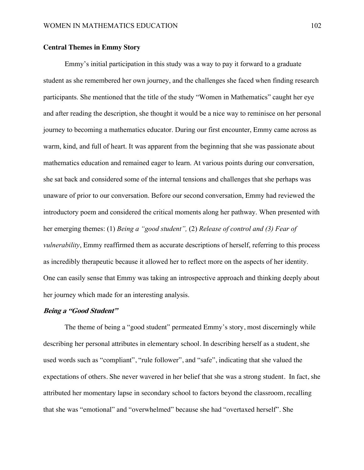## **Central Themes in Emmy Story**

Emmy's initial participation in this study was a way to pay it forward to a graduate student as she remembered her own journey, and the challenges she faced when finding research participants. She mentioned that the title of the study "Women in Mathematics" caught her eye and after reading the description, she thought it would be a nice way to reminisce on her personal journey to becoming a mathematics educator. During our first encounter, Emmy came across as warm, kind, and full of heart. It was apparent from the beginning that she was passionate about mathematics education and remained eager to learn. At various points during our conversation, she sat back and considered some of the internal tensions and challenges that she perhaps was unaware of prior to our conversation. Before our second conversation, Emmy had reviewed the introductory poem and considered the critical moments along her pathway. When presented with her emerging themes: (1) *Being a "good student",* (2) *Release of control and (3) Fear of vulnerability*, Emmy reaffirmed them as accurate descriptions of herself, referring to this process as incredibly therapeutic because it allowed her to reflect more on the aspects of her identity. One can easily sense that Emmy was taking an introspective approach and thinking deeply about her journey which made for an interesting analysis.

# **Being a "Good Student"**

The theme of being a "good student" permeated Emmy's story, most discerningly while describing her personal attributes in elementary school. In describing herself as a student, she used words such as "compliant", "rule follower", and "safe", indicating that she valued the expectations of others. She never wavered in her belief that she was a strong student. In fact, she attributed her momentary lapse in secondary school to factors beyond the classroom, recalling that she was "emotional" and "overwhelmed" because she had "overtaxed herself". She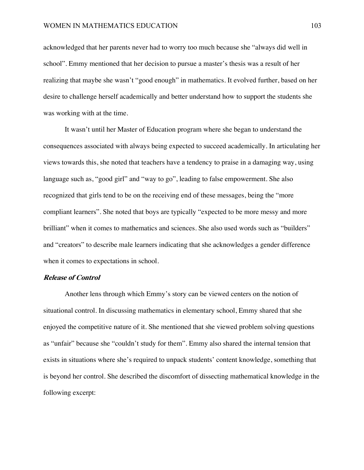acknowledged that her parents never had to worry too much because she "always did well in school". Emmy mentioned that her decision to pursue a master's thesis was a result of her realizing that maybe she wasn't "good enough" in mathematics. It evolved further, based on her desire to challenge herself academically and better understand how to support the students she was working with at the time.

It wasn't until her Master of Education program where she began to understand the consequences associated with always being expected to succeed academically. In articulating her views towards this, she noted that teachers have a tendency to praise in a damaging way, using language such as, "good girl" and "way to go", leading to false empowerment. She also recognized that girls tend to be on the receiving end of these messages, being the "more compliant learners". She noted that boys are typically "expected to be more messy and more brilliant" when it comes to mathematics and sciences. She also used words such as "builders" and "creators" to describe male learners indicating that she acknowledges a gender difference when it comes to expectations in school.

### **Release of Control**

Another lens through which Emmy's story can be viewed centers on the notion of situational control. In discussing mathematics in elementary school, Emmy shared that she enjoyed the competitive nature of it. She mentioned that she viewed problem solving questions as "unfair" because she "couldn't study for them". Emmy also shared the internal tension that exists in situations where she's required to unpack students' content knowledge, something that is beyond her control. She described the discomfort of dissecting mathematical knowledge in the following excerpt: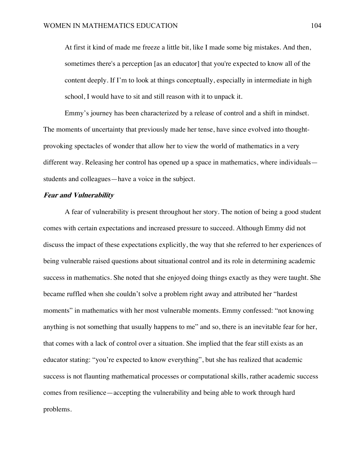At first it kind of made me freeze a little bit, like I made some big mistakes. And then, sometimes there's a perception [as an educator] that you're expected to know all of the content deeply. If I'm to look at things conceptually, especially in intermediate in high school, I would have to sit and still reason with it to unpack it.

Emmy's journey has been characterized by a release of control and a shift in mindset. The moments of uncertainty that previously made her tense, have since evolved into thoughtprovoking spectacles of wonder that allow her to view the world of mathematics in a very different way. Releasing her control has opened up a space in mathematics, where individuals students and colleagues—have a voice in the subject.

### **Fear and Vulnerability**

A fear of vulnerability is present throughout her story. The notion of being a good student comes with certain expectations and increased pressure to succeed. Although Emmy did not discuss the impact of these expectations explicitly, the way that she referred to her experiences of being vulnerable raised questions about situational control and its role in determining academic success in mathematics. She noted that she enjoyed doing things exactly as they were taught. She became ruffled when she couldn't solve a problem right away and attributed her "hardest moments" in mathematics with her most vulnerable moments. Emmy confessed: "not knowing anything is not something that usually happens to me" and so, there is an inevitable fear for her, that comes with a lack of control over a situation. She implied that the fear still exists as an educator stating: "you're expected to know everything", but she has realized that academic success is not flaunting mathematical processes or computational skills, rather academic success comes from resilience—accepting the vulnerability and being able to work through hard problems.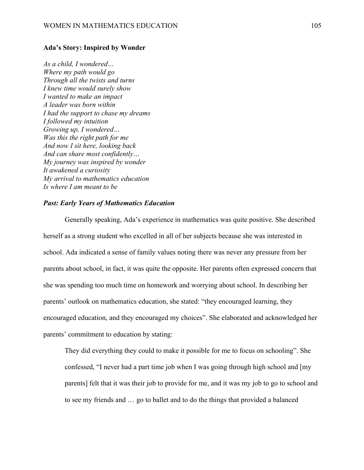#### **Ada's Story: Inspired by Wonder**

*As a child, I wondered… Where my path would go Through all the twists and turns I knew time would surely show I wanted to make an impact A leader was born within I had the support to chase my dreams I followed my intuition Growing up, I wondered… Was this the right path for me And now I sit here, looking back And can share most confidently… My journey was inspired by wonder It awakened a curiosity My arrival to mathematics education Is where I am meant to be*

# *Past: Early Years of Mathematics Education*

Generally speaking, Ada's experience in mathematics was quite positive. She described herself as a strong student who excelled in all of her subjects because she was interested in school. Ada indicated a sense of family values noting there was never any pressure from her parents about school, in fact, it was quite the opposite. Her parents often expressed concern that she was spending too much time on homework and worrying about school. In describing her parents' outlook on mathematics education, she stated: "they encouraged learning, they encouraged education, and they encouraged my choices". She elaborated and acknowledged her parents' commitment to education by stating:

They did everything they could to make it possible for me to focus on schooling". She confessed, "I never had a part time job when I was going through high school and [my parents] felt that it was their job to provide for me, and it was my job to go to school and to see my friends and … go to ballet and to do the things that provided a balanced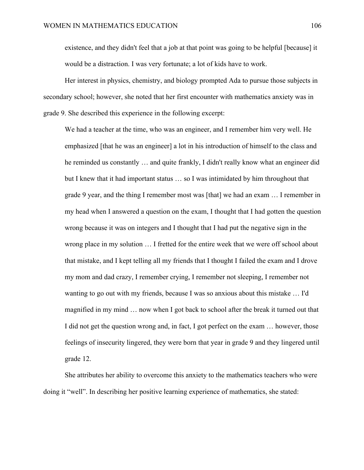existence, and they didn't feel that a job at that point was going to be helpful [because] it would be a distraction. I was very fortunate; a lot of kids have to work.

Her interest in physics, chemistry, and biology prompted Ada to pursue those subjects in secondary school; however, she noted that her first encounter with mathematics anxiety was in grade 9. She described this experience in the following excerpt:

We had a teacher at the time, who was an engineer, and I remember him very well. He emphasized [that he was an engineer] a lot in his introduction of himself to the class and he reminded us constantly … and quite frankly, I didn't really know what an engineer did but I knew that it had important status … so I was intimidated by him throughout that grade 9 year, and the thing I remember most was [that] we had an exam … I remember in my head when I answered a question on the exam, I thought that I had gotten the question wrong because it was on integers and I thought that I had put the negative sign in the wrong place in my solution … I fretted for the entire week that we were off school about that mistake, and I kept telling all my friends that I thought I failed the exam and I drove my mom and dad crazy, I remember crying, I remember not sleeping, I remember not wanting to go out with my friends, because I was so anxious about this mistake … I'd magnified in my mind … now when I got back to school after the break it turned out that I did not get the question wrong and, in fact, I got perfect on the exam … however, those feelings of insecurity lingered, they were born that year in grade 9 and they lingered until grade 12.

She attributes her ability to overcome this anxiety to the mathematics teachers who were doing it "well". In describing her positive learning experience of mathematics, she stated: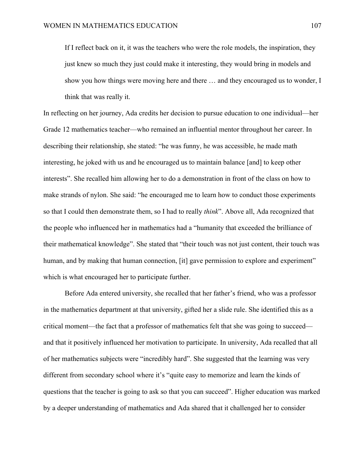If I reflect back on it, it was the teachers who were the role models, the inspiration, they just knew so much they just could make it interesting, they would bring in models and show you how things were moving here and there … and they encouraged us to wonder, I think that was really it.

In reflecting on her journey, Ada credits her decision to pursue education to one individual—her Grade 12 mathematics teacher—who remained an influential mentor throughout her career. In describing their relationship, she stated: "he was funny, he was accessible, he made math interesting, he joked with us and he encouraged us to maintain balance [and] to keep other interests". She recalled him allowing her to do a demonstration in front of the class on how to make strands of nylon. She said: "he encouraged me to learn how to conduct those experiments so that I could then demonstrate them, so I had to really *think*". Above all, Ada recognized that the people who influenced her in mathematics had a "humanity that exceeded the brilliance of their mathematical knowledge". She stated that "their touch was not just content, their touch was human, and by making that human connection, [it] gave permission to explore and experiment" which is what encouraged her to participate further.

Before Ada entered university, she recalled that her father's friend, who was a professor in the mathematics department at that university, gifted her a slide rule. She identified this as a critical moment—the fact that a professor of mathematics felt that she was going to succeed and that it positively influenced her motivation to participate. In university, Ada recalled that all of her mathematics subjects were "incredibly hard". She suggested that the learning was very different from secondary school where it's "quite easy to memorize and learn the kinds of questions that the teacher is going to ask so that you can succeed". Higher education was marked by a deeper understanding of mathematics and Ada shared that it challenged her to consider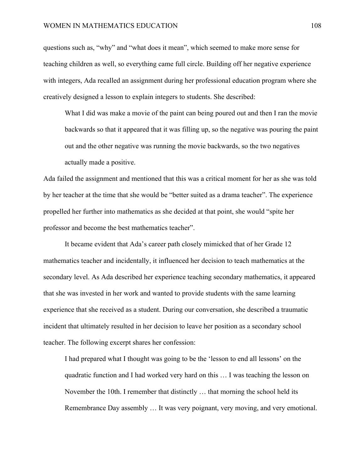questions such as, "why" and "what does it mean", which seemed to make more sense for teaching children as well, so everything came full circle. Building off her negative experience with integers, Ada recalled an assignment during her professional education program where she creatively designed a lesson to explain integers to students. She described:

What I did was make a movie of the paint can being poured out and then I ran the movie backwards so that it appeared that it was filling up, so the negative was pouring the paint out and the other negative was running the movie backwards, so the two negatives actually made a positive.

Ada failed the assignment and mentioned that this was a critical moment for her as she was told by her teacher at the time that she would be "better suited as a drama teacher". The experience propelled her further into mathematics as she decided at that point, she would "spite her professor and become the best mathematics teacher".

It became evident that Ada's career path closely mimicked that of her Grade 12 mathematics teacher and incidentally, it influenced her decision to teach mathematics at the secondary level. As Ada described her experience teaching secondary mathematics, it appeared that she was invested in her work and wanted to provide students with the same learning experience that she received as a student. During our conversation, she described a traumatic incident that ultimately resulted in her decision to leave her position as a secondary school teacher. The following excerpt shares her confession:

I had prepared what I thought was going to be the 'lesson to end all lessons' on the quadratic function and I had worked very hard on this … I was teaching the lesson on November the 10th. I remember that distinctly … that morning the school held its Remembrance Day assembly … It was very poignant, very moving, and very emotional.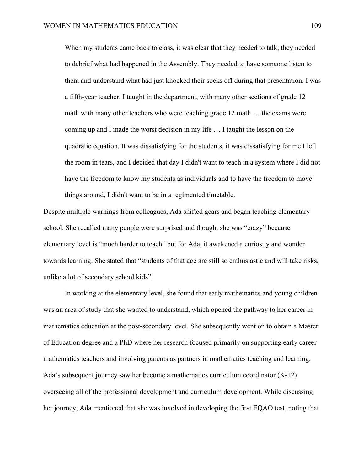When my students came back to class, it was clear that they needed to talk, they needed to debrief what had happened in the Assembly. They needed to have someone listen to them and understand what had just knocked their socks off during that presentation. I was a fifth-year teacher. I taught in the department, with many other sections of grade 12 math with many other teachers who were teaching grade 12 math … the exams were coming up and I made the worst decision in my life … I taught the lesson on the quadratic equation. It was dissatisfying for the students, it was dissatisfying for me I left the room in tears, and I decided that day I didn't want to teach in a system where I did not have the freedom to know my students as individuals and to have the freedom to move things around, I didn't want to be in a regimented timetable.

Despite multiple warnings from colleagues, Ada shifted gears and began teaching elementary school. She recalled many people were surprised and thought she was "crazy" because elementary level is "much harder to teach" but for Ada, it awakened a curiosity and wonder towards learning. She stated that "students of that age are still so enthusiastic and will take risks, unlike a lot of secondary school kids".

In working at the elementary level, she found that early mathematics and young children was an area of study that she wanted to understand, which opened the pathway to her career in mathematics education at the post-secondary level. She subsequently went on to obtain a Master of Education degree and a PhD where her research focused primarily on supporting early career mathematics teachers and involving parents as partners in mathematics teaching and learning. Ada's subsequent journey saw her become a mathematics curriculum coordinator (K-12) overseeing all of the professional development and curriculum development. While discussing her journey, Ada mentioned that she was involved in developing the first EQAO test, noting that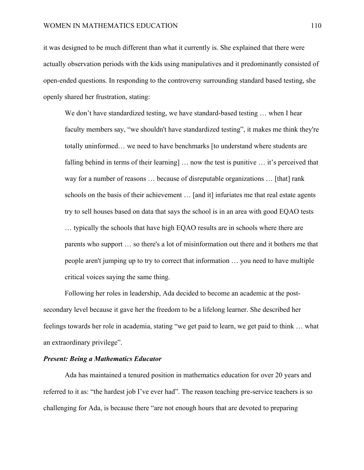it was designed to be much different than what it currently is. She explained that there were actually observation periods with the kids using manipulatives and it predominantly consisted of open-ended questions. In responding to the controversy surrounding standard based testing, she openly shared her frustration, stating:

We don't have standardized testing, we have standard-based testing ... when I hear faculty members say, "we shouldn't have standardized testing", it makes me think they're totally uninformed… we need to have benchmarks [to understand where students are falling behind in terms of their learning] … now the test is punitive … it's perceived that way for a number of reasons … because of disreputable organizations … [that] rank schools on the basis of their achievement … [and it] infuriates me that real estate agents try to sell houses based on data that says the school is in an area with good EQAO tests … typically the schools that have high EQAO results are in schools where there are parents who support … so there's a lot of misinformation out there and it bothers me that people aren't jumping up to try to correct that information … you need to have multiple critical voices saying the same thing.

Following her roles in leadership, Ada decided to become an academic at the postsecondary level because it gave her the freedom to be a lifelong learner. She described her feelings towards her role in academia, stating "we get paid to learn, we get paid to think … what an extraordinary privilege".

## *Present: Being a Mathematics Educator*

Ada has maintained a tenured position in mathematics education for over 20 years and referred to it as: "the hardest job I've ever had". The reason teaching pre-service teachers is so challenging for Ada, is because there "are not enough hours that are devoted to preparing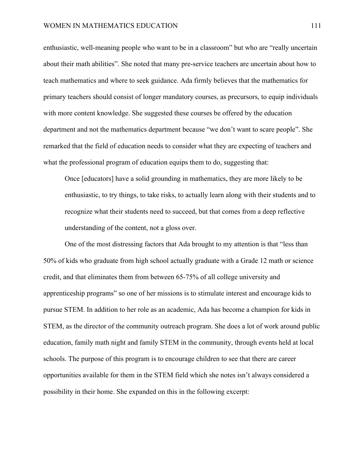enthusiastic, well-meaning people who want to be in a classroom" but who are "really uncertain about their math abilities". She noted that many pre-service teachers are uncertain about how to teach mathematics and where to seek guidance. Ada firmly believes that the mathematics for primary teachers should consist of longer mandatory courses, as precursors, to equip individuals with more content knowledge. She suggested these courses be offered by the education department and not the mathematics department because "we don't want to scare people". She remarked that the field of education needs to consider what they are expecting of teachers and what the professional program of education equips them to do, suggesting that:

Once [educators] have a solid grounding in mathematics, they are more likely to be enthusiastic, to try things, to take risks, to actually learn along with their students and to recognize what their students need to succeed, but that comes from a deep reflective understanding of the content, not a gloss over.

One of the most distressing factors that Ada brought to my attention is that "less than 50% of kids who graduate from high school actually graduate with a Grade 12 math or science credit, and that eliminates them from between 65-75% of all college university and apprenticeship programs" so one of her missions is to stimulate interest and encourage kids to pursue STEM. In addition to her role as an academic, Ada has become a champion for kids in STEM, as the director of the community outreach program. She does a lot of work around public education, family math night and family STEM in the community, through events held at local schools. The purpose of this program is to encourage children to see that there are career opportunities available for them in the STEM field which she notes isn't always considered a possibility in their home. She expanded on this in the following excerpt: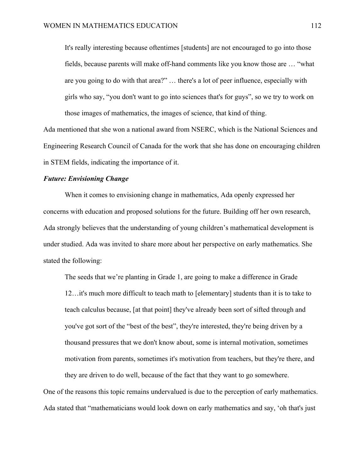It's really interesting because oftentimes [students] are not encouraged to go into those fields, because parents will make off-hand comments like you know those are … "what are you going to do with that area?" … there's a lot of peer influence, especially with girls who say, "you don't want to go into sciences that's for guys", so we try to work on those images of mathematics, the images of science, that kind of thing.

Ada mentioned that she won a national award from NSERC, which is the National Sciences and Engineering Research Council of Canada for the work that she has done on encouraging children in STEM fields, indicating the importance of it.

### *Future: Envisioning Change*

When it comes to envisioning change in mathematics, Ada openly expressed her concerns with education and proposed solutions for the future. Building off her own research, Ada strongly believes that the understanding of young children's mathematical development is under studied. Ada was invited to share more about her perspective on early mathematics. She stated the following:

The seeds that we're planting in Grade 1, are going to make a difference in Grade 12…it's much more difficult to teach math to [elementary] students than it is to take to teach calculus because, [at that point] they've already been sort of sifted through and you've got sort of the "best of the best", they're interested, they're being driven by a thousand pressures that we don't know about, some is internal motivation, sometimes motivation from parents, sometimes it's motivation from teachers, but they're there, and they are driven to do well, because of the fact that they want to go somewhere.

One of the reasons this topic remains undervalued is due to the perception of early mathematics. Ada stated that "mathematicians would look down on early mathematics and say, 'oh that's just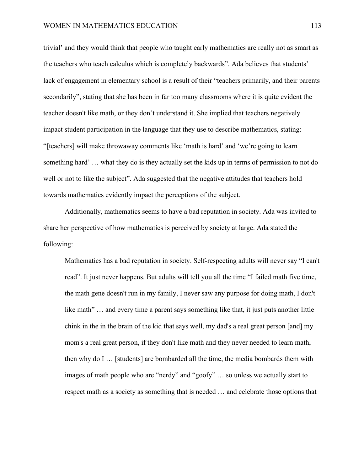trivial' and they would think that people who taught early mathematics are really not as smart as the teachers who teach calculus which is completely backwards". Ada believes that students' lack of engagement in elementary school is a result of their "teachers primarily, and their parents secondarily", stating that she has been in far too many classrooms where it is quite evident the teacher doesn't like math, or they don't understand it. She implied that teachers negatively impact student participation in the language that they use to describe mathematics, stating: "[teachers] will make throwaway comments like 'math is hard' and 'we're going to learn something hard' … what they do is they actually set the kids up in terms of permission to not do well or not to like the subject". Ada suggested that the negative attitudes that teachers hold towards mathematics evidently impact the perceptions of the subject.

Additionally, mathematics seems to have a bad reputation in society. Ada was invited to share her perspective of how mathematics is perceived by society at large. Ada stated the following:

Mathematics has a bad reputation in society. Self-respecting adults will never say "I can't read". It just never happens. But adults will tell you all the time "I failed math five time, the math gene doesn't run in my family, I never saw any purpose for doing math, I don't like math" ... and every time a parent says something like that, it just puts another little chink in the in the brain of the kid that says well, my dad's a real great person [and] my mom's a real great person, if they don't like math and they never needed to learn math, then why do I … [students] are bombarded all the time, the media bombards them with images of math people who are "nerdy" and "goofy" … so unless we actually start to respect math as a society as something that is needed … and celebrate those options that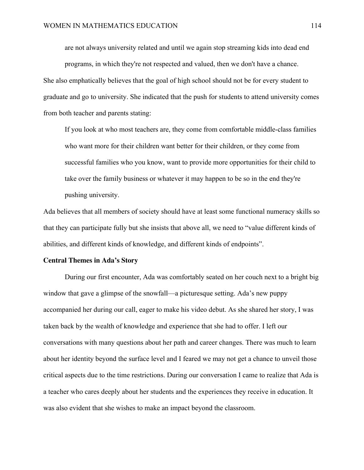are not always university related and until we again stop streaming kids into dead end programs, in which they're not respected and valued, then we don't have a chance.

She also emphatically believes that the goal of high school should not be for every student to graduate and go to university. She indicated that the push for students to attend university comes from both teacher and parents stating:

If you look at who most teachers are, they come from comfortable middle-class families who want more for their children want better for their children, or they come from successful families who you know, want to provide more opportunities for their child to take over the family business or whatever it may happen to be so in the end they're pushing university.

Ada believes that all members of society should have at least some functional numeracy skills so that they can participate fully but she insists that above all, we need to "value different kinds of abilities, and different kinds of knowledge, and different kinds of endpoints".

#### **Central Themes in Ada's Story**

During our first encounter, Ada was comfortably seated on her couch next to a bright big window that gave a glimpse of the snowfall—a picturesque setting. Ada's new puppy accompanied her during our call, eager to make his video debut. As she shared her story, I was taken back by the wealth of knowledge and experience that she had to offer. I left our conversations with many questions about her path and career changes. There was much to learn about her identity beyond the surface level and I feared we may not get a chance to unveil those critical aspects due to the time restrictions. During our conversation I came to realize that Ada is a teacher who cares deeply about her students and the experiences they receive in education. It was also evident that she wishes to make an impact beyond the classroom.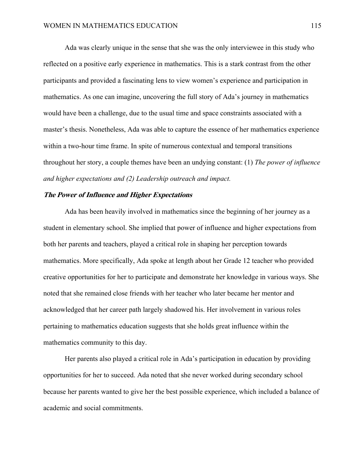Ada was clearly unique in the sense that she was the only interviewee in this study who reflected on a positive early experience in mathematics. This is a stark contrast from the other participants and provided a fascinating lens to view women's experience and participation in mathematics. As one can imagine, uncovering the full story of Ada's journey in mathematics would have been a challenge, due to the usual time and space constraints associated with a master's thesis. Nonetheless, Ada was able to capture the essence of her mathematics experience within a two-hour time frame. In spite of numerous contextual and temporal transitions throughout her story, a couple themes have been an undying constant: (1) *The power of influence and higher expectations and (2) Leadership outreach and impact.*

### **The Power of Influence and Higher Expectations**

Ada has been heavily involved in mathematics since the beginning of her journey as a student in elementary school. She implied that power of influence and higher expectations from both her parents and teachers, played a critical role in shaping her perception towards mathematics. More specifically, Ada spoke at length about her Grade 12 teacher who provided creative opportunities for her to participate and demonstrate her knowledge in various ways. She noted that she remained close friends with her teacher who later became her mentor and acknowledged that her career path largely shadowed his. Her involvement in various roles pertaining to mathematics education suggests that she holds great influence within the mathematics community to this day.

Her parents also played a critical role in Ada's participation in education by providing opportunities for her to succeed. Ada noted that she never worked during secondary school because her parents wanted to give her the best possible experience, which included a balance of academic and social commitments.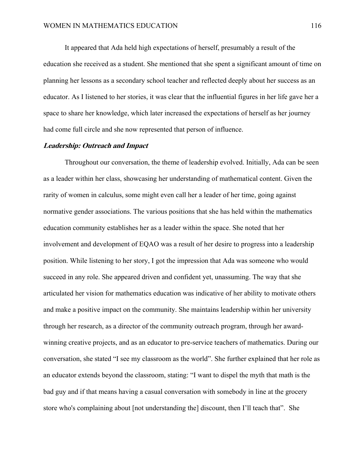It appeared that Ada held high expectations of herself, presumably a result of the education she received as a student. She mentioned that she spent a significant amount of time on planning her lessons as a secondary school teacher and reflected deeply about her success as an educator. As I listened to her stories, it was clear that the influential figures in her life gave her a space to share her knowledge, which later increased the expectations of herself as her journey had come full circle and she now represented that person of influence.

### **Leadership: Outreach and Impact**

Throughout our conversation, the theme of leadership evolved. Initially, Ada can be seen as a leader within her class, showcasing her understanding of mathematical content. Given the rarity of women in calculus, some might even call her a leader of her time, going against normative gender associations. The various positions that she has held within the mathematics education community establishes her as a leader within the space. She noted that her involvement and development of EQAO was a result of her desire to progress into a leadership position. While listening to her story, I got the impression that Ada was someone who would succeed in any role. She appeared driven and confident yet, unassuming. The way that she articulated her vision for mathematics education was indicative of her ability to motivate others and make a positive impact on the community. She maintains leadership within her university through her research, as a director of the community outreach program, through her awardwinning creative projects, and as an educator to pre-service teachers of mathematics. During our conversation, she stated "I see my classroom as the world". She further explained that her role as an educator extends beyond the classroom, stating: "I want to dispel the myth that math is the bad guy and if that means having a casual conversation with somebody in line at the grocery store who's complaining about [not understanding the] discount, then I'll teach that". She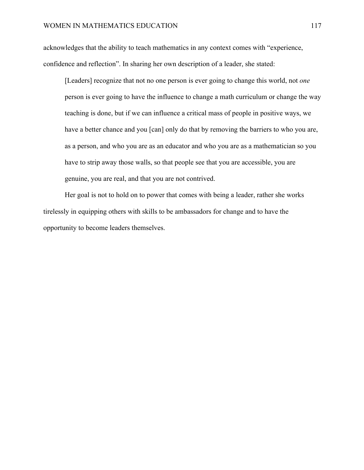acknowledges that the ability to teach mathematics in any context comes with "experience, confidence and reflection". In sharing her own description of a leader, she stated:

[Leaders] recognize that not no one person is ever going to change this world, not *one* person is ever going to have the influence to change a math curriculum or change the way teaching is done, but if we can influence a critical mass of people in positive ways, we have a better chance and you [can] only do that by removing the barriers to who you are, as a person, and who you are as an educator and who you are as a mathematician so you have to strip away those walls, so that people see that you are accessible, you are genuine, you are real, and that you are not contrived.

Her goal is not to hold on to power that comes with being a leader, rather she works tirelessly in equipping others with skills to be ambassadors for change and to have the opportunity to become leaders themselves.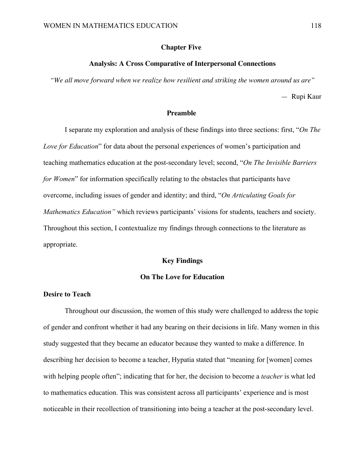### **Chapter Five:**

### **Analysis: A Cross Comparative of Interpersonal Connections**

*"We all move forward when we realize how resilient and striking the women around us are"*

— Rupi Kaur

#### **Preamble**

I separate my exploration and analysis of these findings into three sections: first, "*On The Love for Education*" for data about the personal experiences of women's participation and teaching mathematics education at the post-secondary level; second, "*On The Invisible Barriers for Women*" for information specifically relating to the obstacles that participants have overcome, including issues of gender and identity; and third, "*On Articulating Goals for Mathematics Education"* which reviews participants' visions for students, teachers and society. Throughout this section, I contextualize my findings through connections to the literature as appropriate.

### **Key Findings**

# **On The Love for Education**

# **Desire to Teach**

Throughout our discussion, the women of this study were challenged to address the topic of gender and confront whether it had any bearing on their decisions in life. Many women in this study suggested that they became an educator because they wanted to make a difference. In describing her decision to become a teacher, Hypatia stated that "meaning for [women] comes with helping people often"; indicating that for her, the decision to become a *teacher* is what led to mathematics education. This was consistent across all participants' experience and is most noticeable in their recollection of transitioning into being a teacher at the post-secondary level.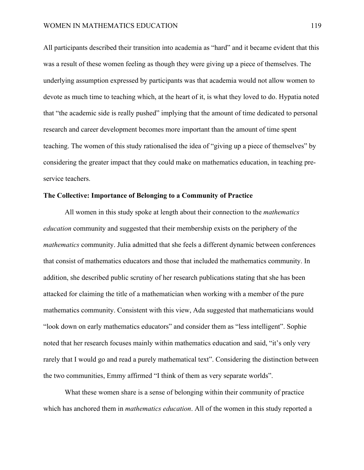All participants described their transition into academia as "hard" and it became evident that this was a result of these women feeling as though they were giving up a piece of themselves. The underlying assumption expressed by participants was that academia would not allow women to devote as much time to teaching which, at the heart of it, is what they loved to do. Hypatia noted that "the academic side is really pushed" implying that the amount of time dedicated to personal research and career development becomes more important than the amount of time spent teaching. The women of this study rationalised the idea of "giving up a piece of themselves" by considering the greater impact that they could make on mathematics education, in teaching preservice teachers.

# **The Collective: Importance of Belonging to a Community of Practice**

All women in this study spoke at length about their connection to the *mathematics education* community and suggested that their membership exists on the periphery of the *mathematics* community. Julia admitted that she feels a different dynamic between conferences that consist of mathematics educators and those that included the mathematics community. In addition, she described public scrutiny of her research publications stating that she has been attacked for claiming the title of a mathematician when working with a member of the pure mathematics community. Consistent with this view, Ada suggested that mathematicians would "look down on early mathematics educators" and consider them as "less intelligent". Sophie noted that her research focuses mainly within mathematics education and said, "it's only very rarely that I would go and read a purely mathematical text". Considering the distinction between the two communities, Emmy affirmed "I think of them as very separate worlds".

What these women share is a sense of belonging within their community of practice which has anchored them in *mathematics education*. All of the women in this study reported a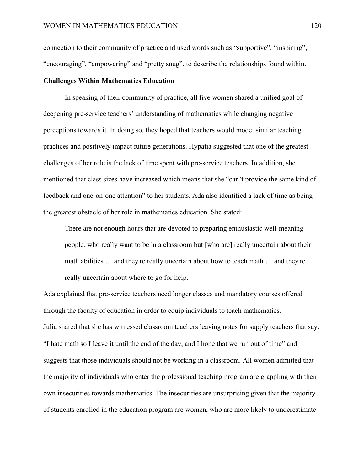connection to their community of practice and used words such as "supportive", "inspiring", "encouraging", "empowering" and "pretty snug", to describe the relationships found within.

### **Challenges Within Mathematics Education**

In speaking of their community of practice, all five women shared a unified goal of deepening pre-service teachers' understanding of mathematics while changing negative perceptions towards it. In doing so, they hoped that teachers would model similar teaching practices and positively impact future generations. Hypatia suggested that one of the greatest challenges of her role is the lack of time spent with pre-service teachers. In addition, she mentioned that class sizes have increased which means that she "can't provide the same kind of feedback and one-on-one attention" to her students. Ada also identified a lack of time as being the greatest obstacle of her role in mathematics education. She stated:

There are not enough hours that are devoted to preparing enthusiastic well-meaning people, who really want to be in a classroom but [who are] really uncertain about their math abilities … and they're really uncertain about how to teach math … and they're really uncertain about where to go for help.

Ada explained that pre-service teachers need longer classes and mandatory courses offered through the faculty of education in order to equip individuals to teach mathematics. Julia shared that she has witnessed classroom teachers leaving notes for supply teachers that say, "I hate math so I leave it until the end of the day, and I hope that we run out of time" and suggests that those individuals should not be working in a classroom. All women admitted that the majority of individuals who enter the professional teaching program are grappling with their own insecurities towards mathematics. The insecurities are unsurprising given that the majority of students enrolled in the education program are women, who are more likely to underestimate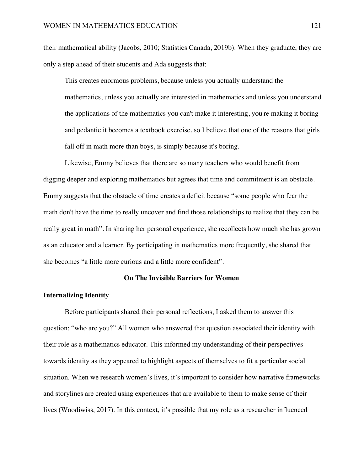their mathematical ability (Jacobs, 2010; Statistics Canada, 2019b). When they graduate, they are only a step ahead of their students and Ada suggests that:

This creates enormous problems, because unless you actually understand the mathematics, unless you actually are interested in mathematics and unless you understand the applications of the mathematics you can't make it interesting, you're making it boring and pedantic it becomes a textbook exercise, so I believe that one of the reasons that girls fall off in math more than boys, is simply because it's boring.

Likewise, Emmy believes that there are so many teachers who would benefit from digging deeper and exploring mathematics but agrees that time and commitment is an obstacle. Emmy suggests that the obstacle of time creates a deficit because "some people who fear the math don't have the time to really uncover and find those relationships to realize that they can be really great in math". In sharing her personal experience, she recollects how much she has grown as an educator and a learner. By participating in mathematics more frequently, she shared that she becomes "a little more curious and a little more confident".

# **On The Invisible Barriers for Women**

### **Internalizing Identity**

Before participants shared their personal reflections, I asked them to answer this question: "who are you?" All women who answered that question associated their identity with their role as a mathematics educator. This informed my understanding of their perspectives towards identity as they appeared to highlight aspects of themselves to fit a particular social situation. When we research women's lives, it's important to consider how narrative frameworks and storylines are created using experiences that are available to them to make sense of their lives (Woodiwiss, 2017). In this context, it's possible that my role as a researcher influenced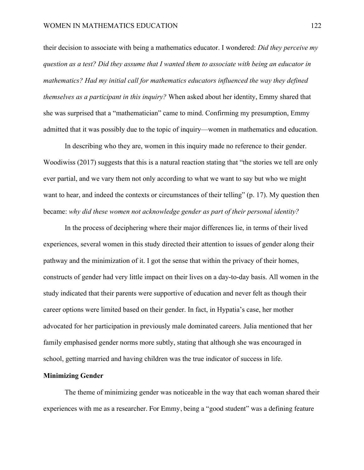their decision to associate with being a mathematics educator. I wondered: *Did they perceive my question as a test? Did they assume that I wanted them to associate with being an educator in mathematics? Had my initial call for mathematics educators influenced the way they defined themselves as a participant in this inquiry?* When asked about her identity, Emmy shared that she was surprised that a "mathematician" came to mind. Confirming my presumption, Emmy admitted that it was possibly due to the topic of inquiry—women in mathematics and education.

In describing who they are, women in this inquiry made no reference to their gender. Woodiwiss (2017) suggests that this is a natural reaction stating that "the stories we tell are only ever partial, and we vary them not only according to what we want to say but who we might want to hear, and indeed the contexts or circumstances of their telling" (p. 17). My question then became: *why did these women not acknowledge gender as part of their personal identity?*

In the process of deciphering where their major differences lie, in terms of their lived experiences, several women in this study directed their attention to issues of gender along their pathway and the minimization of it. I got the sense that within the privacy of their homes, constructs of gender had very little impact on their lives on a day-to-day basis. All women in the study indicated that their parents were supportive of education and never felt as though their career options were limited based on their gender. In fact, in Hypatia's case, her mother advocated for her participation in previously male dominated careers. Julia mentioned that her family emphasised gender norms more subtly, stating that although she was encouraged in school, getting married and having children was the true indicator of success in life.

## **Minimizing Gender**

The theme of minimizing gender was noticeable in the way that each woman shared their experiences with me as a researcher. For Emmy, being a "good student" was a defining feature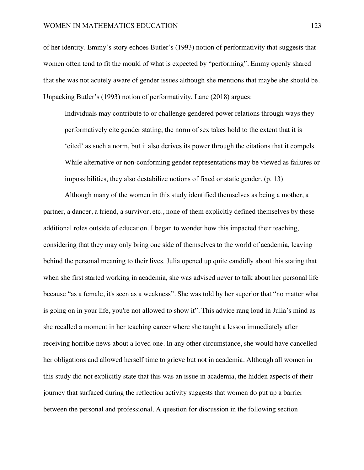of her identity. Emmy's story echoes Butler's (1993) notion of performativity that suggests that women often tend to fit the mould of what is expected by "performing". Emmy openly shared that she was not acutely aware of gender issues although she mentions that maybe she should be. Unpacking Butler's (1993) notion of performativity, Lane (2018) argues:

Individuals may contribute to or challenge gendered power relations through ways they performatively cite gender stating, the norm of sex takes hold to the extent that it is 'cited' as such a norm, but it also derives its power through the citations that it compels. While alternative or non-conforming gender representations may be viewed as failures or impossibilities, they also destabilize notions of fixed or static gender. (p. 13)

Although many of the women in this study identified themselves as being a mother, a partner, a dancer, a friend, a survivor, etc., none of them explicitly defined themselves by these additional roles outside of education. I began to wonder how this impacted their teaching, considering that they may only bring one side of themselves to the world of academia, leaving behind the personal meaning to their lives. Julia opened up quite candidly about this stating that when she first started working in academia, she was advised never to talk about her personal life because "as a female, it's seen as a weakness". She was told by her superior that "no matter what is going on in your life, you're not allowed to show it". This advice rang loud in Julia's mind as she recalled a moment in her teaching career where she taught a lesson immediately after receiving horrible news about a loved one. In any other circumstance, she would have cancelled her obligations and allowed herself time to grieve but not in academia. Although all women in this study did not explicitly state that this was an issue in academia, the hidden aspects of their journey that surfaced during the reflection activity suggests that women do put up a barrier between the personal and professional. A question for discussion in the following section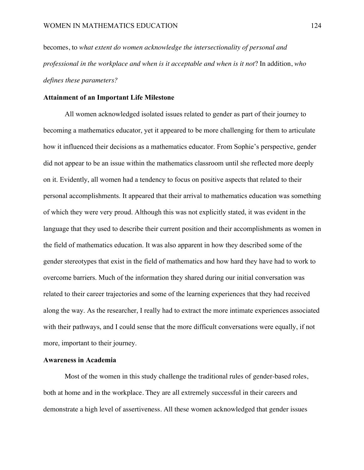becomes, to *what extent do women acknowledge the intersectionality of personal and professional in the workplace and when is it acceptable and when is it not*? In addition, *who defines these parameters?*

### **Attainment of an Important Life Milestone**

All women acknowledged isolated issues related to gender as part of their journey to becoming a mathematics educator, yet it appeared to be more challenging for them to articulate how it influenced their decisions as a mathematics educator. From Sophie's perspective, gender did not appear to be an issue within the mathematics classroom until she reflected more deeply on it. Evidently, all women had a tendency to focus on positive aspects that related to their personal accomplishments. It appeared that their arrival to mathematics education was something of which they were very proud. Although this was not explicitly stated, it was evident in the language that they used to describe their current position and their accomplishments as women in the field of mathematics education. It was also apparent in how they described some of the gender stereotypes that exist in the field of mathematics and how hard they have had to work to overcome barriers. Much of the information they shared during our initial conversation was related to their career trajectories and some of the learning experiences that they had received along the way. As the researcher, I really had to extract the more intimate experiences associated with their pathways, and I could sense that the more difficult conversations were equally, if not more, important to their journey.

# **Awareness in Academia**

Most of the women in this study challenge the traditional rules of gender-based roles, both at home and in the workplace. They are all extremely successful in their careers and demonstrate a high level of assertiveness. All these women acknowledged that gender issues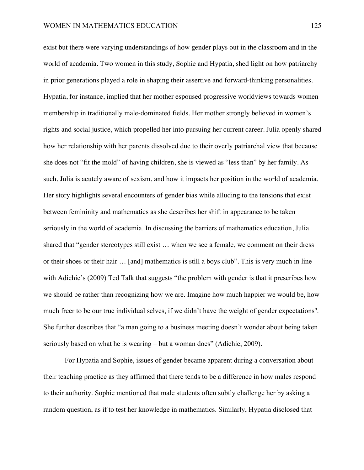exist but there were varying understandings of how gender plays out in the classroom and in the world of academia. Two women in this study, Sophie and Hypatia, shed light on how patriarchy in prior generations played a role in shaping their assertive and forward-thinking personalities. Hypatia, for instance, implied that her mother espoused progressive worldviews towards women membership in traditionally male-dominated fields. Her mother strongly believed in women's rights and social justice, which propelled her into pursuing her current career. Julia openly shared how her relationship with her parents dissolved due to their overly patriarchal view that because she does not "fit the mold" of having children, she is viewed as "less than" by her family. As such, Julia is acutely aware of sexism, and how it impacts her position in the world of academia. Her story highlights several encounters of gender bias while alluding to the tensions that exist between femininity and mathematics as she describes her shift in appearance to be taken seriously in the world of academia. In discussing the barriers of mathematics education, Julia shared that "gender stereotypes still exist … when we see a female, we comment on their dress or their shoes or their hair … [and] mathematics is still a boys club". This is very much in line with Adichie's (2009) Ted Talk that suggests "the problem with gender is that it prescribes how we should be rather than recognizing how we are. Imagine how much happier we would be, how much freer to be our true individual selves, if we didn't have the weight of gender expectations''. She further describes that "a man going to a business meeting doesn't wonder about being taken seriously based on what he is wearing – but a woman does" (Adichie, 2009).

For Hypatia and Sophie, issues of gender became apparent during a conversation about their teaching practice as they affirmed that there tends to be a difference in how males respond to their authority. Sophie mentioned that male students often subtly challenge her by asking a random question, as if to test her knowledge in mathematics. Similarly, Hypatia disclosed that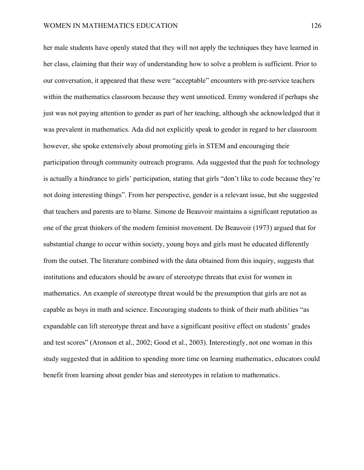her male students have openly stated that they will not apply the techniques they have learned in her class, claiming that their way of understanding how to solve a problem is sufficient. Prior to our conversation, it appeared that these were "acceptable" encounters with pre-service teachers within the mathematics classroom because they went unnoticed. Emmy wondered if perhaps she just was not paying attention to gender as part of her teaching, although she acknowledged that it was prevalent in mathematics. Ada did not explicitly speak to gender in regard to her classroom however, she spoke extensively about promoting girls in STEM and encouraging their participation through community outreach programs. Ada suggested that the push for technology is actually a hindrance to girls' participation, stating that girls "don't like to code because they're not doing interesting things". From her perspective, gender is a relevant issue, but she suggested that teachers and parents are to blame. Simone de Beauvoir maintains a significant reputation as one of the great thinkers of the modern feminist movement. De Beauvoir (1973) argued that for substantial change to occur within society, young boys and girls must be educated differently from the outset. The literature combined with the data obtained from this inquiry, suggests that institutions and educators should be aware of stereotype threats that exist for women in mathematics. An example of stereotype threat would be the presumption that girls are not as capable as boys in math and science. Encouraging students to think of their math abilities "as expandable can lift stereotype threat and have a significant positive effect on students' grades and test scores" (Aronson et al., 2002; Good et al., 2003). Interestingly, not one woman in this study suggested that in addition to spending more time on learning mathematics, educators could benefit from learning about gender bias and stereotypes in relation to mathematics.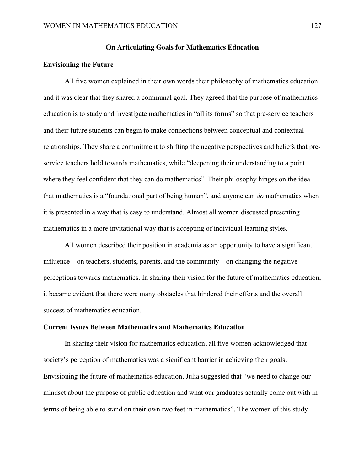### **On Articulating Goals for Mathematics Education**

#### **Envisioning the Future**

All five women explained in their own words their philosophy of mathematics education and it was clear that they shared a communal goal. They agreed that the purpose of mathematics education is to study and investigate mathematics in "all its forms" so that pre-service teachers and their future students can begin to make connections between conceptual and contextual relationships. They share a commitment to shifting the negative perspectives and beliefs that preservice teachers hold towards mathematics, while "deepening their understanding to a point where they feel confident that they can do mathematics". Their philosophy hinges on the idea that mathematics is a "foundational part of being human", and anyone can *do* mathematics when it is presented in a way that is easy to understand. Almost all women discussed presenting mathematics in a more invitational way that is accepting of individual learning styles.

All women described their position in academia as an opportunity to have a significant influence—on teachers, students, parents, and the community—on changing the negative perceptions towards mathematics. In sharing their vision for the future of mathematics education, it became evident that there were many obstacles that hindered their efforts and the overall success of mathematics education.

### **Current Issues Between Mathematics and Mathematics Education**

In sharing their vision for mathematics education, all five women acknowledged that society's perception of mathematics was a significant barrier in achieving their goals. Envisioning the future of mathematics education, Julia suggested that "we need to change our mindset about the purpose of public education and what our graduates actually come out with in terms of being able to stand on their own two feet in mathematics". The women of this study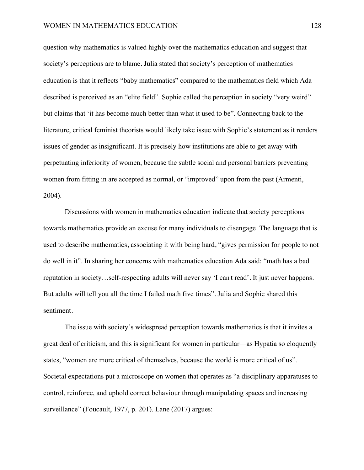question why mathematics is valued highly over the mathematics education and suggest that society's perceptions are to blame. Julia stated that society's perception of mathematics education is that it reflects "baby mathematics" compared to the mathematics field which Ada described is perceived as an "elite field". Sophie called the perception in society "very weird" but claims that 'it has become much better than what it used to be". Connecting back to the literature, critical feminist theorists would likely take issue with Sophie's statement as it renders issues of gender as insignificant. It is precisely how institutions are able to get away with perpetuating inferiority of women, because the subtle social and personal barriers preventing women from fitting in are accepted as normal, or "improved" upon from the past (Armenti, 2004).

Discussions with women in mathematics education indicate that society perceptions towards mathematics provide an excuse for many individuals to disengage. The language that is used to describe mathematics, associating it with being hard, "gives permission for people to not do well in it". In sharing her concerns with mathematics education Ada said: "math has a bad reputation in society…self-respecting adults will never say 'I can't read'. It just never happens. But adults will tell you all the time I failed math five times". Julia and Sophie shared this sentiment.

The issue with society's widespread perception towards mathematics is that it invites a great deal of criticism, and this is significant for women in particular—as Hypatia so eloquently states, "women are more critical of themselves, because the world is more critical of us". Societal expectations put a microscope on women that operates as "a disciplinary apparatuses to control, reinforce, and uphold correct behaviour through manipulating spaces and increasing surveillance" (Foucault, 1977, p. 201). Lane (2017) argues: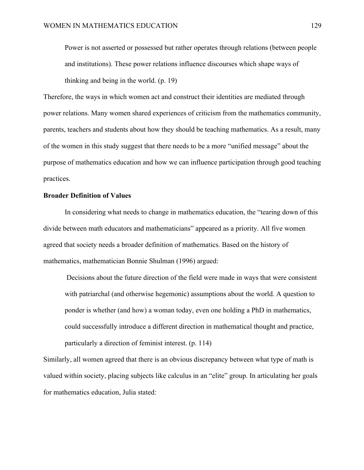Power is not asserted or possessed but rather operates through relations (between people and institutions). These power relations influence discourses which shape ways of thinking and being in the world. (p. 19)

Therefore, the ways in which women act and construct their identities are mediated through power relations. Many women shared experiences of criticism from the mathematics community, parents, teachers and students about how they should be teaching mathematics. As a result, many of the women in this study suggest that there needs to be a more "unified message" about the purpose of mathematics education and how we can influence participation through good teaching practices.

# **Broader Definition of Values**

In considering what needs to change in mathematics education, the "tearing down of this divide between math educators and mathematicians" appeared as a priority. All five women agreed that society needs a broader definition of mathematics. Based on the history of mathematics, mathematician Bonnie Shulman (1996) argued:

Decisions about the future direction of the field were made in ways that were consistent with patriarchal (and otherwise hegemonic) assumptions about the world. A question to ponder is whether (and how) a woman today, even one holding a PhD in mathematics, could successfully introduce a different direction in mathematical thought and practice, particularly a direction of feminist interest. (p. 114)

Similarly, all women agreed that there is an obvious discrepancy between what type of math is valued within society, placing subjects like calculus in an "elite" group. In articulating her goals for mathematics education, Julia stated: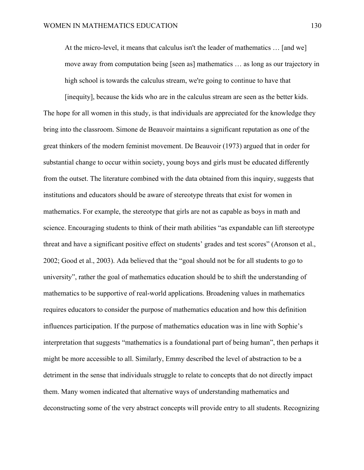At the micro-level, it means that calculus isn't the leader of mathematics … [and we] move away from computation being [seen as] mathematics … as long as our trajectory in high school is towards the calculus stream, we're going to continue to have that

[inequity], because the kids who are in the calculus stream are seen as the better kids. The hope for all women in this study, is that individuals are appreciated for the knowledge they bring into the classroom. Simone de Beauvoir maintains a significant reputation as one of the great thinkers of the modern feminist movement. De Beauvoir (1973) argued that in order for substantial change to occur within society, young boys and girls must be educated differently from the outset. The literature combined with the data obtained from this inquiry, suggests that institutions and educators should be aware of stereotype threats that exist for women in mathematics. For example, the stereotype that girls are not as capable as boys in math and science. Encouraging students to think of their math abilities "as expandable can lift stereotype threat and have a significant positive effect on students' grades and test scores" (Aronson et al., 2002; Good et al., 2003). Ada believed that the "goal should not be for all students to go to university", rather the goal of mathematics education should be to shift the understanding of mathematics to be supportive of real-world applications. Broadening values in mathematics requires educators to consider the purpose of mathematics education and how this definition influences participation. If the purpose of mathematics education was in line with Sophie's interpretation that suggests "mathematics is a foundational part of being human", then perhaps it might be more accessible to all. Similarly, Emmy described the level of abstraction to be a detriment in the sense that individuals struggle to relate to concepts that do not directly impact them. Many women indicated that alternative ways of understanding mathematics and deconstructing some of the very abstract concepts will provide entry to all students. Recognizing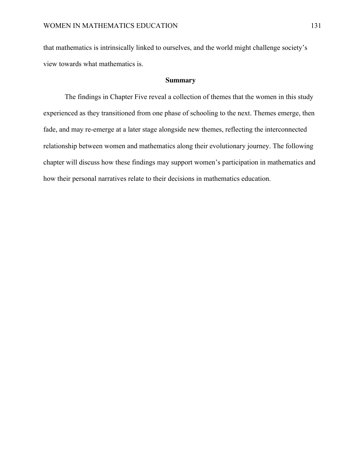that mathematics is intrinsically linked to ourselves, and the world might challenge society's view towards what mathematics is.

### **Summary**

The findings in Chapter Five reveal a collection of themes that the women in this study experienced as they transitioned from one phase of schooling to the next. Themes emerge, then fade, and may re-emerge at a later stage alongside new themes, reflecting the interconnected relationship between women and mathematics along their evolutionary journey. The following chapter will discuss how these findings may support women's participation in mathematics and how their personal narratives relate to their decisions in mathematics education.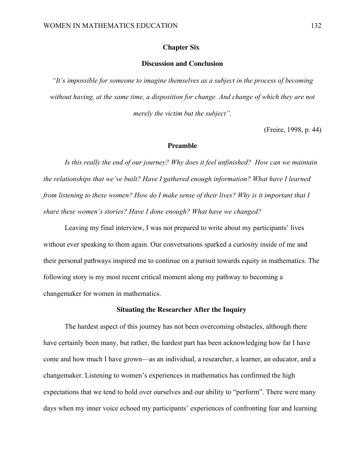#### **Chapter Six:**

# **Discussion and Conclusion**

*"It's impossible for someone to imagine themselves as a subject in the process of becoming without having, at the same time, a disposition for change. And change of which they are not merely the victim but the subject".*

(Freire, 1998, p. 44)

### **Preamble**

*Is this really the end of our journey? Why does it feel unfinished? How can we maintain the relationships that we've built? Have I gathered enough information? What have I learned from listening to these women? How do I make sense of their lives? Why is it important that I share these women's stories? Have I done enough? What have we changed?*

Leaving my final interview, I was not prepared to write about my participants' lives without ever speaking to them again. Our conversations sparked a curiosity inside of me and their personal pathways inspired me to continue on a pursuit towards equity in mathematics. The following story is my most recent critical moment along my pathway to becoming a changemaker for women in mathematics.

### **Situating the Researcher After the Inquiry**

The hardest aspect of this journey has not been overcoming obstacles, although there have certainly been many, but rather, the hardest part has been acknowledging how far I have come and how much I have grown—as an individual, a researcher, a learner, an educator, and a changemaker. Listening to women's experiences in mathematics has confirmed the high expectations that we tend to hold over ourselves and our ability to "perform". There were many days when my inner voice echoed my participants' experiences of confronting fear and learning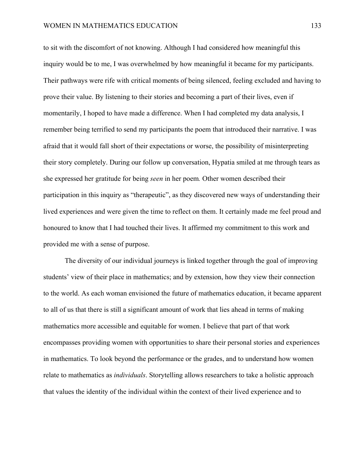to sit with the discomfort of not knowing. Although I had considered how meaningful this inquiry would be to me, I was overwhelmed by how meaningful it became for my participants. Their pathways were rife with critical moments of being silenced, feeling excluded and having to prove their value. By listening to their stories and becoming a part of their lives, even if momentarily, I hoped to have made a difference. When I had completed my data analysis, I remember being terrified to send my participants the poem that introduced their narrative. I was afraid that it would fall short of their expectations or worse, the possibility of misinterpreting their story completely. During our follow up conversation, Hypatia smiled at me through tears as she expressed her gratitude for being *seen* in her poem*.* Other women described their participation in this inquiry as "therapeutic", as they discovered new ways of understanding their lived experiences and were given the time to reflect on them. It certainly made me feel proud and honoured to know that I had touched their lives. It affirmed my commitment to this work and provided me with a sense of purpose.

The diversity of our individual journeys is linked together through the goal of improving students' view of their place in mathematics; and by extension, how they view their connection to the world. As each woman envisioned the future of mathematics education, it became apparent to all of us that there is still a significant amount of work that lies ahead in terms of making mathematics more accessible and equitable for women. I believe that part of that work encompasses providing women with opportunities to share their personal stories and experiences in mathematics. To look beyond the performance or the grades, and to understand how women relate to mathematics as *individuals*. Storytelling allows researchers to take a holistic approach that values the identity of the individual within the context of their lived experience and to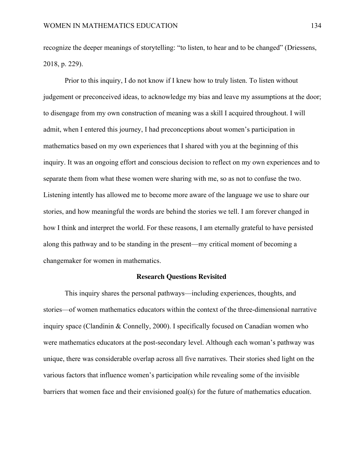recognize the deeper meanings of storytelling: "to listen, to hear and to be changed" (Driessens, 2018, p. 229).

Prior to this inquiry, I do not know if I knew how to truly listen. To listen without judgement or preconceived ideas, to acknowledge my bias and leave my assumptions at the door; to disengage from my own construction of meaning was a skill I acquired throughout. I will admit, when I entered this journey, I had preconceptions about women's participation in mathematics based on my own experiences that I shared with you at the beginning of this inquiry. It was an ongoing effort and conscious decision to reflect on my own experiences and to separate them from what these women were sharing with me, so as not to confuse the two. Listening intently has allowed me to become more aware of the language we use to share our stories, and how meaningful the words are behind the stories we tell. I am forever changed in how I think and interpret the world. For these reasons, I am eternally grateful to have persisted along this pathway and to be standing in the present—my critical moment of becoming a changemaker for women in mathematics.

#### **Research Questions Revisited**

This inquiry shares the personal pathways—including experiences, thoughts, and stories—of women mathematics educators within the context of the three-dimensional narrative inquiry space (Clandinin & Connelly, 2000). I specifically focused on Canadian women who were mathematics educators at the post-secondary level. Although each woman's pathway was unique, there was considerable overlap across all five narratives. Their stories shed light on the various factors that influence women's participation while revealing some of the invisible barriers that women face and their envisioned goal(s) for the future of mathematics education.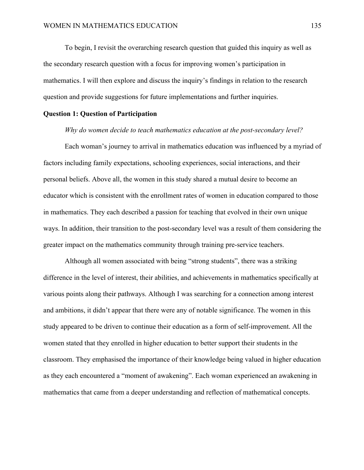To begin, I revisit the overarching research question that guided this inquiry as well as the secondary research question with a focus for improving women's participation in mathematics. I will then explore and discuss the inquiry's findings in relation to the research question and provide suggestions for future implementations and further inquiries.

#### **Question 1: Question of Participation**

#### *Why do women decide to teach mathematics education at the post-secondary level?*

Each woman's journey to arrival in mathematics education was influenced by a myriad of factors including family expectations, schooling experiences, social interactions, and their personal beliefs. Above all, the women in this study shared a mutual desire to become an educator which is consistent with the enrollment rates of women in education compared to those in mathematics. They each described a passion for teaching that evolved in their own unique ways. In addition, their transition to the post-secondary level was a result of them considering the greater impact on the mathematics community through training pre-service teachers.

Although all women associated with being "strong students", there was a striking difference in the level of interest, their abilities, and achievements in mathematics specifically at various points along their pathways. Although I was searching for a connection among interest and ambitions, it didn't appear that there were any of notable significance. The women in this study appeared to be driven to continue their education as a form of self-improvement. All the women stated that they enrolled in higher education to better support their students in the classroom. They emphasised the importance of their knowledge being valued in higher education as they each encountered a "moment of awakening". Each woman experienced an awakening in mathematics that came from a deeper understanding and reflection of mathematical concepts.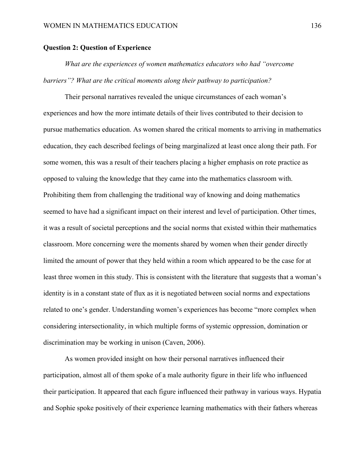#### **Question 2: Question of Experience**

*What are the experiences of women mathematics educators who had "overcome barriers"? What are the critical moments along their pathway to participation?* 

Their personal narratives revealed the unique circumstances of each woman's experiences and how the more intimate details of their lives contributed to their decision to pursue mathematics education. As women shared the critical moments to arriving in mathematics education, they each described feelings of being marginalized at least once along their path. For some women, this was a result of their teachers placing a higher emphasis on rote practice as opposed to valuing the knowledge that they came into the mathematics classroom with. Prohibiting them from challenging the traditional way of knowing and doing mathematics seemed to have had a significant impact on their interest and level of participation. Other times, it was a result of societal perceptions and the social norms that existed within their mathematics classroom. More concerning were the moments shared by women when their gender directly limited the amount of power that they held within a room which appeared to be the case for at least three women in this study. This is consistent with the literature that suggests that a woman's identity is in a constant state of flux as it is negotiated between social norms and expectations related to one's gender. Understanding women's experiences has become "more complex when considering intersectionality, in which multiple forms of systemic oppression, domination or discrimination may be working in unison (Caven, 2006).

As women provided insight on how their personal narratives influenced their participation, almost all of them spoke of a male authority figure in their life who influenced their participation. It appeared that each figure influenced their pathway in various ways. Hypatia and Sophie spoke positively of their experience learning mathematics with their fathers whereas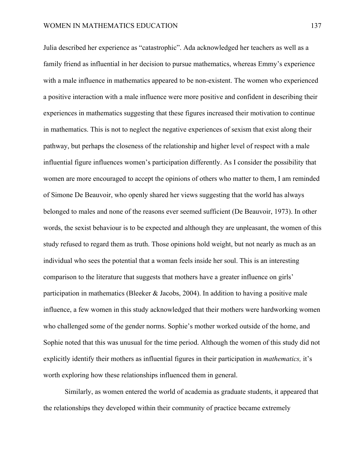Julia described her experience as "catastrophic". Ada acknowledged her teachers as well as a family friend as influential in her decision to pursue mathematics, whereas Emmy's experience with a male influence in mathematics appeared to be non-existent. The women who experienced a positive interaction with a male influence were more positive and confident in describing their experiences in mathematics suggesting that these figures increased their motivation to continue in mathematics. This is not to neglect the negative experiences of sexism that exist along their pathway, but perhaps the closeness of the relationship and higher level of respect with a male influential figure influences women's participation differently. As I consider the possibility that women are more encouraged to accept the opinions of others who matter to them, I am reminded of Simone De Beauvoir, who openly shared her views suggesting that the world has always belonged to males and none of the reasons ever seemed sufficient (De Beauvoir, 1973). In other words, the sexist behaviour is to be expected and although they are unpleasant, the women of this study refused to regard them as truth. Those opinions hold weight, but not nearly as much as an individual who sees the potential that a woman feels inside her soul. This is an interesting comparison to the literature that suggests that mothers have a greater influence on girls' participation in mathematics (Bleeker & Jacobs, 2004). In addition to having a positive male influence, a few women in this study acknowledged that their mothers were hardworking women who challenged some of the gender norms. Sophie's mother worked outside of the home, and Sophie noted that this was unusual for the time period. Although the women of this study did not explicitly identify their mothers as influential figures in their participation in *mathematics,* it's worth exploring how these relationships influenced them in general.

Similarly, as women entered the world of academia as graduate students, it appeared that the relationships they developed within their community of practice became extremely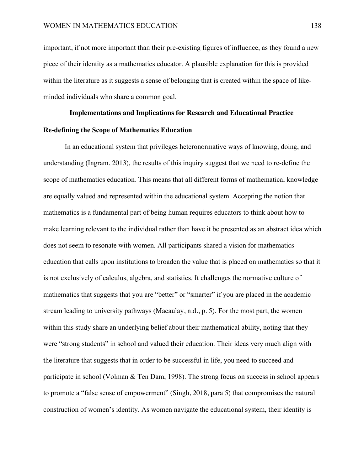important, if not more important than their pre-existing figures of influence, as they found a new piece of their identity as a mathematics educator. A plausible explanation for this is provided within the literature as it suggests a sense of belonging that is created within the space of likeminded individuals who share a common goal.

#### **Implementations and Implications for Research and Educational Practice**

#### **Re-defining the Scope of Mathematics Education**

In an educational system that privileges heteronormative ways of knowing, doing, and understanding (Ingram, 2013), the results of this inquiry suggest that we need to re-define the scope of mathematics education. This means that all different forms of mathematical knowledge are equally valued and represented within the educational system. Accepting the notion that mathematics is a fundamental part of being human requires educators to think about how to make learning relevant to the individual rather than have it be presented as an abstract idea which does not seem to resonate with women. All participants shared a vision for mathematics education that calls upon institutions to broaden the value that is placed on mathematics so that it is not exclusively of calculus, algebra, and statistics. It challenges the normative culture of mathematics that suggests that you are "better" or "smarter" if you are placed in the academic stream leading to university pathways (Macaulay, n.d., p. 5). For the most part, the women within this study share an underlying belief about their mathematical ability, noting that they were "strong students" in school and valued their education. Their ideas very much align with the literature that suggests that in order to be successful in life, you need to succeed and participate in school (Volman & Ten Dam, 1998). The strong focus on success in school appears to promote a "false sense of empowerment" (Singh, 2018, para 5) that compromises the natural construction of women's identity. As women navigate the educational system, their identity is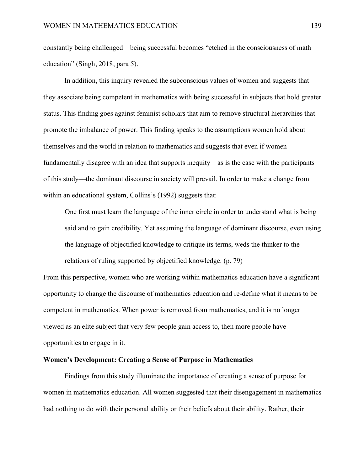constantly being challenged—being successful becomes "etched in the consciousness of math education" (Singh, 2018, para 5).

In addition, this inquiry revealed the subconscious values of women and suggests that they associate being competent in mathematics with being successful in subjects that hold greater status. This finding goes against feminist scholars that aim to remove structural hierarchies that promote the imbalance of power. This finding speaks to the assumptions women hold about themselves and the world in relation to mathematics and suggests that even if women fundamentally disagree with an idea that supports inequity—as is the case with the participants of this study—the dominant discourse in society will prevail. In order to make a change from within an educational system, Collins's (1992) suggests that:

One first must learn the language of the inner circle in order to understand what is being said and to gain credibility. Yet assuming the language of dominant discourse, even using the language of objectified knowledge to critique its terms, weds the thinker to the relations of ruling supported by objectified knowledge. (p. 79)

From this perspective, women who are working within mathematics education have a significant opportunity to change the discourse of mathematics education and re-define what it means to be competent in mathematics. When power is removed from mathematics, and it is no longer viewed as an elite subject that very few people gain access to, then more people have opportunities to engage in it.

### **Women's Development: Creating a Sense of Purpose in Mathematics**

Findings from this study illuminate the importance of creating a sense of purpose for women in mathematics education. All women suggested that their disengagement in mathematics had nothing to do with their personal ability or their beliefs about their ability. Rather, their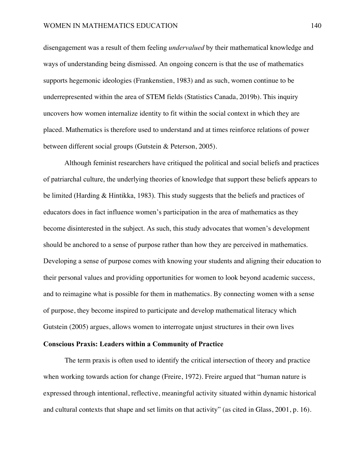disengagement was a result of them feeling *undervalued* by their mathematical knowledge and ways of understanding being dismissed. An ongoing concern is that the use of mathematics supports hegemonic ideologies (Frankenstien, 1983) and as such, women continue to be underrepresented within the area of STEM fields (Statistics Canada, 2019b). This inquiry uncovers how women internalize identity to fit within the social context in which they are placed. Mathematics is therefore used to understand and at times reinforce relations of power between different social groups (Gutstein & Peterson, 2005).

Although feminist researchers have critiqued the political and social beliefs and practices of patriarchal culture, the underlying theories of knowledge that support these beliefs appears to be limited (Harding & Hintikka, 1983). This study suggests that the beliefs and practices of educators does in fact influence women's participation in the area of mathematics as they become disinterested in the subject. As such, this study advocates that women's development should be anchored to a sense of purpose rather than how they are perceived in mathematics. Developing a sense of purpose comes with knowing your students and aligning their education to their personal values and providing opportunities for women to look beyond academic success, and to reimagine what is possible for them in mathematics. By connecting women with a sense of purpose, they become inspired to participate and develop mathematical literacy which Gutstein (2005) argues, allows women to interrogate unjust structures in their own lives

#### **Conscious Praxis: Leaders within a Community of Practice**

The term praxis is often used to identify the critical intersection of theory and practice when working towards action for change (Freire, 1972). Freire argued that "human nature is expressed through intentional, reflective, meaningful activity situated within dynamic historical and cultural contexts that shape and set limits on that activity" (as cited in Glass, 2001, p. 16).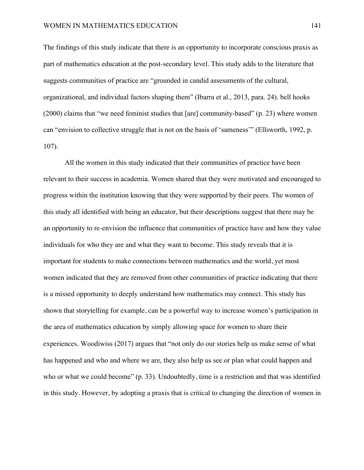The findings of this study indicate that there is an opportunity to incorporate conscious praxis as part of mathematics education at the post-secondary level. This study adds to the literature that suggests communities of practice are "grounded in candid assessments of the cultural, organizational, and individual factors shaping them" (Ibarra et al., 2013, para. 24). bell hooks (2000) claims that "we need feminist studies that [are] community-based" (p. 23) where women can "envision to collective struggle that is not on the basis of 'sameness'" (Ellsworth, 1992, p. 107).

All the women in this study indicated that their communities of practice have been relevant to their success in academia. Women shared that they were motivated and encouraged to progress within the institution knowing that they were supported by their peers. The women of this study all identified with being an educator, but their descriptions suggest that there may be an opportunity to re-envision the influence that communities of practice have and how they value individuals for who they are and what they want to become. This study reveals that it is important for students to make connections between mathematics and the world, yet most women indicated that they are removed from other communities of practice indicating that there is a missed opportunity to deeply understand how mathematics may connect. This study has shown that storytelling for example, can be a powerful way to increase women's participation in the area of mathematics education by simply allowing space for women to share their experiences. Woodiwiss (2017) argues that "not only do our stories help us make sense of what has happened and who and where we are, they also help us see or plan what could happen and who or what we could become" (p. 33). Undoubtedly, time is a restriction and that was identified in this study. However, by adopting a praxis that is critical to changing the direction of women in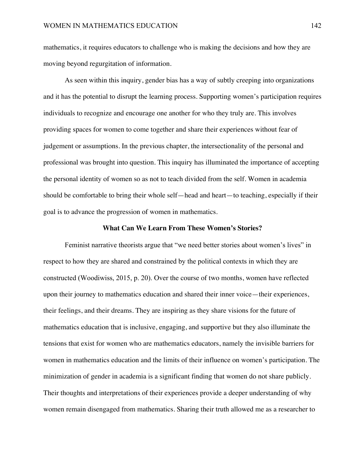mathematics, it requires educators to challenge who is making the decisions and how they are moving beyond regurgitation of information.

As seen within this inquiry, gender bias has a way of subtly creeping into organizations and it has the potential to disrupt the learning process. Supporting women's participation requires individuals to recognize and encourage one another for who they truly are. This involves providing spaces for women to come together and share their experiences without fear of judgement or assumptions. In the previous chapter, the intersectionality of the personal and professional was brought into question. This inquiry has illuminated the importance of accepting the personal identity of women so as not to teach divided from the self. Women in academia should be comfortable to bring their whole self—head and heart—to teaching, especially if their goal is to advance the progression of women in mathematics.

#### **What Can We Learn From These Women's Stories?**

Feminist narrative theorists argue that "we need better stories about women's lives" in respect to how they are shared and constrained by the political contexts in which they are constructed (Woodiwiss, 2015, p. 20). Over the course of two months, women have reflected upon their journey to mathematics education and shared their inner voice—their experiences, their feelings, and their dreams. They are inspiring as they share visions for the future of mathematics education that is inclusive, engaging, and supportive but they also illuminate the tensions that exist for women who are mathematics educators, namely the invisible barriers for women in mathematics education and the limits of their influence on women's participation. The minimization of gender in academia is a significant finding that women do not share publicly. Their thoughts and interpretations of their experiences provide a deeper understanding of why women remain disengaged from mathematics. Sharing their truth allowed me as a researcher to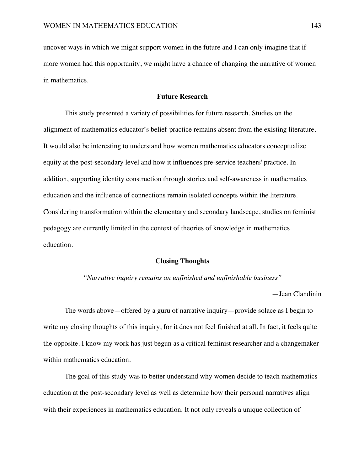uncover ways in which we might support women in the future and I can only imagine that if more women had this opportunity, we might have a chance of changing the narrative of women in mathematics.

#### **Future Research**

This study presented a variety of possibilities for future research. Studies on the alignment of mathematics educator's belief-practice remains absent from the existing literature. It would also be interesting to understand how women mathematics educators conceptualize equity at the post-secondary level and how it influences pre-service teachers' practice. In addition, supporting identity construction through stories and self-awareness in mathematics education and the influence of connections remain isolated concepts within the literature. Considering transformation within the elementary and secondary landscape, studies on feminist pedagogy are currently limited in the context of theories of knowledge in mathematics education.

### **Closing Thoughts**

*"Narrative inquiry remains an unfinished and unfinishable business"*

—Jean Clandinin

The words above—offered by a guru of narrative inquiry—provide solace as I begin to write my closing thoughts of this inquiry, for it does not feel finished at all. In fact, it feels quite the opposite. I know my work has just begun as a critical feminist researcher and a changemaker within mathematics education.

The goal of this study was to better understand why women decide to teach mathematics education at the post-secondary level as well as determine how their personal narratives align with their experiences in mathematics education. It not only reveals a unique collection of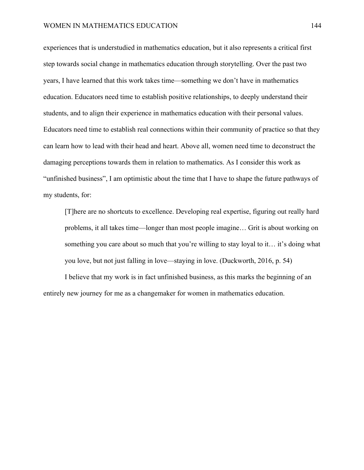experiences that is understudied in mathematics education, but it also represents a critical first step towards social change in mathematics education through storytelling. Over the past two years, I have learned that this work takes time—something we don't have in mathematics education. Educators need time to establish positive relationships, to deeply understand their students, and to align their experience in mathematics education with their personal values. Educators need time to establish real connections within their community of practice so that they can learn how to lead with their head and heart. Above all, women need time to deconstruct the damaging perceptions towards them in relation to mathematics. As I consider this work as "unfinished business", I am optimistic about the time that I have to shape the future pathways of my students, for:

[T]here are no shortcuts to excellence. Developing real expertise, figuring out really hard problems, it all takes time—longer than most people imagine… Grit is about working on something you care about so much that you're willing to stay loyal to it… it's doing what you love, but not just falling in love—staying in love. (Duckworth, 2016, p. 54)

I believe that my work is in fact unfinished business, as this marks the beginning of an entirely new journey for me as a changemaker for women in mathematics education.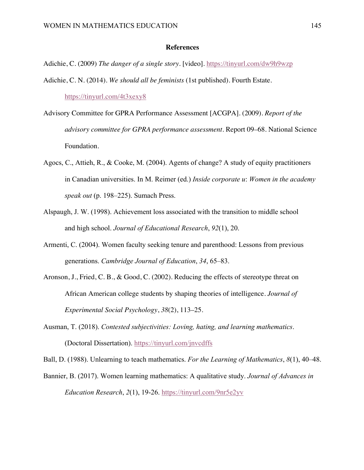#### **References**

Adichie, C. (2009) *The danger of a single story.* [video]. https://tinyurl.com/dw9h9wzp

- Adichie, C. N. (2014). *We should all be feminists* (1st published). Fourth Estate. https://tinyurl.com/4t3xexy8
- Advisory Committee for GPRA Performance Assessment [ACGPA]. (2009). *Report of the advisory committee for GPRA performance assessment*. Report 09–68. National Science Foundation.
- Agocs, C., Attieh, R., & Cooke, M. (2004). Agents of change? A study of equity practitioners in Canadian universities. In M. Reimer (ed.) *Inside corporate u*: *Women in the academy speak out* (p. 198–225). Sumach Press.
- Alspaugh, J. W. (1998). Achievement loss associated with the transition to middle school and high school. *Journal of Educational Research*, *92*(1), 20.
- Armenti, C. (2004). Women faculty seeking tenure and parenthood: Lessons from previous generations. *Cambridge Journal of Education*, *34*, 65–83.
- Aronson, J., Fried, C. B., & Good, C. (2002). Reducing the effects of stereotype threat on African American college students by shaping theories of intelligence. *Journal of Experimental Social Psychology*, *38*(2), 113–25.
- Ausman, T. (2018). *Contested subjectivities: Loving, hating, and learning mathematics*. (Doctoral Dissertation). https://tinyurl.com/jnvcdffs

Ball, D. (1988). Unlearning to teach mathematics. *For the Learning of Mathematics*, *8*(1), 40–48.

Bannier, B. (2017). Women learning mathematics: A qualitative study. *Journal of Advances in Education Research*, *2*(1), 19-26. https://tinyurl.com/9nr5e2yv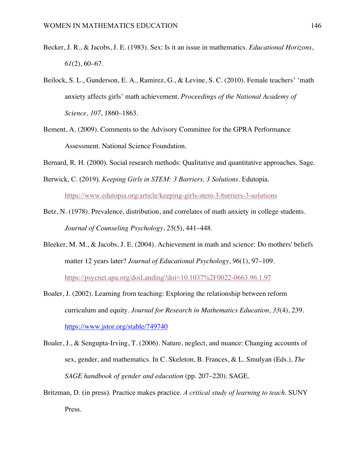- Becker, J. R., & Jacobs, J. E. (1983). Sex: Is it an issue in mathematics. *Educational Horizons*, *61*(2), 60–67.
- Beilock, S. L., Gunderson, E. A., Ramirez, G., & Levine, S. C. (2010). Female teachers' 'math anxiety affects girls' math achievement. *Proceedings of the National Academy of Science, 107*, 1860–1863.
- Bement, A. (2009). Comments to the Advisory Committee for the GPRA Performance Assessment. National Science Foundation.
- Bernard, R. H. (2000). Social research methods: Qualitative and quantitative approaches. Sage.
- Berwick, C. (2019). *Keeping Girls in STEM: 3 Barriers, 3 Solutions*. Edutopia. https://www.edutopia.org/article/keeping-girls-stem-3-barriers-3-solutions
- Betz, N. (1978). Prevalence, distribution, and correlates of math anxiety in college students. *Journal of Counseling Psychology*, *25*(5), 441–448.
- Bleeker, M. M., & Jacobs, J. E. (2004). Achievement in math and science: Do mothers' beliefs matter 12 years later? *Journal of Educational Psychology*, *96*(1), 97–109. https://psycnet.apa.org/doiLanding?doi=10.1037%2F0022-0663.96.1.97
- Boaler, J. (2002). Learning from teaching: Exploring the relationship between reform curriculum and equity. *Journal for Research in Mathematics Education*, *33*(4), 239. https://www.jstor.org/stable/749740
- Boaler, J., & Sengupta-Irving, T. (2006). Nature, neglect, and nuance: Changing accounts of sex, gender, and mathematics. In C. Skeleton, B. Frances, & L. Smulyan (Eds.), *The SAGE handbook of gender and education* (pp. 207–220). SAGE.
- Britzman, D. (in press). Practice makes practice. *A critical study of learning to teach.* SUNY Press.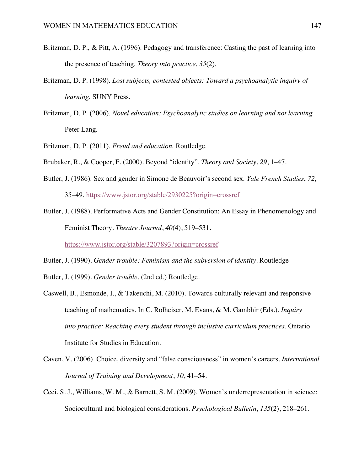- Britzman, D. P., & Pitt, A. (1996). Pedagogy and transference: Casting the past of learning into the presence of teaching. *Theory into practice*, *35*(2).
- Britzman, D. P. (1998). *Lost subjects, contested objects: Toward a psychoanalytic inquiry of learning.* SUNY Press.
- Britzman, D. P. (2006). *Novel education: Psychoanalytic studies on learning and not learning.* Peter Lang.
- Britzman, D. P. (2011). *Freud and education.* Routledge.
- Brubaker, R., & Cooper, F. (2000). Beyond "identity". *Theory and Society*, *29*, 1–47.
- Butler, J. (1986). Sex and gender in Simone de Beauvoir's second sex. *Yale French Studies*, *72*, 35–49. https://www.jstor.org/stable/2930225?origin=crossref
- Butler, J. (1988). Performative Acts and Gender Constitution: An Essay in Phenomenology and Feminist Theory. *Theatre Journal*, *40*(4), 519–531.

https://www.jstor.org/stable/3207893?origin=crossref

Butler, J. (1990). *Gender trouble: Feminism and the subversion of identity*. Routledge

- Butler, J. (1999). *Gender trouble*. (2nd ed.) Routledge.
- Caswell, B., Esmonde, I., & Takeuchi, M. (2010). Towards culturally relevant and responsive teaching of mathematics. In C. Rolheiser, M. Evans, & M. Gambhir (Eds.), *Inquiry into practice: Reaching every student through inclusive curriculum practices*. Ontario Institute for Studies in Education.
- Caven, V. (2006). Choice, diversity and "false consciousness" in women's careers. *International Journal of Training and Development*, *10*, 41–54.
- Ceci, S. J., Williams, W. M., & Barnett, S. M. (2009). Women's underrepresentation in science: Sociocultural and biological considerations. *Psychological Bulletin*, *135*(2), 218–261.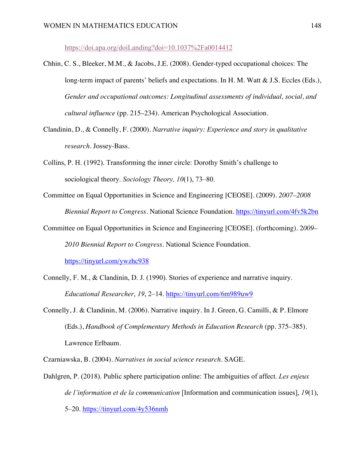https://doi.apa.org/doiLanding?doi=10.1037%2Fa0014412

- Chhin, C. S., Bleeker, M.M., & Jacobs, J.E. (2008). Gender-typed occupational choices: The long-term impact of parents' beliefs and expectations. In H. M. Watt & J.S. Eccles (Eds.), *Gender and occupational outcomes: Longitudinal assessments of individual, social, and cultural influence* (pp. 215–234). American Psychological Association.
- Clandinin, D., & Connelly, F. (2000). *Narrative inquiry: Experience and story in qualitative research*. Jossey-Bass.
- Collins, P. H. (1992). Transforming the inner circle: Dorothy Smith's challenge to sociological theory. *Sociology Theory, 10*(1), 73–80.
- Committee on Equal Opportunities in Science and Engineering [CEOSE]. (2009). *2007–2008 Biennial Report to Congress*. National Science Foundation. https://tinyurl.com/4fv5k2bn
- Committee on Equal Opportunities in Science and Engineering [CEOSE]. (forthcoming). 2*009– 2010 Biennial Report to Congress*. National Science Foundation. https://tinyurl.com/ywzhc938
- Connelly, F. M., & Clandinin, D. J. (1990). Stories of experience and narrative inquiry.

*Educational Researcher*, *19*, 2–14. https://tinyurl.com/6m989uw9

Connelly, J. & Clandinin, M. (2006). Narrative inquiry. In J. Green, G. Camilli, & P. Elmore (Eds.), *Handbook of Complementary Methods in Education Research* (pp. 375–385). Lawrence Erlbaum.

Czarniawska, B. (2004). *Narratives in social science research.* SAGE.

Dahlgren, P. (2018). Public sphere participation online: The ambiguities of affect. *Les enjeux de l'information et de la communication* [Information and communication issues], *19*(1), 5–20. https://tinyurl.com/4y536nmh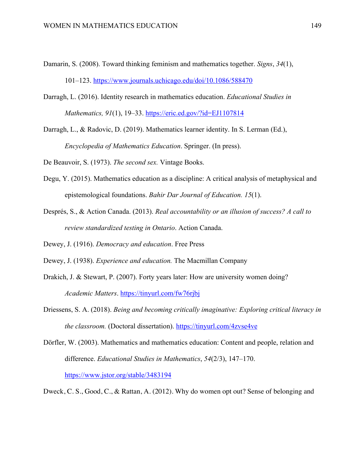- Damarin, S. (2008). Toward thinking feminism and mathematics together. *Signs*, *34*(1), 101–123. https://www.journals.uchicago.edu/doi/10.1086/588470
- Darragh, L. (2016). Identity research in mathematics education. *Educational Studies in Mathematics, 91*(1), 19–33. https://eric.ed.gov/?id=EJ1107814

Darragh, L., & Radovic, D. (2019). Mathematics learner identity. In S. Lerman (Ed.), *Encyclopedia of Mathematics Education*. Springer. (In press).

De Beauvoir, S. (1973). *The second sex.* Vintage Books.

- Degu, Y. (2015). Mathematics education as a discipline: A critical analysis of metaphysical and epistemological foundations. *Bahir Dar Journal of Education. 15*(1).
- Després, S., & Action Canada. (2013). *Real accountability or an illusion of success? A call to review standardized testing in Ontario*. Action Canada.

Dewey, J. (1916). *Democracy and education*. Free Press

- Dewey, J. (1938). *Experience and education.* The Macmillan Company
- Drakich, J. & Stewart, P. (2007). Forty years later: How are university women doing? *Academic Matters*. https://tinyurl.com/fw76rjbj
- Driessens, S. A. (2018). *Being and becoming critically imaginative: Exploring critical literacy in the classroom.* (Doctoral dissertation). https://tinyurl.com/4zvse4ve
- Dörfler, W. (2003). Mathematics and mathematics education: Content and people, relation and difference. *Educational Studies in Mathematics*, *54*(2/3), 147–170. https://www.jstor.org/stable/3483194

Dweck, C. S., Good, C., & Rattan, A. (2012). Why do women opt out? Sense of belonging and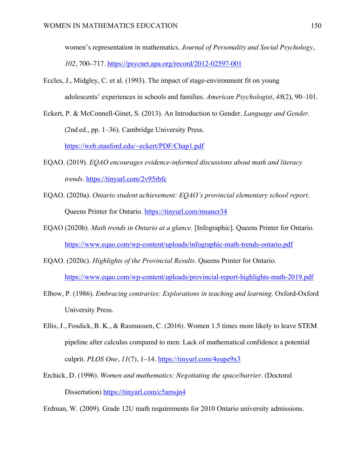women's representation in mathematics*. Journal of Personality and Social Psychology*, *102*, 700–717. https://psycnet.apa.org/record/2012-02597-001

- Eccles, J., Midgley, C. et al. (1993). The impact of stage-environment fit on young adolescents' experiences in schools and families. *American Psychologist*, *48*(2), 90–101.
- Eckert, P. & McConnell-Ginet, S. (2013). An Introduction to Gender. *Language and Gender.* (2nd ed., pp. 1–36). Cambridge University Press. https://web.stanford.edu/~eckert/PDF/Chap1.pdf
- EQAO. (2019). *EQAO encourages evidence-informed discussions about math and literacy trends*. https://tinyurl.com/2v95rbfc
- EQAO. (2020a). *Ontario student achievement: EQAO's provincial elementary school report*. Queens Printer for Ontario. https://tinyurl.com/msancr34
- EQAO (2020b). *Math trends in Ontario at a glance.* [Infographic]. Queens Printer for Ontario. https://www.eqao.com/wp-content/uploads/infographic-math-trends-ontario.pdf
- EQAO. (2020c). *Highlights of the Provincial Results*. Queens Printer for Ontario. https://www.eqao.com/wp-content/uploads/provincial-report-highlights-math-2019.pdf
- Elbow, P. (1986). *Embracing contraries: Explorations in teaching and learning*. Oxford-Oxford University Press.
- Ellis, J., Fosdick, B. K., & Rasmussen, C. (2016). Women 1.5 times more likely to leave STEM pipeline after calculus compared to men: Lack of mathematical confidence a potential culprit. *PLOS One*, *11*(7), 1–14. https://tinyurl.com/4eupe9x3
- Erchick, D. (1996). *Women and mathematics: Negotiating the space/barrier*. (Doctoral Dissertation) https://tinyurl.com/c5amsjn4

Erdman, W. (2009). Grade 12U math requirements for 2010 Ontario university admissions.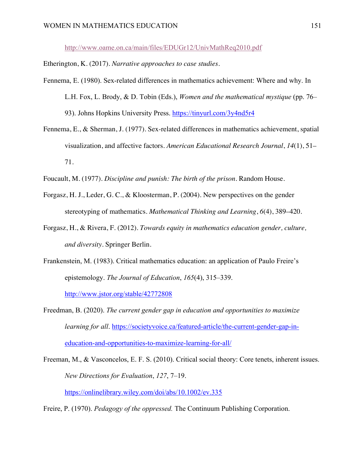http://www.oame.on.ca/main/files/EDUGr12/UnivMathReq2010.pdf

Etherington, K. (2017). *Narrative approaches to case studies*.

- Fennema, E. (1980). Sex-related differences in mathematics achievement: Where and why. In L.H. Fox, L. Brody, & D. Tobin (Eds.), *Women and the mathematical mystique* (pp. 76– 93). Johns Hopkins University Press. https://tinyurl.com/3y4nd5r4
- Fennema, E., & Sherman, J. (1977). Sex-related differences in mathematics achievement, spatial visualization, and affective factors. *American Educational Research Journal*, *14*(1), 51– 71.

Foucault, M. (1977). *Discipline and punish: The birth of the prison*. Random House.

- Forgasz, H. J., Leder, G. C., & Kloosterman, P. (2004). New perspectives on the gender stereotyping of mathematics. *Mathematical Thinking and Learning*, *6*(4), 389–420.
- Forgasz, H., & Rivera, F. (2012). *Towards equity in mathematics education gender, culture, and diversity*. Springer Berlin.
- Frankenstein, M. (1983). Critical mathematics education: an application of Paulo Freire's epistemology. *The Journal of Education*, *165*(4), 315–339.

http://www.jstor.org/stable/42772808

Freedman, B. (2020). *The current gender gap in education and opportunities to maximize learning for all.* https://societyvoice.ca/featured-article/the-current-gender-gap-ineducation-and-opportunities-to-maximize-learning-for-all/

Freeman, M., & Vasconcelos, E. F. S. (2010). Critical social theory: Core tenets, inherent issues. *New Directions for Evaluation*, *127*, 7–19. https://onlinelibrary.wiley.com/doi/abs/10.1002/ev.335

Freire, P. (1970). *Pedagogy of the oppressed.* The Continuum Publishing Corporation.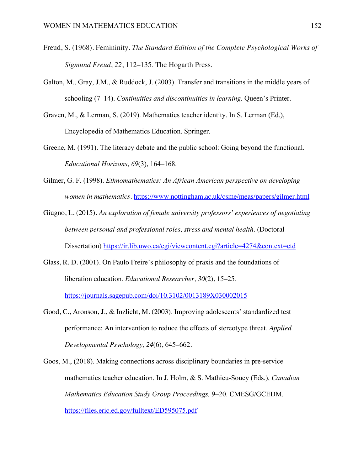- Freud, S. (1968). Femininity. *The Standard Edition of the Complete Psychological Works of Sigmund Freud*, *22*, 112–135. The Hogarth Press.
- Galton, M., Gray, J.M., & Ruddock, J. (2003). Transfer and transitions in the middle years of schooling (7–14). *Continuities and discontinuities in learning.* Queen's Printer.
- Graven, M., & Lerman, S. (2019). Mathematics teacher identity. In S. Lerman (Ed.), Encyclopedia of Mathematics Education. Springer.
- Greene, M. (1991). The literacy debate and the public school: Going beyond the functional. *Educational Horizons*, *69*(3), 164–168.
- Gilmer, G. F. (1998). *Ethnomathematics: An African American perspective on developing women in mathematics*. https://www.nottingham.ac.uk/csme/meas/papers/gilmer.html
- Giugno, L. (2015). *An exploration of female university professors' experiences of negotiating between personal and professional roles, stress and mental health*. (Doctoral Dissertation) https://ir.lib.uwo.ca/cgi/viewcontent.cgi?article=4274&context=etd
- Glass, R. D. (2001). On Paulo Freire's philosophy of praxis and the foundations of liberation education. *Educational Researcher, 30*(2), 15–25. https://journals.sagepub.com/doi/10.3102/0013189X030002015
- Good, C., Aronson, J., & Inzlicht, M. (2003). Improving adolescents' standardized test performance: An intervention to reduce the effects of stereotype threat. *Applied Developmental Psychology*, *24*(6), 645–662.
- Goos, M., (2018). Making connections across disciplinary boundaries in pre-service mathematics teacher education. In J. Holm, & S. Mathieu-Soucy (Eds.), *Canadian Mathematics Education Study Group Proceedings,* 9–20. CMESG/GCEDM. https://files.eric.ed.gov/fulltext/ED595075.pdf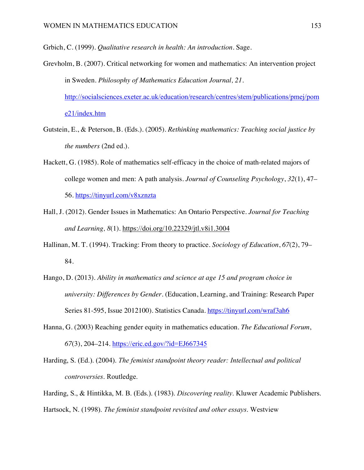Grbich, C. (1999). *Qualitative research in health: An introduction*. Sage.

- Grevholm, B. (2007). Critical networking for women and mathematics: An intervention project in Sweden. *Philosophy of Mathematics Education Journal, 21*. http://socialsciences.exeter.ac.uk/education/research/centres/stem/publications/pmej/pom e21/index.htm
- Gutstein, E., & Peterson, B. (Eds.). (2005). *Rethinking mathematics: Teaching social justice by the numbers* (2nd ed.).
- Hackett, G. (1985). Role of mathematics self-efficacy in the choice of math-related majors of college women and men: A path analysis. *Journal of Counseling Psychology*, *32*(1), 47– 56. https://tinyurl.com/v8xznzta
- Hall, J. (2012). Gender Issues in Mathematics: An Ontario Perspective. *Journal for Teaching and Learning, 8*(1). https://doi.org/10.22329/jtl.v8i1.3004
- Hallinan, M. T. (1994). Tracking: From theory to practice. *Sociology of Education*, *67*(2), 79– 84.
- Hango, D. (2013). *Ability in mathematics and science at age 15 and program choice in university: Differences by Gender*. (Education, Learning, and Training: Research Paper Series 81-595, Issue 2012100). Statistics Canada. https://tinyurl.com/wraf3ah6
- Hanna, G. (2003) Reaching gender equity in mathematics education. *The Educational Forum*, *67*(3), 204–214. https://eric.ed.gov/?id=EJ667345
- Harding, S. (Ed.). (2004). *The feminist standpoint theory reader: Intellectual and political controversies*. Routledge.

Harding, S., & Hintikka, M. B. (Eds.). (1983). *Discovering reality*. Kluwer Academic Publishers. Hartsock, N. (1998). *The feminist standpoint revisited and other essays*. Westview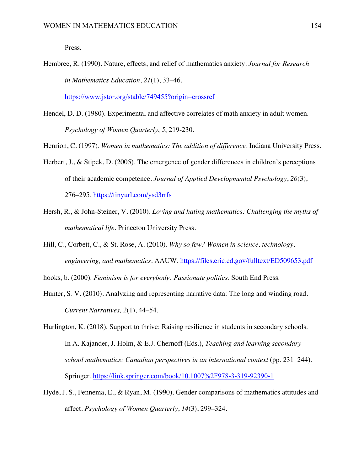Press.

Hembree, R. (1990). Nature, effects, and relief of mathematics anxiety. *Journal for Research in Mathematics Education*, *21*(1), 33–46.

https://www.jstor.org/stable/749455?origin=crossref

Hendel, D. D. (1980). Experimental and affective correlates of math anxiety in adult women. *Psychology of Women Quarterly*, *5*, 219-230.

Henrion, C. (1997). *Women in mathematics: The addition of difference*. Indiana University Press.

- Herbert, J., & Stipek, D. (2005). The emergence of gender differences in children's perceptions of their academic competence. *Journal of Applied Developmental Psychology*, *26*(3), 276–295. https://tinyurl.com/ysd3rrfs
- Hersh, R., & John-Steiner, V. (2010). *Loving and hating mathematics: Challenging the myths of mathematical life*. Princeton University Press.
- Hill, C., Corbett, C., & St. Rose, A. (2010). *Why so few? Women in science, technology, engineering, and mathematics*. AAUW. https://files.eric.ed.gov/fulltext/ED509653.pdf

hooks, b. (2000). *Feminism is for everybody: Passionate politics.* South End Press.

Hunter, S. V. (2010). Analyzing and representing narrative data: The long and winding road. *Current Narratives, 2*(1), 44–54.

Hurlington, K. (2018). Support to thrive: Raising resilience in students in secondary schools. In A. Kajander, J. Holm, & E.J. Chernoff (Eds.), *Teaching and learning secondary school mathematics: Canadian perspectives in an international context* (pp. 231–244). Springer. https://link.springer.com/book/10.1007%2F978-3-319-92390-1

Hyde, J. S., Fennema, E., & Ryan, M. (1990). Gender comparisons of mathematics attitudes and affect. *Psychology of Women Quarterly*, *14*(3), 299–324.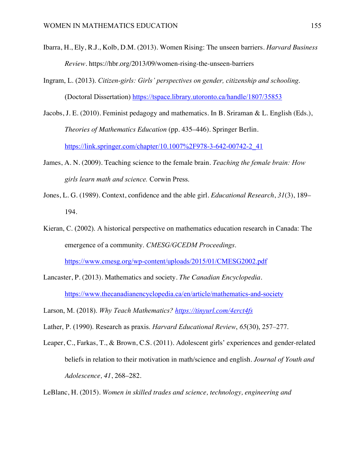- Ibarra, H., Ely, R.J., Kolb, D.M. (2013). Women Rising: The unseen barriers. *Harvard Business Review.* https://hbr.org/2013/09/women-rising-the-unseen-barriers
- Ingram, L. (2013). *Citizen-girls: Girls' perspectives on gender, citizenship and schooling*. (Doctoral Dissertation) https://tspace.library.utoronto.ca/handle/1807/35853
- Jacobs, J. E. (2010). Feminist pedagogy and mathematics. In B. Sriraman & L. English (Eds.), *Theories of Mathematics Education* (pp. 435–446). Springer Berlin. https://link.springer.com/chapter/10.1007%2F978-3-642-00742-2\_41
- James, A. N. (2009). Teaching science to the female brain. *Teaching the female brain: How girls learn math and science.* Corwin Press.
- Jones, L. G. (1989). Context, confidence and the able girl. *Educational Research*, *31*(3), 189– 194.
- Kieran, C. (2002). A historical perspective on mathematics education research in Canada: The emergence of a community. *CMESG/GCEDM Proceedings*. https://www.cmesg.org/wp-content/uploads/2015/01/CMESG2002.pdf
- Lancaster, P. (2013). Mathematics and society*. The Canadian Encyclopedia*. https://www.thecanadianencyclopedia.ca/en/article/mathematics-and-society
- Larson, M. (2018). *Why Teach Mathematics? https://tinyurl.com/4erct4fs*
- Lather, P. (1990). Research as praxis. *Harvard Educational Review*, *65*(30), 257–277.
- Leaper, C., Farkas, T., & Brown, C.S. (2011). Adolescent girls' experiences and gender-related beliefs in relation to their motivation in math/science and english. *Journal of Youth and Adolescence, 41*, 268–282.
- LeBlanc, H. (2015). *Women in skilled trades and science, technology, engineering and*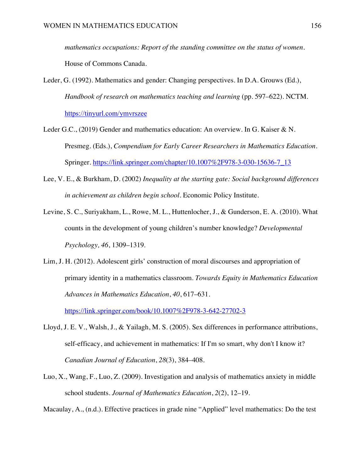*mathematics occupations: Report of the standing committee on the status of women*. House of Commons Canada.

- Leder, G. (1992). Mathematics and gender: Changing perspectives. In D.A. Grouws (Ed.), *Handbook of research on mathematics teaching and learning* (pp. 597–622). NCTM. https://tinyurl.com/ymvrszee
- Leder G.C., (2019) Gender and mathematics education: An overview. In G. Kaiser & N. Presmeg. (Eds.), *Compendium for Early Career Researchers in Mathematics Education*. Springer. https://link.springer.com/chapter/10.1007%2F978-3-030-15636-7\_13
- Lee, V. E., & Burkham, D. (2002) *Inequality at the starting gate: Social background differences in achievement as children begin school*. Economic Policy Institute.
- Levine, S. C., Suriyakham, L., Rowe, M. L., Huttenlocher, J., & Gunderson, E. A. (2010). What counts in the development of young children's number knowledge? *Developmental Psychology, 46*, 1309–1319.
- Lim, J. H. (2012). Adolescent girls' construction of moral discourses and appropriation of primary identity in a mathematics classroom. *Towards Equity in Mathematics Education Advances in Mathematics Education*, *40*, 617–631.

https://link.springer.com/book/10.1007%2F978-3-642-27702-3

- Lloyd, J. E. V., Walsh, J., & Yailagh, M. S. (2005). Sex differences in performance attributions, self-efficacy, and achievement in mathematics: If I'm so smart, why don't I know it? *Canadian Journal of Education*, *28*(3), 384–408.
- Luo, X., Wang, F., Luo, Z. (2009). Investigation and analysis of mathematics anxiety in middle school students. *Journal of Mathematics Education*, *2*(2), 12–19.

Macaulay, A., (n.d.). Effective practices in grade nine "Applied" level mathematics: Do the test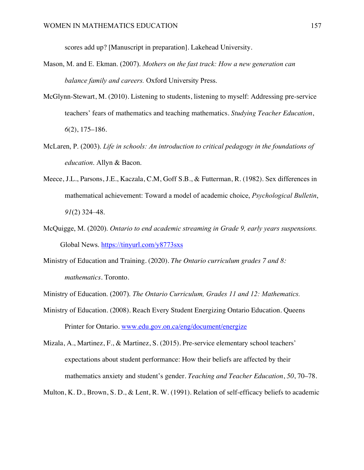scores add up? [Manuscript in preparation]. Lakehead University.

- Mason, M. and E. Ekman. (2007). *Mothers on the fast track: How a new generation can balance family and careers.* Oxford University Press.
- McGlynn-Stewart, M. (2010). Listening to students, listening to myself: Addressing pre-service teachers' fears of mathematics and teaching mathematics. *Studying Teacher Education*, *6*(2), 175–186.
- McLaren, P. (2003). *Life in schools: An introduction to critical pedagogy in the foundations of education*. Allyn & Bacon.
- Meece, J.L., Parsons, J.E., Kaczala, C.M, Goff S.B., & Futterman, R. (1982). Sex differences in mathematical achievement: Toward a model of academic choice, *Psychological Bulletin*, *91*(2) 324–48.
- McQuigge, M. (2020). *Ontario to end academic streaming in Grade 9, early years suspensions.* Global News. https://tinyurl.com/y8773sxs
- Ministry of Education and Training. (2020). *The Ontario curriculum grades 7 and 8: mathematics*. Toronto.
- Ministry of Education. (2007). *The Ontario Curriculum, Grades 11 and 12: Mathematics.*
- Ministry of Education. (2008). Reach Every Student Energizing Ontario Education. Queens Printer for Ontario. www.edu.gov.on.ca/eng/document/energize

Mizala, A., Martinez, F., & Martinez, S. (2015). Pre-service elementary school teachers' expectations about student performance: How their beliefs are affected by their mathematics anxiety and student's gender. *Teaching and Teacher Education*, *50*, 70–78.

Multon, K. D., Brown, S. D., & Lent, R. W. (1991). Relation of self-efficacy beliefs to academic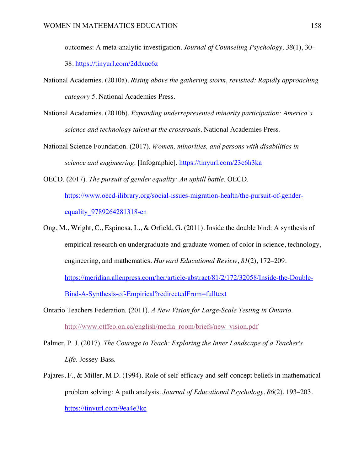outcomes: A meta-analytic investigation. *Journal of Counseling Psychology, 38*(1), 30– 38. https://tinyurl.com/2ddxuc6z

- National Academies. (2010a). *Rising above the gathering storm, revisited: Rapidly approaching category 5*. National Academies Press.
- National Academies. (2010b). *Expanding underrepresented minority participation: America's science and technology talent at the crossroads*. National Academies Press.
- National Science Foundation. (2017). *Women, minorities, and persons with disabilities in science and engineering*. [Infographic]. https://tinyurl.com/23c6h3ka

OECD. (2017). *The pursuit of gender equality: An uphill battle*. OECD. https://www.oecd-ilibrary.org/social-issues-migration-health/the-pursuit-of-genderequality\_9789264281318-en

- Ong, M., Wright, C., Espinosa, L., & Orfield, G. (2011). Inside the double bind: A synthesis of empirical research on undergraduate and graduate women of color in science, technology, engineering, and mathematics. *Harvard Educational Review*, *81*(2), 172–209. https://meridian.allenpress.com/her/article-abstract/81/2/172/32058/Inside-the-Double-Bind-A-Synthesis-of-Empirical?redirectedFrom=fulltext
- Ontario Teachers Federation. (2011). *A New Vision for Large-Scale Testing in Ontario*. http://www.otffeo.on.ca/english/media\_room/briefs/new\_vision.pdf
- Palmer, P. J. (2017). *The Courage to Teach: Exploring the Inner Landscape of a Teacher's Life.* Jossey-Bass.
- Pajares, F., & Miller, M.D. (1994). Role of self-efficacy and self-concept beliefs in mathematical problem solving: A path analysis. *Journal of Educational Psychology*, *86*(2), 193–203. https://tinyurl.com/9ea4e3kc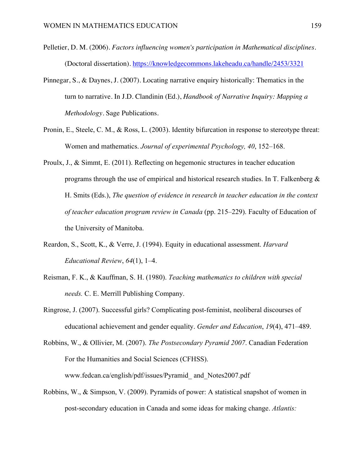- Pelletier, D. M. (2006). *Factors influencing women's participation in Mathematical disciplines*. (Doctoral dissertation). https://knowledgecommons.lakeheadu.ca/handle/2453/3321
- Pinnegar, S., & Daynes, J. (2007). Locating narrative enquiry historically: Thematics in the turn to narrative. In J.D. Clandinin (Ed.), *Handbook of Narrative Inquiry: Mapping a Methodology*. Sage Publications.
- Pronin, E., Steele, C. M., & Ross, L. (2003). Identity bifurcation in response to stereotype threat: Women and mathematics. *Journal of experimental Psychology, 40*, 152–168.
- Proulx, J., & Simmt, E. (2011). Reflecting on hegemonic structures in teacher education programs through the use of empirical and historical research studies. In T. Falkenberg  $\&$ H. Smits (Eds.), *The question of evidence in research in teacher education in the context of teacher education program review in Canada* (pp. 215–229). Faculty of Education of the University of Manitoba.
- Reardon, S., Scott, K., & Verre, J. (1994). Equity in educational assessment. *Harvard Educational Review*, *64*(1), 1–4.
- Reisman, F. K., & Kauffman, S. H. (1980). *Teaching mathematics to children with special needs.* C. E. Merrill Publishing Company.
- Ringrose, J. (2007). Successful girls? Complicating post-feminist, neoliberal discourses of educational achievement and gender equality. *Gender and Education*, *19*(4), 471–489.
- Robbins, W., & Ollivier, M. (2007). *The Postsecondary Pyramid 2007*. Canadian Federation For the Humanities and Social Sciences (CFHSS). www.fedcan.ca/english/pdf/issues/Pyramid\_ and\_Notes2007.pdf
- Robbins, W., & Simpson, V. (2009). Pyramids of power: A statistical snapshot of women in post-secondary education in Canada and some ideas for making change. *Atlantis:*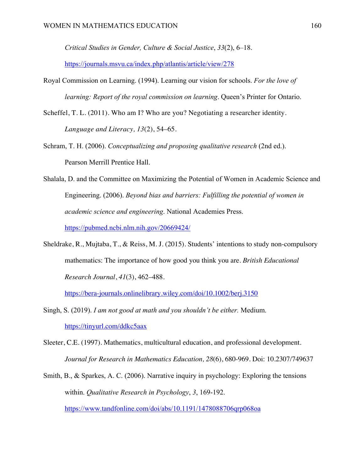*Critical Studies in Gender, Culture & Social Justice*, *33*(2), 6–18.

https://journals.msvu.ca/index.php/atlantis/article/view/278

- Royal Commission on Learning. (1994). Learning our vision for schools. *For the love of learning: Report of the royal commission on learning*. Queen's Printer for Ontario.
- Scheffel, T. L. (2011). Who am I? Who are you? Negotiating a researcher identity. *Language and Literacy, 13*(2), 54–65.
- Schram, T. H. (2006). *Conceptualizing and proposing qualitative research* (2nd ed.). Pearson Merrill Prentice Hall.
- Shalala, D. and the Committee on Maximizing the Potential of Women in Academic Science and Engineering. (2006). *Beyond bias and barriers: Fulfilling the potential of women in academic science and engineering*. National Academies Press. https://pubmed.ncbi.nlm.nih.gov/20669424/
- Sheldrake, R., Mujtaba, T., & Reiss, M. J. (2015). Students' intentions to study non-compulsory mathematics: The importance of how good you think you are. *British Educational Research Journal*, *41*(3), 462–488.

https://bera-journals.onlinelibrary.wiley.com/doi/10.1002/berj.3150

- Singh, S. (2019). *I am not good at math and you shouldn't be either.* Medium. https://tinyurl.com/ddkc5aax
- Sleeter, C.E. (1997). Mathematics, multicultural education, and professional development. *Journal for Research in Mathematics Education, 28*(6), 680-969. Doi: 10.2307/749637
- Smith, B., & Sparkes, A. C. (2006). Narrative inquiry in psychology: Exploring the tensions within. *Qualitative Research in Psychology*, *3*, 169-192.

https://www.tandfonline.com/doi/abs/10.1191/1478088706qrp068oa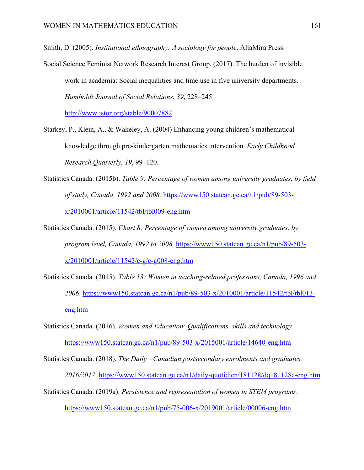Smith, D. (2005). *Institutional ethnography: A sociology for people*. AltaMira Press.

Social Science Feminist Network Research Interest Group. (2017). The burden of invisible work in academia: Social inequalities and time use in five university departments. *Humboldt Journal of Social Relations*, *39*, 228–245.

http://www.jstor.org/stable/90007882

- Starkey, P., Klein, A., & Wakeley, A. (2004) Enhancing young children's mathematical knowledge through pre-kindergarten mathematics intervention. *Early Childhood Research Quarterly, 19*, 99–120.
- Statistics Canada. (2015b). *Table 9: Percentage of women among university graduates, by field of study, Canada, 1992 and 2008.* https://www150.statcan.gc.ca/n1/pub/89-503 x/2010001/article/11542/tbl/tbl009-eng.htm
- Statistics Canada. (2015). *Chart 8: Percentage of women among university graduates, by program level, Canada, 1992 to 2008.* https://www150.statcan.gc.ca/n1/pub/89-503 x/2010001/article/11542/c-g/c-g008-eng.htm
- Statistics Canada. (2015). *Table 13: Women in teaching-related professions, Canada, 1996 and 2006*. https://www150.statcan.gc.ca/n1/pub/89-503-x/2010001/article/11542/tbl/tbl013 eng.htm
- Statistics Canada. (2016). *Women and Education: Qualifications, skills and technology*. https://www150.statcan.gc.ca/n1/pub/89-503-x/2015001/article/14640-eng.htm

Statistics Canada. (2018). *The Daily—Canadian postsecondary enrolments and graduates, 2016/2017*. https://www150.statcan.gc.ca/n1/daily-quotidien/181128/dq181128c-eng.htm Statistics Canada. (2019a). *Persistence and representation of women in STEM programs*.

https://www150.statcan.gc.ca/n1/pub/75-006-x/2019001/article/00006-eng.htm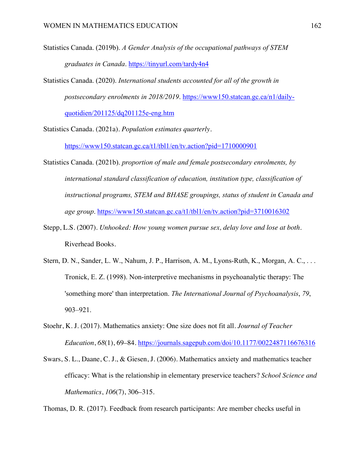- Statistics Canada. (2019b). *A Gender Analysis of the occupational pathways of STEM graduates in Canada*. https://tinyurl.com/tardy4n4
- Statistics Canada. (2020). *International students accounted for all of the growth in postsecondary enrolments in 2018/2019*. https://www150.statcan.gc.ca/n1/dailyquotidien/201125/dq201125e-eng.htm

Statistics Canada. (2021a). *Population estimates quarterly.*

https://www150.statcan.gc.ca/t1/tbl1/en/tv.action?pid=1710000901

- Statistics Canada. (2021b). *proportion of male and female postsecondary enrolments, by international standard classification of education, institution type, classification of instructional programs, STEM and BHASE groupings, status of student in Canada and age group*. https://www150.statcan.gc.ca/t1/tbl1/en/tv.action?pid=3710016302
- Stepp, L.S. (2007). *Unhooked: How young women pursue sex, delay love and lose at both.*  Riverhead Books.
- Stern, D. N., Sander, L. W., Nahum, J. P., Harrison, A. M., Lyons-Ruth, K., Morgan, A. C., . . . Tronick, E. Z. (1998). Non-interpretive mechanisms in psychoanalytic therapy: The 'something more' than interpretation. *The International Journal of Psychoanalysis*, *79*, 903–921.
- Stoehr, K. J. (2017). Mathematics anxiety: One size does not fit all. *Journal of Teacher Education*, *68*(1), 69–84. https://journals.sagepub.com/doi/10.1177/0022487116676316
- Swars, S. L., Daane, C. J., & Giesen, J. (2006). Mathematics anxiety and mathematics teacher efficacy: What is the relationship in elementary preservice teachers? *School Science and Mathematics*, *106*(7), 306–315.

Thomas, D. R. (2017). Feedback from research participants: Are member checks useful in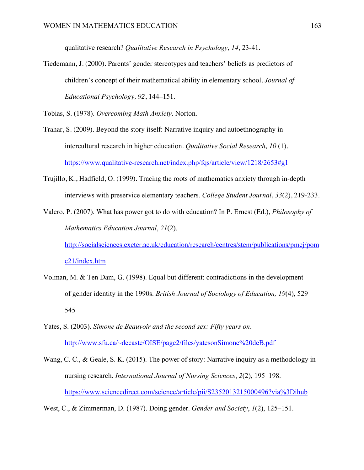qualitative research? *Qualitative Research in Psychology*, *14*, 23-41.

Tiedemann, J. (2000). Parents' gender stereotypes and teachers' beliefs as predictors of children's concept of their mathematical ability in elementary school. *Journal of Educational Psychology, 92*, 144–151.

Tobias, S. (1978). *Overcoming Math Anxiety*. Norton.

- Trahar, S. (2009). Beyond the story itself: Narrative inquiry and autoethnography in intercultural research in higher education. *Qualitative Social Research, 10* (1). https://www.qualitative-research.net/index.php/fqs/article/view/1218/2653#g1
- Trujillo, K., Hadfield, O. (1999). Tracing the roots of mathematics anxiety through in-depth interviews with preservice elementary teachers. *College Student Journal*, *33*(2), 219-233.
- Valero, P. (2007). What has power got to do with education? In P. Ernest (Ed.), *Philosophy of Mathematics Education Journal*, *21*(2). http://socialsciences.exeter.ac.uk/education/research/centres/stem/publications/pmej/pom

e21/index.htm

- Volman, M. & Ten Dam, G. (1998). Equal but different: contradictions in the development of gender identity in the 1990s. *British Journal of Sociology of Education, 19*(4), 529– 545
- Yates, S. (2003). *Simone de Beauvoir and the second sex: Fifty years on*. http://www.sfu.ca/~decaste/OISE/page2/files/yatesonSimone%20deB.pdf
- Wang, C. C., & Geale, S. K. (2015). The power of story: Narrative inquiry as a methodology in nursing research. *International Journal of Nursing Sciences*, *2*(2), 195–198. https://www.sciencedirect.com/science/article/pii/S2352013215000496?via%3Dihub

West, C., & Zimmerman, D. (1987). Doing gender. *Gender and Society*, *1*(2), 125–151.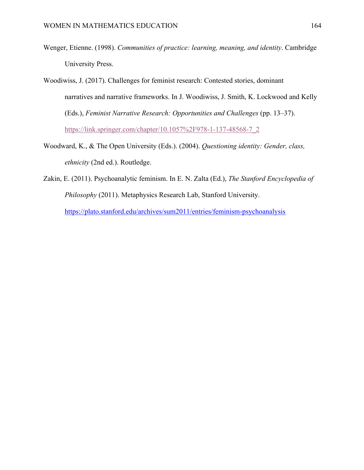- Wenger, Etienne. (1998). *Communities of practice: learning, meaning, and identity*. Cambridge University Press.
- Woodiwiss, J. (2017). Challenges for feminist research: Contested stories, dominant narratives and narrative frameworks. In J. Woodiwiss, J. Smith, K. Lockwood and Kelly (Eds.), *Feminist Narrative Research: Opportunities and Challenges* (pp. 13–37). https://link.springer.com/chapter/10.1057%2F978-1-137-48568-7\_2
- Woodward, K., & The Open University (Eds.). (2004). *Questioning identity: Gender, class, ethnicity* (2nd ed.). Routledge.
- Zakin, E. (2011). Psychoanalytic feminism. In E. N. Zalta (Ed.), *The Stanford Encyclopedia of Philosophy* (2011). Metaphysics Research Lab, Stanford University. https://plato.stanford.edu/archives/sum2011/entries/feminism-psychoanalysis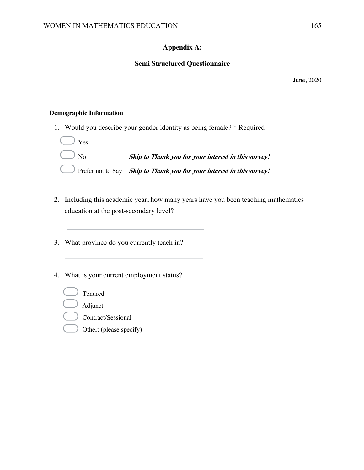## **Appendix A:**

## **Semi Structured Questionnaire**

June, 2020

## **Demographic Information**

1. Would you describe your gender identity as being female? \* Required



- 2. Including this academic year, how many years have you been teaching mathematics education at the post-secondary level?
- 3. What province do you currently teach in?
- 4. What is your current employment status?
	- Tenured Adjunct Contract/Sessional
		- Other: (please specify)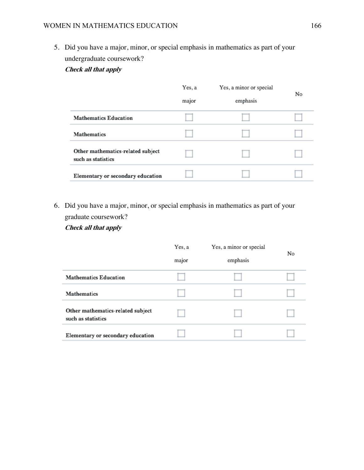5. Did you have a major, minor, or special emphasis in mathematics as part of your undergraduate coursework?

## **Check all that apply**

|                                                         | Yes, a | Yes, a minor or special | No |
|---------------------------------------------------------|--------|-------------------------|----|
|                                                         | major  | emphasis                |    |
| <b>Mathematics Education</b>                            |        |                         |    |
| <b>Mathematics</b>                                      |        |                         |    |
| Other mathematics-related subject<br>such as statistics |        |                         |    |
| Elementary or secondary education                       |        |                         |    |

6. Did you have a major, minor, or special emphasis in mathematics as part of your graduate coursework?

### **Check all that apply**

|                                                         | Yes, a<br>major | Yes, a minor or special | No |
|---------------------------------------------------------|-----------------|-------------------------|----|
|                                                         |                 | emphasis                |    |
| <b>Mathematics Education</b>                            |                 |                         |    |
| <b>Mathematics</b>                                      |                 |                         |    |
| Other mathematics-related subject<br>such as statistics |                 |                         |    |
| Elementary or secondary education                       |                 |                         |    |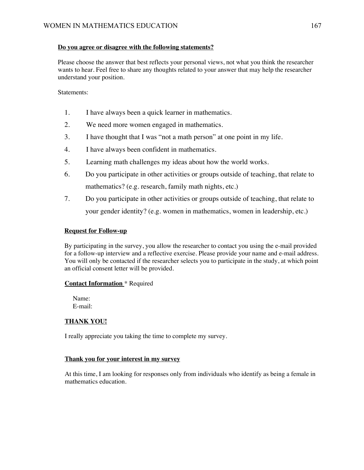#### **Do you agree or disagree with the following statements?**

Please choose the answer that best reflects your personal views, not what you think the researcher wants to hear. Feel free to share any thoughts related to your answer that may help the researcher understand your position.

#### Statements:

- 1. I have always been a quick learner in mathematics.
- 2. We need more women engaged in mathematics.
- 3. I have thought that I was "not a math person" at one point in my life.
- 4. I have always been confident in mathematics.
- 5. Learning math challenges my ideas about how the world works.
- 6. Do you participate in other activities or groups outside of teaching, that relate to mathematics? (e.g. research, family math nights, etc.)
- 7. Do you participate in other activities or groups outside of teaching, that relate to your gender identity? (e.g. women in mathematics, women in leadership, etc.)

### **Request for Follow-up**

By participating in the survey, you allow the researcher to contact you using the e-mail provided for a follow-up interview and a reflective exercise. Please provide your name and e-mail address. You will only be contacted if the researcher selects you to participate in the study, at which point an official consent letter will be provided.

#### **Contact Information** \* Required

Name: E-mail:

### **THANK YOU!**

I really appreciate you taking the time to complete my survey.

#### **Thank you for your interest in my survey**

At this time, I am looking for responses only from individuals who identify as being a female in mathematics education.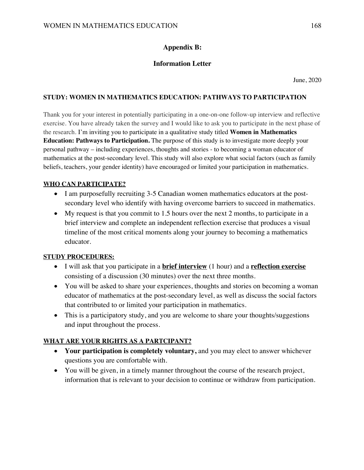# **Appendix B:**

## **Information Letter**

June, 2020

### **STUDY: WOMEN IN MATHEMATICS EDUCATION: PATHWAYS TO PARTICIPATION**

Thank you for your interest in potentially participating in a one-on-one follow-up interview and reflective exercise. You have already taken the survey and I would like to ask you to participate in the next phase of the research. I'm inviting you to participate in a qualitative study titled **Women in Mathematics Education: Pathways to Participation.** The purpose of this study is to investigate more deeply your personal pathway – including experiences, thoughts and stories - to becoming a woman educator of mathematics at the post-secondary level. This study will also explore what social factors (such as family beliefs, teachers, your gender identity) have encouraged or limited your participation in mathematics.

## **WHO CAN PARTICIPATE?**

- I am purposefully recruiting 3-5 Canadian women mathematics educators at the postsecondary level who identify with having overcome barriers to succeed in mathematics.
- My request is that you commit to 1.5 hours over the next 2 months, to participate in a brief interview and complete an independent reflection exercise that produces a visual timeline of the most critical moments along your journey to becoming a mathematics educator.

## **STUDY PROCEDURES:**

- I will ask that you participate in a **brief interview** (1 hour) and a **reflection exercise** consisting of a discussion (30 minutes) over the next three months.
- You will be asked to share your experiences, thoughts and stories on becoming a woman educator of mathematics at the post-secondary level, as well as discuss the social factors that contributed to or limited your participation in mathematics.
- This is a participatory study, and you are welcome to share your thoughts/suggestions and input throughout the process.

## **WHAT ARE YOUR RIGHTS AS A PARTCIPANT?**

- **Your participation is completely voluntary,** and you may elect to answer whichever questions you are comfortable with.
- You will be given, in a timely manner throughout the course of the research project, information that is relevant to your decision to continue or withdraw from participation.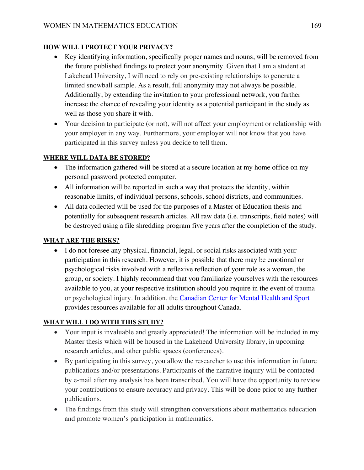# **HOW WILL I PROTECT YOUR PRIVACY?**

- Key identifying information, specifically proper names and nouns, will be removed from the future published findings to protect your anonymity. Given that I am a student at Lakehead University, I will need to rely on pre-existing relationships to generate a limited snowball sample. As a result, full anonymity may not always be possible. Additionally, by extending the invitation to your professional network, you further increase the chance of revealing your identity as a potential participant in the study as well as those you share it with.
- Your decision to participate (or not), will not affect your employment or relationship with your employer in any way. Furthermore, your employer will not know that you have participated in this survey unless you decide to tell them.

# **WHERE WILL DATA BE STORED?**

- The information gathered will be stored at a secure location at my home office on my personal password protected computer.
- All information will be reported in such a way that protects the identity, within reasonable limits, of individual persons, schools, school districts, and communities.
- All data collected will be used for the purposes of a Master of Education thesis and potentially for subsequent research articles. All raw data (i.e. transcripts, field notes) will be destroyed using a file shredding program five years after the completion of the study.

# **WHAT ARE THE RISKS?**

• I do not foresee any physical, financial, legal, or social risks associated with your participation in this research. However, it is possible that there may be emotional or psychological risks involved with a reflexive reflection of your role as a woman, the group, or society. I highly recommend that you familiarize yourselves with the resources available to you, at your respective institution should you require in the event of trauma or psychological injury. In addition, the Canadian Center for Mental Health and Sport provides resources available for all adults throughout Canada.

# **WHAT WILL I DO WITH THIS STUDY?**

- Your input is invaluable and greatly appreciated! The information will be included in my Master thesis which will be housed in the Lakehead University library, in upcoming research articles, and other public spaces (conferences).
- By participating in this survey, you allow the researcher to use this information in future publications and/or presentations. Participants of the narrative inquiry will be contacted by e-mail after my analysis has been transcribed. You will have the opportunity to review your contributions to ensure accuracy and privacy. This will be done prior to any further publications.
- The findings from this study will strengthen conversations about mathematics education and promote women's participation in mathematics.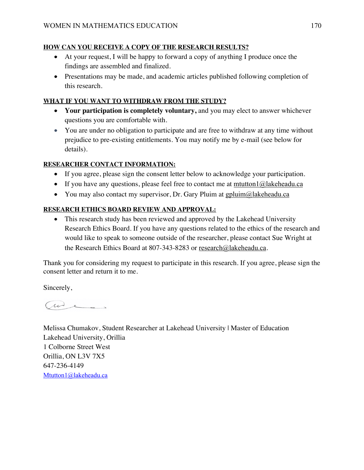## **HOW CAN YOU RECEIVE A COPY OF THE RESEARCH RESULTS?**

- At your request, I will be happy to forward a copy of anything I produce once the findings are assembled and finalized.
- Presentations may be made, and academic articles published following completion of this research.

# **WHAT IF YOU WANT TO WITHDRAW FROM THE STUDY?**

- **Your participation is completely voluntary,** and you may elect to answer whichever questions you are comfortable with.
- You are under no obligation to participate and are free to withdraw at any time without prejudice to pre-existing entitlements. You may notify me by e-mail (see below for details).

# **RESEARCHER CONTACT INFORMATION:**

- If you agree, please sign the consent letter below to acknowledge your participation.
- If you have any questions, please feel free to contact me at mtutton1 $@$ lakeheadu.ca
- You may also contact my supervisor, Dr. Gary Pluim at gpluim $@$ lakeheadu.ca

# **RESEARCH ETHICS BOARD REVIEW AND APPROVAL:**

• This research study has been reviewed and approved by the Lakehead University Research Ethics Board. If you have any questions related to the ethics of the research and would like to speak to someone outside of the researcher, please contact Sue Wright at the Research Ethics Board at 807-343-8283 or research@lakeheadu.ca.

Thank you for considering my request to participate in this research. If you agree, please sign the consent letter and return it to me.

Sincerely,

( we .

Melissa Chumakov, Student Researcher at Lakehead University | Master of Education Lakehead University, Orillia 1 Colborne Street West Orillia, ON L3V 7X5 647-236-4149 Mtutton1@lakeheadu.ca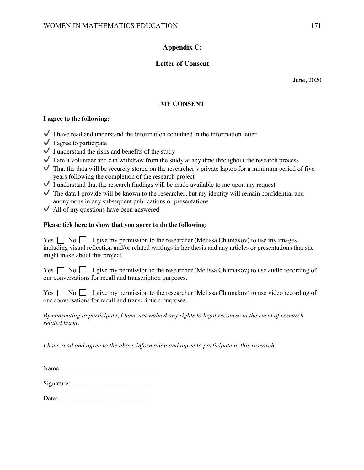# **Appendix C:**

## **Letter of Consent**

June, 2020

### **MY CONSENT**

#### **I agree to the following:**

- $\checkmark$  I have read and understand the information contained in the information letter
- $\bigvee$  I agree to participate
- $\checkmark$  I understand the risks and benefits of the study
- $\checkmark$  I am a volunteer and can withdraw from the study at any time throughout the research process
- $\blacktriangledown$  That the data will be securely stored on the researcher's private laptop for a minimum period of five years following the completion of the research project
- $\checkmark$  I understand that the research findings will be made available to me upon my request
- $\blacktriangledown$  The data I provide will be known to the researcher, but my identity will remain confidential and anonymous in any subsequent publications or presentations
- $\vee$  All of my questions have been answered

#### **Please tick here to show that you agree to do the following:**

Yes  $\Box$  No  $\Box$  I give my permission to the researcher (Melissa Chumakov) to use my images including visual reflection and/or related writings in her thesis and any articles or presentations that she might make about this project.

Yes  $\Box$  No  $\Box$  I give my permission to the researcher (Melissa Chumakov) to use audio recording of our conversations for recall and transcription purposes.

 $Yes \Box No \Box I give my permission to the researcher (Melissa Chumakov) to use video recording of$ our conversations for recall and transcription purposes.

*By consenting to participate, I have not waived any rights to legal recourse in the event of research related harm.* 

*I have read and agree to the above information and agree to participate in this research.* 

 $Signature:$ 

Date: \_\_\_\_\_\_\_\_\_\_\_\_\_\_\_\_\_\_\_\_\_\_\_\_\_\_\_\_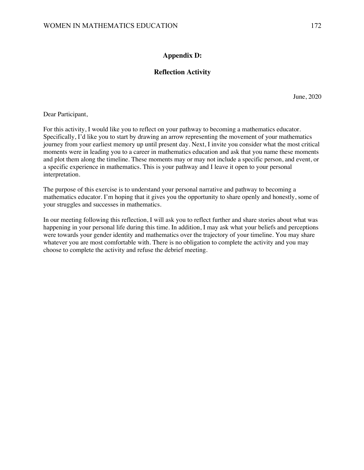### **Appendix D:**

### **Reflection Activity**

June, 2020

Dear Participant,

For this activity, I would like you to reflect on your pathway to becoming a mathematics educator. Specifically, I'd like you to start by drawing an arrow representing the movement of your mathematics journey from your earliest memory up until present day. Next, I invite you consider what the most critical moments were in leading you to a career in mathematics education and ask that you name these moments and plot them along the timeline. These moments may or may not include a specific person, and event, or a specific experience in mathematics. This is your pathway and I leave it open to your personal interpretation.

The purpose of this exercise is to understand your personal narrative and pathway to becoming a mathematics educator. I'm hoping that it gives you the opportunity to share openly and honestly, some of your struggles and successes in mathematics.

In our meeting following this reflection, I will ask you to reflect further and share stories about what was happening in your personal life during this time. In addition, I may ask what your beliefs and perceptions were towards your gender identity and mathematics over the trajectory of your timeline. You may share whatever you are most comfortable with. There is no obligation to complete the activity and you may choose to complete the activity and refuse the debrief meeting.